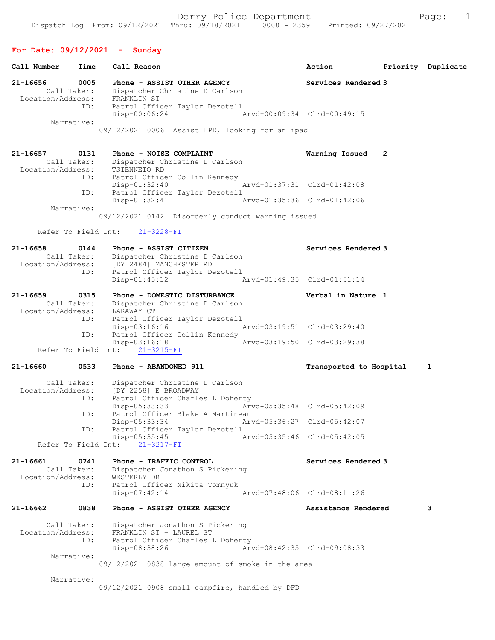## For Date: 09/12/2021 - Sunday

| Call Number                                  | Time       | Call Reason                                                                        | Action                      | Priority | Duplicate |
|----------------------------------------------|------------|------------------------------------------------------------------------------------|-----------------------------|----------|-----------|
| 21-16656<br>Call Taker:                      | 0005       | Phone - ASSIST OTHER AGENCY<br>Dispatcher Christine D Carlson                      | Services Rendered 3         |          |           |
| Location/Address:                            | ID:        | FRANKLIN ST<br>Patrol Officer Taylor Dezotell<br>Disp-00:06:24                     | Arvd-00:09:34 Clrd-00:49:15 |          |           |
| Narrative:                                   |            | 09/12/2021 0006 Assist LPD, looking for an ipad                                    |                             |          |           |
|                                              |            |                                                                                    |                             |          |           |
| 21-16657<br>Call Taker:<br>Location/Address: | 0131       | Phone - NOISE COMPLAINT<br>Dispatcher Christine D Carlson<br>TSIENNETO RD          | Warning Issued              | 2        |           |
|                                              | ID:<br>ID: | Patrol Officer Collin Kennedy<br>$Disp-01:32:40$<br>Patrol Officer Taylor Dezotell | Arvd-01:37:31 Clrd-01:42:08 |          |           |
| Narrative:                                   |            | Disp-01:32:41                                                                      | Arvd-01:35:36 Clrd-01:42:06 |          |           |
|                                              |            | 09/12/2021 0142 Disorderly conduct warning issued                                  |                             |          |           |
| Refer To Field Int:                          |            | $21 - 3228 - FI$                                                                   |                             |          |           |
| 21-16658<br>Call Taker:                      | 0144       | Phone - ASSIST CITIZEN<br>Dispatcher Christine D Carlson                           | Services Rendered 3         |          |           |
| Location/Address:                            | ID:        | [DY 2484] MANCHESTER RD<br>Patrol Officer Taylor Dezotell<br>$Disp-01:45:12$       | Arvd-01:49:35 Clrd-01:51:14 |          |           |
| 21-16659                                     | 0315       | Phone - DOMESTIC DISTURBANCE                                                       | Verbal in Nature 1          |          |           |
| Call Taker:<br>Location/Address:             | ID:        | Dispatcher Christine D Carlson<br>LARAWAY CT<br>Patrol Officer Taylor Dezotell     |                             |          |           |
|                                              | ID:        | $Disp-03:16:16$<br>Patrol Officer Collin Kennedy                                   | Arvd-03:19:51 Clrd-03:29:40 |          |           |
| Refer To Field Int:                          |            | $Disp-03:16:18$<br>$21 - 3215 - FI$                                                | Arvd-03:19:50 Clrd-03:29:38 |          |           |
| 21-16660                                     | 0533       | Phone - ABANDONED 911                                                              | Transported to Hospital     |          | 1         |
|                                              |            |                                                                                    |                             |          |           |
| Call Taker:<br>Location/Address:             |            | Dispatcher Christine D Carlson<br>[DY 2258] E BROADWAY                             |                             |          |           |
|                                              | ID:        | Patrol Officer Charles L Doherty<br>Disp-05:33:33                                  | Arvd-05:35:48 Clrd-05:42:09 |          |           |
|                                              | ID:        | Patrol Officer Blake A Martineau<br>Disp-05:33:34                                  | Arvd-05:36:27 Clrd-05:42:07 |          |           |
|                                              | ID:        | Patrol Officer Taylor Dezotell<br>$Disp-05:35:45$                                  | Arvd-05:35:46 Clrd-05:42:05 |          |           |
| Refer To Field Int:                          |            | $21 - 3217 - FI$                                                                   |                             |          |           |
| 21-16661<br>Call Taker:<br>Location/Address: | 0741       | Phone - TRAFFIC CONTROL<br>Dispatcher Jonathon S Pickering<br>WESTERLY DR          | Services Rendered 3         |          |           |
|                                              | ID:        | Patrol Officer Nikita Tomnyuk<br>$Disp-07:42:14$                                   | Arvd-07:48:06 Clrd-08:11:26 |          |           |
| 21-16662                                     | 0838       | Phone - ASSIST OTHER AGENCY                                                        | Assistance Rendered         |          | 3         |
| Call Taker:<br>Location/Address:             |            | Dispatcher Jonathon S Pickering<br>FRANKLIN ST + LAUREL ST                         |                             |          |           |
|                                              | ID:        | Patrol Officer Charles L Doherty<br>Disp-08:38:26                                  | Arvd-08:42:35 Clrd-09:08:33 |          |           |
| Narrative:                                   |            | 09/12/2021 0838 large amount of smoke in the area                                  |                             |          |           |
| Narrative:                                   |            |                                                                                    |                             |          |           |
|                                              |            | 09/12/2021 0908 small campfire, handled by DFD                                     |                             |          |           |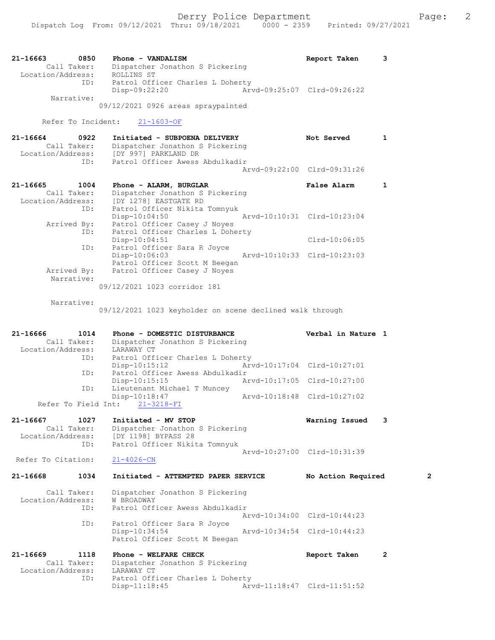| 21-16663          | 0850        | Phone - VANDALISM                  |                             | Report Taken |  |
|-------------------|-------------|------------------------------------|-----------------------------|--------------|--|
|                   | Call Taker: | Dispatcher Jonathon S Pickering    |                             |              |  |
| Location/Address: |             | ROLLINS ST                         |                             |              |  |
|                   | ID:         | Patrol Officer Charles L Doherty   |                             |              |  |
|                   |             | Disp-09:22:20                      | Arvd-09:25:07 Clrd-09:26:22 |              |  |
|                   | Narrative:  |                                    |                             |              |  |
|                   |             | 09/12/2021 0926 areas spraypainted |                             |              |  |

Refer To Incident: 21-1603-OF

| 21-16664          | 0922        | Initiated - SUBPOENA DELIVERY   | Not Served                  |  |
|-------------------|-------------|---------------------------------|-----------------------------|--|
|                   | Call Taker: | Dispatcher Jonathon S Pickering |                             |  |
| Location/Address: |             | [DY 997] PARKLAND DR            |                             |  |
|                   | ID:         | Patrol Officer Awess Abdulkadir |                             |  |
|                   |             |                                 | Arvd-09:22:00 Clrd-09:31:26 |  |
|                   |             |                                 |                             |  |

| 21-16665<br>1004  | Phone - ALARM, BURGLAR           | False Alarm                 |  |
|-------------------|----------------------------------|-----------------------------|--|
| Call Taker:       | Dispatcher Jonathon S Pickering  |                             |  |
| Location/Address: | [DY 1278] EASTGATE RD            |                             |  |
| ID:               | Patrol Officer Nikita Tomnyuk    |                             |  |
|                   | $Disp-10:04:50$                  | Arvd-10:10:31 Clrd-10:23:04 |  |
| Arrived By:       | Patrol Officer Casey J Noyes     |                             |  |
| ID:               | Patrol Officer Charles L Doherty |                             |  |
|                   | $Disp-10:04:51$                  | $Clrd-10:06:05$             |  |
| ID:               | Patrol Officer Sara R Joyce      |                             |  |
|                   | $Disp-10:06:03$                  | Arvd-10:10:33 Clrd-10:23:03 |  |
|                   | Patrol Officer Scott M Beegan    |                             |  |
| Arrived By:       | Patrol Officer Casey J Noyes     |                             |  |
| Narrative:        |                                  |                             |  |
|                   | 09/12/2021 1023 corridor 181     |                             |  |

Narrative:

09/12/2021 1023 keyholder on scene declined walk through

| 21-16666                     | 1014        | Phone - DOMESTIC DISTURBANCE          |                             | Verbal in Nature 1          |                |
|------------------------------|-------------|---------------------------------------|-----------------------------|-----------------------------|----------------|
|                              | Call Taker: | Dispatcher Jonathon S Pickering       |                             |                             |                |
| Location/Address: LARAWAY CT |             |                                       |                             |                             |                |
|                              |             | ID: Patrol Officer Charles L Doherty  |                             |                             |                |
|                              |             | $Disp-10:15:12$                       |                             | Arvd-10:17:04 Clrd-10:27:01 |                |
|                              | ID:         | Patrol Officer Awess Abdulkadir       |                             |                             |                |
|                              |             | Disp-10:15:15                         | Arvd-10:17:05 Clrd-10:27:00 |                             |                |
|                              | ID:         | Lieutenant Michael T Muncey           |                             |                             |                |
|                              |             | Disp-10:18:47                         | Arvd-10:18:48 Clrd-10:27:02 |                             |                |
|                              |             | Refer To Field Int: 21-3218-FI        |                             |                             |                |
| 21-16667                     | 1027        | Initiated - MV STOP                   |                             | Warning Issued              | 3              |
|                              | Call Taker: | Dispatcher Jonathon S Pickering       |                             |                             |                |
|                              |             | Location/Address: [DY 1198] BYPASS 28 |                             |                             |                |
|                              | ID:         | Patrol Officer Nikita Tomnyuk         |                             |                             |                |
|                              |             |                                       |                             | Arvd-10:27:00 Clrd-10:31:39 |                |
|                              |             |                                       |                             |                             |                |
| Refer To Citation:           |             | $21 - 4026 - CN$                      |                             |                             |                |
| 21-16668                     | 1034        | Initiated - ATTEMPTED PAPER SERVICE   |                             | No Action Required          | $\overline{2}$ |
|                              | Call Taker: | Dispatcher Jonathon S Pickering       |                             |                             |                |
| Location/Address:            |             | W BROADWAY                            |                             |                             |                |
|                              | ID:         | Patrol Officer Awess Abdulkadir       |                             |                             |                |
|                              |             |                                       |                             | Arvd-10:34:00 Clrd-10:44:23 |                |
|                              | ID:         | Patrol Officer Sara R Joyce           |                             |                             |                |
|                              |             | $Disp-10:34:54$                       | Arvd-10:34:54 Clrd-10:44:23 |                             |                |
|                              |             | Patrol Officer Scott M Beegan         |                             |                             |                |
| 21-16669                     | 1118        | Phone - WELFARE CHECK                 |                             | Report Taken                | $\overline{2}$ |
|                              | Call Taker: | Dispatcher Jonathon S Pickering       |                             |                             |                |
| Location/Address:            |             | LARAWAY CT                            |                             |                             |                |
|                              | ID:         | Patrol Officer Charles L Doherty      |                             |                             |                |
|                              |             | $Disp-11:18:45$                       |                             | Arvd-11:18:47 Clrd-11:51:52 |                |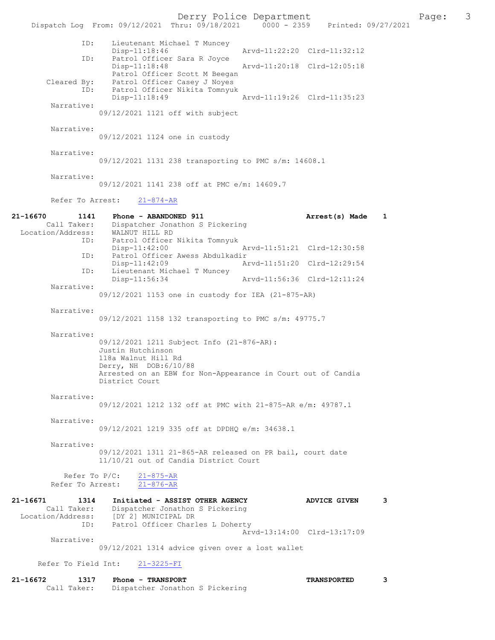Derry Police Department The Page: 3 Dispatch Log From: 09/12/2021 Thru:  $0.9/18/2021$  0000 - 2359 Printed: 09/27/2021 ID: Lieutenant Michael T Muncey Disp-11:18:46 Arvd-11:22:20 Clrd-11:32:12<br>TD: Patrol Officer Sara R Jovce Patrol Officer Sara R Joyce<br>Disp-11:18:48 Arvd-11:20:18 Clrd-12:05:18 Patrol Officer Scott M Beegan Cleared By: Patrol Officer Casey J Noyes<br>ID: Patrol Officer Nikita Tomnyuk Patrol Officer Nikita Tomnyuk<br>Disp-11:18:49 Disp-11:18:49 Arvd-11:19:26 Clrd-11:35:23 Narrative: 09/12/2021 1121 off with subject Narrative: 09/12/2021 1124 one in custody Narrative: 09/12/2021 1131 238 transporting to PMC s/m: 14608.1 Narrative: 09/12/2021 1141 238 off at PMC e/m: 14609.7 Refer To Arrest: 21-874-AR 21-16670 1141 Phone - ABANDONED 911 21-16670 1141 Phone - ABANDONED 911 21-16670 211 212 Dispatcher Jonathon S Pickering Location/Address: WALNUT HILL RD ID: Patrol Officer Nikita Tomnyuk Arvd-11:51:21 Clrd-12:30:58 ID: Patrol Officer Awess Abdulkadir Disp-11:42:09 <br>The Lieutenant Michael T Muncey<br>The Lieutenant Michael T Muncey Lieutenant Michael T Muncey<br>Disp-11:56:34 Arvd-11:56:36 Clrd-12:11:24 Narrative: 09/12/2021 1153 one in custody for IEA (21-875-AR) Narrative: 09/12/2021 1158 132 transporting to PMC s/m: 49775.7 Narrative: 09/12/2021 1211 Subject Info (21-876-AR): Justin Hutchinson 118a Walnut Hill Rd Derry, NH DOB:6/10/88 Arrested on an EBW for Non-Appearance in Court out of Candia District Court Narrative: 09/12/2021 1212 132 off at PMC with 21-875-AR e/m: 49787.1 Narrative: 09/12/2021 1219 335 off at DPDHQ e/m: 34638.1 Narrative: 09/12/2021 1311 21-865-AR released on PR bail, court date 11/10/21 out of Candia District Court Refer To P/C: 21-875-AR Refer To Arrest: 21-876-AR 21-16671 1314 Initiated - ASSIST OTHER AGENCY ADVICE GIVEN 3 Call Taker: Dispatcher Jonathon S Pickering Location/Address: [DY 2] MUNICIPAL DR ID: Patrol Officer Charles L Doherty Arvd-13:14:00 Clrd-13:17:09 Narrative: 09/12/2021 1314 advice given over a lost wallet Refer To Field Int: 21-3225-FI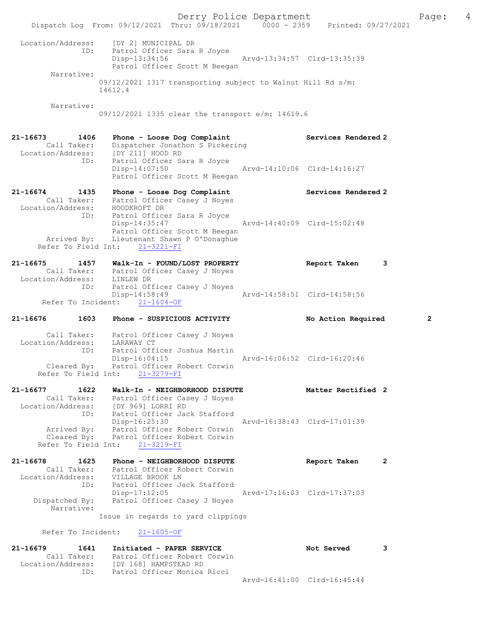Derry Police Department Fage: 4 Dispatch Log From: 09/12/2021 Thru: 09/18/2021 0000 - 2359 Printed: 09/27/2021 Location/Address: [DY 2] MUNICIPAL DR ID: Patrol Officer Sara R Joyce Disp-13:34:56 Arvd-13:34:57 Clrd-13:35:39 Patrol Officer Scott M Beegan Narrative: 09/12/2021 1317 transporting subject to Walnut Hill Rd s/m: 14612.4 Narrative: 09/12/2021 1335 clear the transport e/m: 14619.6 21-16673 1406 Phone - Loose Dog Complaint Services Rendered 2 Call Taker: Dispatcher Jonathon S Pickering Location/Address: [DY 211] HOOD RD ID: Patrol Officer Sara R Joyce Disp-14:07:50 Arvd-14:10:06 Clrd-14:16:27 Patrol Officer Scott M Beegan 21-16674 1435 Phone - Loose Dog Complaint Services Rendered 2 Call Taker: Patrol Officer Casey J Noyes Location/Address: HOODKROFT DR ID: Patrol Officer Sara R Joyce Disp-14:35:47 Arvd-14:40:09 Clrd-15:02:48 Patrol Officer Scott M Beegan Arrived By: Lieutenant Shawn P O'Donaghue Refer To Field Int: 21-3221-FI 21-16675 1457 Walk-In - FOUND/LOST PROPERTY Report Taken 3 Call Taker: Patrol Officer Casey J Noyes Location/Address: LINLEW DR ID: Patrol Officer Casey J Noyes - Arvd-14:58:51 Clrd-14:58:56 Refer To Incident: 21-1604-OF 21-16676 1603 Phone - SUSPICIOUS ACTIVITY No Action Required 2 Call Taker: Patrol Officer Casey J Noyes Location/Address: LARAWAY CT ID: Patrol Officer Joshua Martin Disp-16:04:15 Arvd-16:06:52 Clrd-16:20:46 Cleared By: Patrol Officer Robert Corwin Refer To Field Int: 21-3279-FI 21-16677 1622 Walk-In - NEIGHBORHOOD DISPUTE Matter Rectified 2 Call Taker: Patrol Officer Casey J Noyes Location/Address: [DY 969] LORRI RD ID: Patrol Officer Jack Stafford Disp-16:25:30 Arvd-16:38:43 Clrd-17:01:39 Arrived By: Patrol Officer Robert Corwin Cleared By: Patrol Officer Robert Corwin Refer To Field Int: 21-3219-FI 21-16678 1625 Phone – NEIGHBORHOOD DISPUTE Report Taken 2 Call Taker: Patrol Officer Robert Corwin Location/Address: VILLAGE BROOK LN ID: Patrol Officer Jack Stafford Disp-17:12:05 Arvd-17:16:03 Clrd-17:37:03 Dispatched By: Patrol Officer Casey J Noyes Narrative: Issue in regards to yard clippings Refer To Incident: 21-1605-OF 21-16679 1641 Initiated - PAPER SERVICE Not Served 3 Call Taker: Patrol Officer Robert Corwin Location/Address: [DY 168] HAMPSTEAD RD ID: Patrol Officer Monica Ricci Arvd-16:41:00 Clrd-16:45:44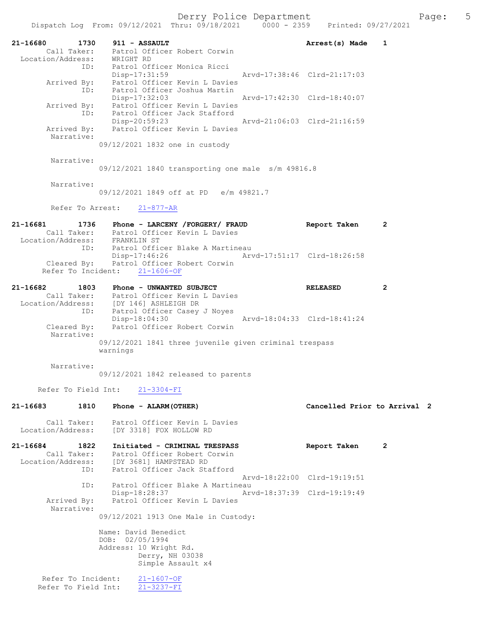|                                                             | Dispatch Log From: 09/12/2021 Thru: 09/18/2021 0000 - 2359                                                                    | Printed: 09/27/2021          |                |
|-------------------------------------------------------------|-------------------------------------------------------------------------------------------------------------------------------|------------------------------|----------------|
| 21-16680<br>1730<br>Call Taker:<br>Location/Address:        | 911 - ASSAULT<br>Patrol Officer Robert Corwin<br>WRIGHT RD                                                                    | Arrest(s) Made               | 1              |
| ID:<br>Arrived By:                                          | Patrol Officer Monica Ricci<br>Disp-17:31:59<br>Patrol Officer Kevin L Davies                                                 | Aryd-17:38:46 Clrd-21:17:03  |                |
| ID:                                                         | Patrol Officer Joshua Martin<br>$Disp-17:32:03$<br>Arrived By: Patrol Officer Kevin L Davies                                  | Arvd-17:42:30 Clrd-18:40:07  |                |
| ID:<br>Arrived By:                                          | Patrol Officer Jack Stafford<br>Disp-20:59:23<br>Patrol Officer Kevin L Davies                                                | Aryd-21:06:03 Clrd-21:16:59  |                |
| Narrative:                                                  | 09/12/2021 1832 one in custody                                                                                                |                              |                |
| Narrative:                                                  | $09/12/2021$ 1840 transporting one male $s/m$ 49816.8                                                                         |                              |                |
| Narrative:                                                  | 09/12/2021 1849 off at PD e/m 49821.7                                                                                         |                              |                |
| Refer To Arrest:                                            | $21 - 877 - AR$                                                                                                               |                              |                |
| 21-16681<br>1736<br>Location/Address:                       | Phone - LARCENY /FORGERY/ FRAUD<br>Call Taker: Patrol Officer Kevin L Davies<br>FRANKLIN ST                                   | Report Taken                 | $\mathbf{2}$   |
| ID:<br>Cleared By:                                          | Patrol Officer Blake A Martineau<br>Disp-17:46:26<br>Patrol Officer Robert Corwin<br>Refer To Incident: 21-1606-OF            | Arvd-17:51:17 Clrd-18:26:58  |                |
| 21-16682<br>1803<br>Location/Address:<br>ID:                | Phone - UNWANTED SUBJECT<br>Call Taker: Patrol Officer Kevin L Davies<br>[DY 146] ASHLEIGH DR<br>Patrol Officer Casey J Noyes | <b>RELEASED</b>              | $\overline{2}$ |
| Cleared By:<br>Narrative:                                   | $Disp-18:04:30$<br>Patrol Officer Robert Corwin                                                                               | Arvd-18:04:33 Clrd-18:41:24  |                |
|                                                             | 09/12/2021 1841 three juvenile given criminal trespass<br>warnings                                                            |                              |                |
| Narrative:                                                  | 09/12/2021 1842 released to parents                                                                                           |                              |                |
| Refer To Field Int:                                         | $21 - 3304 - FI$                                                                                                              |                              |                |
| $21 - 16683$<br>1810                                        | Phone - ALARM (OTHER)                                                                                                         | Cancelled Prior to Arrival 2 |                |
| Call Taker:<br>Location/Address:                            | Patrol Officer Kevin L Davies<br>IDY 33181 FOX HOLLOW RD                                                                      |                              |                |
| 21-16684<br>1822<br>Call Taker:<br>Location/Address:<br>ID: | Initiated - CRIMINAL TRESPASS<br>Patrol Officer Robert Corwin<br>[DY 3681] HAMPSTEAD RD<br>Patrol Officer Jack Stafford       | Report Taken                 | 2              |
|                                                             |                                                                                                                               | Arvd-18:22:00 Clrd-19:19:51  |                |
| ID:<br>Arrived By:<br>Narrative:                            | Patrol Officer Blake A Martineau<br>Disp-18:28:37<br>Patrol Officer Kevin L Davies                                            | Arvd-18:37:39 Clrd-19:19:49  |                |
|                                                             | 09/12/2021 1913 One Male in Custody:                                                                                          |                              |                |
|                                                             | Name: David Benedict<br>DOB: 02/05/1994                                                                                       |                              |                |
|                                                             | Address: 10 Wright Rd.<br>Derry, NH 03038<br>Simple Assault x4                                                                |                              |                |
| Refer To Incident:<br>Refer To Field Int:                   | $21 - 1607 - OF$<br>$21 - 3237 - FI$                                                                                          |                              |                |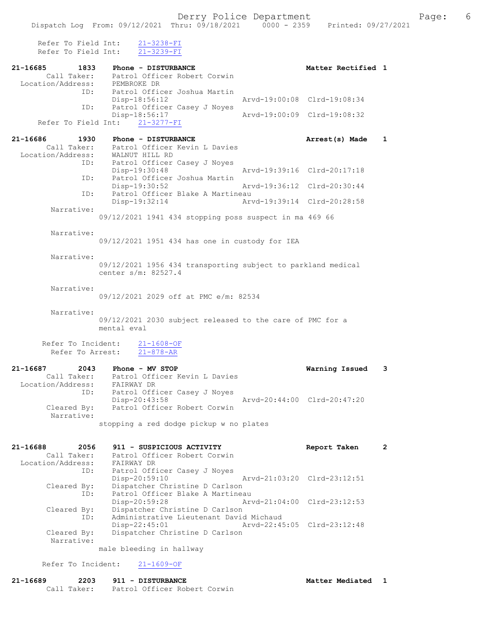Refer To Field Int: 21-3238-FI Refer To Field Int: 21-3239-FI

|                                        | 1833<br>Phone - DISTURBANCE                                               | Matter Rectified 1          |              |
|----------------------------------------|---------------------------------------------------------------------------|-----------------------------|--------------|
|                                        | Call Taker: Patrol Officer Robert Corwin                                  |                             |              |
| Location/Address: PEMBROKE DR<br>ID:   | Patrol Officer Joshua Martin                                              |                             |              |
|                                        | $Disp-18:56:12$                                                           | Arvd-19:00:08 Clrd-19:08:34 |              |
| ID:                                    | Patrol Officer Casey J Noyes                                              |                             |              |
| Refer To Field Int:                    | Disp-18:56:17<br>$21 - 3277 - FI$                                         | Arvd-19:00:09 Clrd-19:08:32 |              |
|                                        |                                                                           |                             |              |
| 21-16686<br>1930                       | Phone - DISTURBANCE                                                       | Arrest(s) Made              | $\mathbf{1}$ |
| Call Taker:                            | Patrol Officer Kevin L Davies                                             |                             |              |
| Location/Address:<br>ID:               | WALNUT HILL RD<br>Patrol Officer Casey J Noyes                            |                             |              |
|                                        | Disp-19:30:48                                                             | Arvd-19:39:16 Clrd-20:17:18 |              |
| ID:                                    | Patrol Officer Joshua Martin                                              |                             |              |
|                                        | Disp-19:30:52<br>Arvd-19:36:12 Clrd-20:30:44                              |                             |              |
| ID:                                    | Patrol Officer Blake A Martineau<br>$Disp-19:32:14$                       | Arvd-19:39:14 Clrd-20:28:58 |              |
| Narrative:                             |                                                                           |                             |              |
|                                        | 09/12/2021 1941 434 stopping poss suspect in ma 469 66                    |                             |              |
|                                        |                                                                           |                             |              |
| Narrative:                             | 09/12/2021 1951 434 has one in custody for IEA                            |                             |              |
|                                        |                                                                           |                             |              |
| Narrative:                             |                                                                           |                             |              |
|                                        | 09/12/2021 1956 434 transporting subject to parkland medical              |                             |              |
|                                        | center s/m: 82527.4                                                       |                             |              |
| Narrative:                             |                                                                           |                             |              |
|                                        | 09/12/2021 2029 off at PMC e/m: 82534                                     |                             |              |
|                                        |                                                                           |                             |              |
| Narrative:                             | 09/12/2021 2030 subject released to the care of PMC for a                 |                             |              |
|                                        | mental eval                                                               |                             |              |
|                                        |                                                                           |                             |              |
| Refer To Incident:<br>Refer To Arrest: | $21 - 1608 - OF$<br>$21 - 878 - AR$                                       |                             |              |
|                                        |                                                                           |                             |              |
| 21-16687<br>2043                       | Phone - MV STOP                                                           |                             |              |
|                                        |                                                                           |                             | 3            |
|                                        | Call Taker: Patrol Officer Kevin L Davies                                 | Warning Issued              |              |
|                                        | Location/Address: FAIRWAY DR                                              |                             |              |
| ID:                                    | Patrol Officer Casey J Noyes                                              |                             |              |
| Cleared By:                            | Disp-20:43:58<br>Patrol Officer Robert Corwin                             | Arvd-20:44:00 Clrd-20:47:20 |              |
| Narrative:                             |                                                                           |                             |              |
|                                        | stopping a red dodge pickup w no plates                                   |                             |              |
|                                        |                                                                           |                             |              |
| 21-16688<br>2056                       | 911 - SUSPICIOUS ACTIVITY                                                 | Report Taken                | $\mathbf{2}$ |
| Call Taker:                            | Patrol Officer Robert Corwin                                              |                             |              |
| Location/Address:                      | FAIRWAY DR                                                                |                             |              |
| ID:                                    | Patrol Officer Casey J Noyes                                              | Arvd-21:03:20 Clrd-23:12:51 |              |
| Cleared By:                            | Disp-20:59:10<br>Dispatcher Christine D Carlson                           |                             |              |
| ID:                                    | Patrol Officer Blake A Martineau                                          |                             |              |
|                                        | Disp-20:59:28                                                             | Arvd-21:04:00 Clrd-23:12:53 |              |
| Cleared By:<br>ID:                     | Dispatcher Christine D Carlson<br>Administrative Lieutenant David Michaud |                             |              |
|                                        | Disp-22:45:01                                                             | Arvd-22:45:05 Clrd-23:12:48 |              |
| Cleared By:                            | Dispatcher Christine D Carlson                                            |                             |              |
| Narrative:                             |                                                                           |                             |              |
| Refer To Incident:                     | male bleeding in hallway<br>$21 - 1609 - OF$                              |                             |              |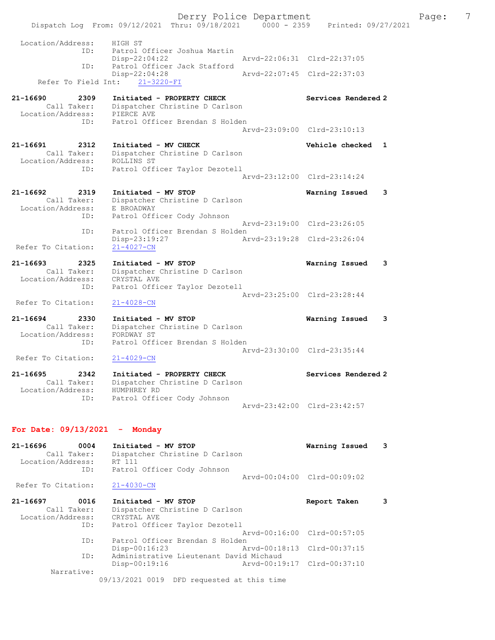Derry Police Department The Page: 7 Dispatch Log From: 09/12/2021 Thru: 09/18/2021 0000 - 2359 Printed: 09/27/2021 Location/Address: HIGH ST<br>ID: Patrol ( Patrol Officer Joshua Martin Disp-22:04:22 Arvd-22:06:31 Clrd-22:37:05 ID: Patrol Officer Jack Stafford<br>Disp-22:04:28 Disp-22:04:28 Arvd-22:07:45 Clrd-22:37:03 Refer To Field Int: 21-3220-FI 21-16690 2309 Initiated - PROPERTY CHECK Services Rendered 2 Call Taker: Dispatcher Christine D Carlson Location/Address: PIERCE AVE ID: Patrol Officer Brendan S Holden Arvd-23:09:00 Clrd-23:10:13 21-16691 2312 Initiated - MV CHECK Vehicle checked 1 Call Taker: Dispatcher Christine D Carlson Location/Address: ROLLINS ST ID: Patrol Officer Taylor Dezotell Arvd-23:12:00 Clrd-23:14:24 21-16692 2319 Initiated - MV STOP Warning Issued 3 Call Taker: Dispatcher Christine D Carlson Location/Address: E BROADWAY ID: Patrol Officer Cody Johnson Arvd-23:19:00 Clrd-23:26:05 ID: Patrol Officer Brendan S Holden<br>Disp-23:19:27 Ar Disp-23:19:27 Arvd-23:19:28 Clrd-23:26:04 Refer To Citation: 21-16693 2325 Initiated - MV STOP Warning Issued 3 Call Taker: Dispatcher Christine D Carlson Location/Address: CRYSTAL AVE ID: Patrol Officer Taylor Dezotell Arvd-23:25:00 Clrd-23:28:44 Refer To Citation: 21-4028-CN 21-16694 2330 Initiated - MV STOP Warning Issued 3 Call Taker: Dispatcher Christine D Carlson Location/Address: FORDWAY ST ID: Patrol Officer Brendan S Holden Arvd-23:30:00 Clrd-23:35:44<br>21-4029-CN

Refer To Citation:

21-16695 2342 Initiated - PROPERTY CHECK Services Rendered 2 Call Taker: Dispatcher Christine D Carlson Location/Address: HUMPHREY RD ID: Patrol Officer Cody Johnson Arvd-23:42:00 Clrd-23:42:57

## For Date: 09/13/2021 - Monday

| 21-16696<br>0004<br>Call Taker:<br>Location/Address:<br>ID: | Initiated - MV STOP<br>Dispatcher Christine D Carlson<br>RT 111<br>Patrol Officer Cody Johnson | Warning Issued              | 3 |
|-------------------------------------------------------------|------------------------------------------------------------------------------------------------|-----------------------------|---|
| Refer To Citation:                                          | $21 - 4030 - CN$                                                                               | Arvd-00:04:00 Clrd-00:09:02 |   |
| 21-16697<br>0016                                            | Initiated - MV STOP                                                                            | Report Taken                | 3 |
| Call Taker:                                                 | Dispatcher Christine D Carlson                                                                 |                             |   |
| Location/Address:                                           | CRYSTAL AVE                                                                                    |                             |   |
| ID:                                                         | Patrol Officer Taylor Dezotell                                                                 |                             |   |
|                                                             |                                                                                                | Arvd-00:16:00 Clrd-00:57:05 |   |
| ID:                                                         | Patrol Officer Brendan S Holden                                                                |                             |   |
|                                                             | Arvd-00:18:13 Clrd-00:37:15<br>Disp-00:16:23                                                   |                             |   |
| ID:                                                         | Administrative Lieutenant David Michaud                                                        |                             |   |
|                                                             | Arvd-00:19:17 Clrd-00:37:10<br>Disp-00:19:16                                                   |                             |   |
| Narrative:                                                  |                                                                                                |                             |   |
|                                                             | 09/13/2021 0019 DFD requested at this time                                                     |                             |   |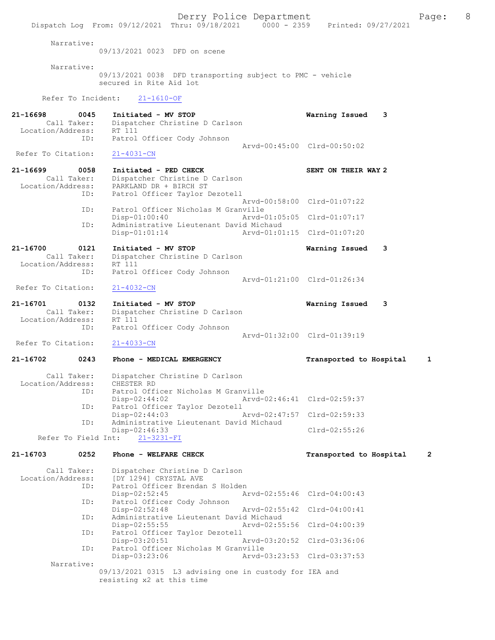Dispatch Log From: 09/12/2021 Thru: 09/18/2021 0000 - 2359 Printed: 09/27/2021 Narrative: 09/13/2021 0023 DFD on scene Narrative: 09/13/2021 0038 DFD transporting subject to PMC - vehicle secured in Rite Aid lot Refer To Incident: 21-1610-OF 21-16698 0045 Initiated - MV STOP **Warning Issued 3**<br>Call Taker: Dispatcher Christine D Carlson Dispatcher Christine D Carlson<br>RT 111 Location/Address: ID: Patrol Officer Cody Johnson Arvd-00:45:00 Clrd-00:50:02 Refer To Citation: 21-4031-CN 21-16699 0058 Initiated - PED CHECK SENT ON THEIR WAY 2<br>Call Taker: Dispatcher Christine D Carlson Call Taker: Dispatcher Christine D Carlson<br>Location/Address: PARKLAND DR + BIRCH ST ess: PARKLAND DR + BIRCH ST<br>ID: Patrol Officer Taylor D Patrol Officer Taylor Dezotell Arvd-00:58:00 Clrd-01:07:22<br>TD: Patrol Officer Nicholas M Granville ID: Patrol Officer Nicholas M Granville Disp-01:00:40 Arvd-01:05:05 Clrd-01:07:17<br>TD: Administrative Lieutenant David Michaud Administrative Lieutenant David Michaud<br>Disp-01:01:14 Arvd-01:01 Disp-01:01:14 Arvd-01:01:15 Clrd-01:07:20 21-16700 0121 Initiated - MV STOP Warning Issued 3<br>Call Taker: Dispatcher Christine D Carlson Dispatcher Christine D Carlson<br>RT 111 Location/Address: ID: Patrol Officer Cody Johnson Arvd-01:21:00 Clrd-01:26:34<br>21-4032-CN Refer To Citation: 21-16701 0132 Initiated - MV STOP Warning Issued 3<br>Call Taker: Dispatcher Christine D Carlson Dispatcher Christine D Carlson<br>RT 111 Location/Address:<br>Th: Patrol Officer Cody Johnson Arvd-01:32:00 Clrd-01:39:19<br>21-4033-CN Refer To Citation: 21-16702 0243 Phone - MEDICAL EMERGENCY Transported to Hospital 1 Call Taker: Dispatcher Christine D Carlson<br>ion/Address: CHESTER RD Location/Address: ID: Patrol Officer Nicholas M Granville<br>Disp-02:44:02 Arvd-0 Disp-02:44:02 Arvd-02:46:41 Clrd-02:59:37 ID: Patrol Officer Taylor Dezotell Disp-02:44:03 Arvd-02:47:57 Clrd-02:59:33<br>ID: Administrative Lieutenant David Michaud Administrative Lieutenant David Michaud Disp-02:46:33 Clrd-02:55:26<br>t: 21-3231-FI Refer To Field Int: 21-16703 0252 Phone - WELFARE CHECK Transported to Hospital 2 Call Taker: Dispatcher Christine D Carlson<br>Location/Address: [DY 12941 CRYSTAL AVE ess: [DY 1294] CRYSTAL AVE<br>ID: Patrol Officer Brendar Patrol Officer Brendan S Holden<br>Disp-02:52:45 Am Disp-02:52:45 Arvd-02:55:46 Clrd-04:00:43 ID: Patrol Officer Cody Johnson Disp-02:52:48 Arvd-02:55:42 Clrd-04:00:41<br>TD: Administrative Lieutenant David Michaud Administrative Lieutenant David Michaud<br>Disp-02:55:55 Arvd-02:55 Disp-02:55:55 Arvd-02:55:56 Clrd-04:00:39<br>ID: Patrol Officer Taylor Dezotell Patrol Officer Taylor Dezotell Disp-03:20:51 Arvd-03:20:52 Clrd-03:36:06 ID: Patrol Officer Nicholas M Granville Disp-03:23:06 Arvd-03:23:53 Clrd-03:37:53 Narrative: 09/13/2021 0315 L3 advising one in custody for IEA and resisting x2 at this time

Derry Police Department The Page: 8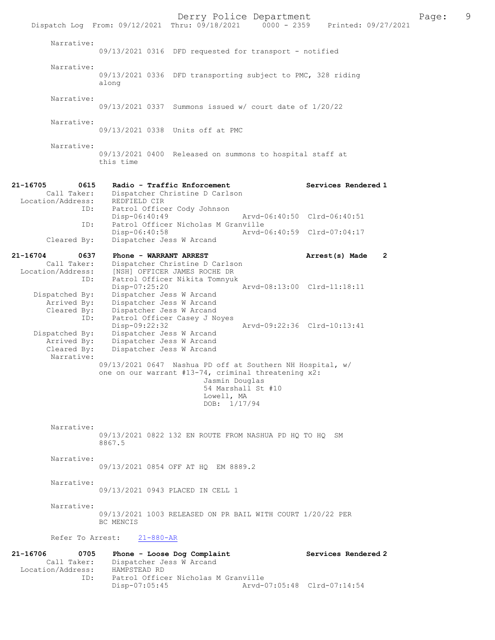Derry Police Department<br>
Page: 9 Printed: 09/27/2021 0000 - 2359 Printed: 09/27/2021 Dispatch Log From: 09/12/2021 Thru: 09/18/2021 0000 - 2359 Narrative: 09/13/2021 0316 DFD requested for transport - notified Narrative: 09/13/2021 0336 DFD transporting subject to PMC, 328 riding along Narrative: 09/13/2021 0337 Summons issued w/ court date of 1/20/22 Narrative: 09/13/2021 0338 Units off at PMC Narrative: 09/13/2021 0400 Released on summons to hospital staff at this time 21-16705 0615 Radio - Traffic Enforcement Services Rendered 1 Call Taker: Dispatcher Christine D Carlson Location/Address:<br>ID: REDFIELD CIR<br>Patrol Officer Cody Johnson<br>Disp-06:40:49 Disp-06:40:49 Arvd-06:40:50 Clrd-06:40:51<br>ID: Patrol Officer Nicholas M Granville ID: Patrol Officer Nicholas M Granville Disp-06:40:58 Arvd-06:40:59 Clrd-07:04:17 Cleared By: Dispatcher Jess W Arcand 21-16704 0637 Phone - WARRANT ARREST Arrest(s) Made 2 Call Taker: Dispatcher Christine D Carlson Location/Address: [NSH] OFFICER JAMES ROCHE DR ID: Patrol Officer Nikita Tomnyuk Disp-07:25:20 Arvd-08:13:00 Clrd-11:18:11 Dispatched By: Dispatcher Jess W Arcand Arrived By: Dispatcher Jess W Arcand Cleared By: Dispatcher Jess W Arcand ID: Patrol Officer Casey J Noyes Disp-09:22:32 <br>Dispatched By: Dispatcher Jess W Arcand<br>Dispatched By: Dispatcher Jess W Arcand Dispatcher Jess W Arcand Arrived By: Dispatcher Jess W Arcand Cleared By: Dispatcher Jess W Arcand Narrative: 09/13/2021 0647 Nashua PD off at Southern NH Hospital, w/ one on our warrant #13-74, criminal threatening x2: Jasmin Douglas 54 Marshall St #10 Lowell, MA DOB: 1/17/94 Narrative: 09/13/2021 0822 132 EN ROUTE FROM NASHUA PD HQ TO HQ SM 8867.5 Narrative: 09/13/2021 0854 OFF AT HQ EM 8889.2 Narrative: 09/13/2021 0943 PLACED IN CELL 1 Narrative: 09/13/2021 1003 RELEASED ON PR BAIL WITH COURT 1/20/22 PER BC MENCIS Refer To Arrest: 21-880-AR 21-16706 0705 Phone - Loose Dog Complaint Services Rendered 2<br>Call Taker: Dispatcher Jess W Arcand Call Taker: Dispatcher Jess W Arcand Location/Address: HAMPSTEAD RD ID: Patrol Officer Nicholas M Granville Disp-07:05:45 Arvd-07:05:48 Clrd-07:14:54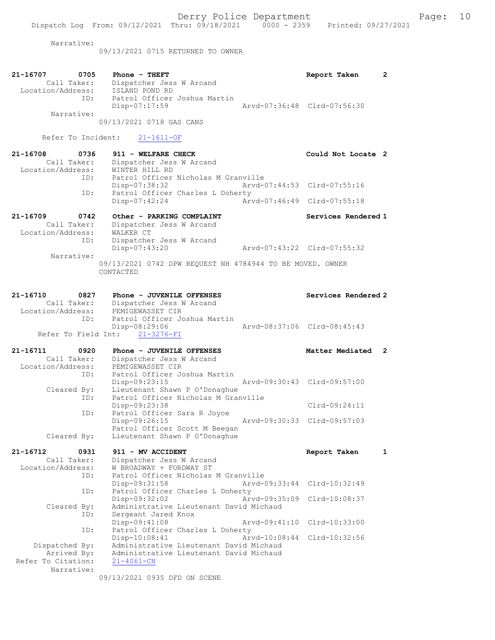Narrative:

09/13/2021 0715 RETURNED TO OWNER

| Arvd-07:36:48 Clrd-07:56:30<br>Disp-07:17:59<br>Narrative:<br>09/13/2021 0718 GAS CANS<br>Refer To Incident:<br>$21 - 1611 - OF$<br>$21 - 16708$<br>0736<br>911 - WELFARE CHECK<br>Could Not Locate 2<br>Dispatcher Jess W Arcand<br>Call Taker:<br>Location/Address:<br>WINTER HILL RD<br>Patrol Officer Nicholas M Granville<br>ID:<br>Arvd-07:44:53 Clrd-07:55:16<br>Disp-07:38:32<br>Patrol Officer Charles L Doherty<br>ID:<br>Arvd-07:46:49 Clrd-07:55:18<br>Disp-07:42:24<br>21-16709<br>0742<br>Other - PARKING COMPLAINT<br>Services Rendered 1<br>Call Taker:<br>Dispatcher Jess W Arcand<br>Location/Address:<br>WALKER CT<br>ID:<br>Dispatcher Jess W Arcand<br>Disp-07:43:20<br>Arvd-07:43:22 Clrd-07:55:32<br>Narrative:<br>09/13/2021 0742 DPW REQUEST NH 4784944 TO BE MOVED. OWNER<br>CONTACTED<br>21-16710<br>0827<br>Phone - JUVENILE OFFENSES<br>Services Rendered 2<br>Call Taker:<br>Dispatcher Jess W Arcand<br>Location/Address:<br>PEMIGEWASSET CIR<br>Patrol Officer Joshua Martin<br>ID:<br>Disp-08:29:06<br>Arvd-08:37:06 Clrd-08:45:43<br>Refer To Field Int: 21-3276-FI<br>21-16711<br>Matter Mediated<br>0920<br>Phone - JUVENILE OFFENSES<br>$\mathbf{2}$<br>Call Taker:<br>Dispatcher Jess W Arcand<br>Location/Address:<br>PEMIGEWASSET CIR<br>Patrol Officer Joshua Martin<br>ID:<br>Disp-09:23:15<br>Arvd-09:30:43 Clrd-09:57:00<br>Lieutenant Shawn P O'Donaghue<br>Cleared By:<br>Patrol Officer Nicholas M Granville<br>ID:<br>Disp-09:23:38<br>$Clrd-09:24:11$<br>Patrol Officer Sara R Joyce<br>ID:<br>Disp-09:26:15<br>Arvd-09:30:33 Clrd-09:57:03<br>Patrol Officer Scott M Beegan<br>Cleared By:<br>Lieutenant Shawn P O'Donaghue<br>21-16712<br>0931<br>911 - MV ACCIDENT<br>Report Taken<br>$\mathbf{1}$<br>Dispatcher Jess W Arcand<br>Call Taker:<br>Location/Address:<br>W BROADWAY + FORDWAY ST<br>Patrol Officer Nicholas M Granville<br>ID:<br>Arvd-09:33:44<br>Clrd-10:32:49<br>$Disp-09:31:58$<br>Patrol Officer Charles L Doherty<br>ID:<br>Disp-09:32:02<br>Arvd-09:35:09<br>$Clrd-10:08:37$<br>Administrative Lieutenant David Michaud<br>Cleared By:<br>Sergeant Jared Knox<br>ID:<br>Disp-09:41:08<br>Arvd-09:41:10<br>Clrd-10:33:00<br>Patrol Officer Charles L Doherty<br>ID:<br>$Disp-10:08:41$<br>Arvd-10:08:44<br>Clrd-10:32:56<br>Administrative Lieutenant David Michaud<br>Dispatched By:<br>Administrative Lieutenant David Michaud<br>Arrived By:<br>Refer To Citation:<br>$21 - 4061 - CN$<br>Narrative:<br>09/13/2021 0935 DFD ON SCENE | 21-16707<br>0705<br>Call Taker:<br>Location/Address: | $Phone - THEFT$<br>Dispatcher Jess W Arcand<br>ISLAND POND RD | Report Taken | $\mathbf{2}$ |
|----------------------------------------------------------------------------------------------------------------------------------------------------------------------------------------------------------------------------------------------------------------------------------------------------------------------------------------------------------------------------------------------------------------------------------------------------------------------------------------------------------------------------------------------------------------------------------------------------------------------------------------------------------------------------------------------------------------------------------------------------------------------------------------------------------------------------------------------------------------------------------------------------------------------------------------------------------------------------------------------------------------------------------------------------------------------------------------------------------------------------------------------------------------------------------------------------------------------------------------------------------------------------------------------------------------------------------------------------------------------------------------------------------------------------------------------------------------------------------------------------------------------------------------------------------------------------------------------------------------------------------------------------------------------------------------------------------------------------------------------------------------------------------------------------------------------------------------------------------------------------------------------------------------------------------------------------------------------------------------------------------------------------------------------------------------------------------------------------------------------------------------------------------------------------------------------------------------------------------------------------------------------------------------------------------------------------------------------------------------------------------------------------------------------------------------------------------------------------------------------------------------|------------------------------------------------------|---------------------------------------------------------------|--------------|--------------|
|                                                                                                                                                                                                                                                                                                                                                                                                                                                                                                                                                                                                                                                                                                                                                                                                                                                                                                                                                                                                                                                                                                                                                                                                                                                                                                                                                                                                                                                                                                                                                                                                                                                                                                                                                                                                                                                                                                                                                                                                                                                                                                                                                                                                                                                                                                                                                                                                                                                                                                                | ID:                                                  | Patrol Officer Joshua Martin                                  |              |              |
|                                                                                                                                                                                                                                                                                                                                                                                                                                                                                                                                                                                                                                                                                                                                                                                                                                                                                                                                                                                                                                                                                                                                                                                                                                                                                                                                                                                                                                                                                                                                                                                                                                                                                                                                                                                                                                                                                                                                                                                                                                                                                                                                                                                                                                                                                                                                                                                                                                                                                                                |                                                      |                                                               |              |              |
|                                                                                                                                                                                                                                                                                                                                                                                                                                                                                                                                                                                                                                                                                                                                                                                                                                                                                                                                                                                                                                                                                                                                                                                                                                                                                                                                                                                                                                                                                                                                                                                                                                                                                                                                                                                                                                                                                                                                                                                                                                                                                                                                                                                                                                                                                                                                                                                                                                                                                                                |                                                      |                                                               |              |              |
|                                                                                                                                                                                                                                                                                                                                                                                                                                                                                                                                                                                                                                                                                                                                                                                                                                                                                                                                                                                                                                                                                                                                                                                                                                                                                                                                                                                                                                                                                                                                                                                                                                                                                                                                                                                                                                                                                                                                                                                                                                                                                                                                                                                                                                                                                                                                                                                                                                                                                                                |                                                      |                                                               |              |              |
|                                                                                                                                                                                                                                                                                                                                                                                                                                                                                                                                                                                                                                                                                                                                                                                                                                                                                                                                                                                                                                                                                                                                                                                                                                                                                                                                                                                                                                                                                                                                                                                                                                                                                                                                                                                                                                                                                                                                                                                                                                                                                                                                                                                                                                                                                                                                                                                                                                                                                                                |                                                      |                                                               |              |              |
|                                                                                                                                                                                                                                                                                                                                                                                                                                                                                                                                                                                                                                                                                                                                                                                                                                                                                                                                                                                                                                                                                                                                                                                                                                                                                                                                                                                                                                                                                                                                                                                                                                                                                                                                                                                                                                                                                                                                                                                                                                                                                                                                                                                                                                                                                                                                                                                                                                                                                                                |                                                      |                                                               |              |              |
|                                                                                                                                                                                                                                                                                                                                                                                                                                                                                                                                                                                                                                                                                                                                                                                                                                                                                                                                                                                                                                                                                                                                                                                                                                                                                                                                                                                                                                                                                                                                                                                                                                                                                                                                                                                                                                                                                                                                                                                                                                                                                                                                                                                                                                                                                                                                                                                                                                                                                                                |                                                      |                                                               |              |              |
|                                                                                                                                                                                                                                                                                                                                                                                                                                                                                                                                                                                                                                                                                                                                                                                                                                                                                                                                                                                                                                                                                                                                                                                                                                                                                                                                                                                                                                                                                                                                                                                                                                                                                                                                                                                                                                                                                                                                                                                                                                                                                                                                                                                                                                                                                                                                                                                                                                                                                                                |                                                      |                                                               |              |              |
|                                                                                                                                                                                                                                                                                                                                                                                                                                                                                                                                                                                                                                                                                                                                                                                                                                                                                                                                                                                                                                                                                                                                                                                                                                                                                                                                                                                                                                                                                                                                                                                                                                                                                                                                                                                                                                                                                                                                                                                                                                                                                                                                                                                                                                                                                                                                                                                                                                                                                                                |                                                      |                                                               |              |              |
|                                                                                                                                                                                                                                                                                                                                                                                                                                                                                                                                                                                                                                                                                                                                                                                                                                                                                                                                                                                                                                                                                                                                                                                                                                                                                                                                                                                                                                                                                                                                                                                                                                                                                                                                                                                                                                                                                                                                                                                                                                                                                                                                                                                                                                                                                                                                                                                                                                                                                                                |                                                      |                                                               |              |              |
|                                                                                                                                                                                                                                                                                                                                                                                                                                                                                                                                                                                                                                                                                                                                                                                                                                                                                                                                                                                                                                                                                                                                                                                                                                                                                                                                                                                                                                                                                                                                                                                                                                                                                                                                                                                                                                                                                                                                                                                                                                                                                                                                                                                                                                                                                                                                                                                                                                                                                                                |                                                      |                                                               |              |              |
|                                                                                                                                                                                                                                                                                                                                                                                                                                                                                                                                                                                                                                                                                                                                                                                                                                                                                                                                                                                                                                                                                                                                                                                                                                                                                                                                                                                                                                                                                                                                                                                                                                                                                                                                                                                                                                                                                                                                                                                                                                                                                                                                                                                                                                                                                                                                                                                                                                                                                                                |                                                      |                                                               |              |              |
|                                                                                                                                                                                                                                                                                                                                                                                                                                                                                                                                                                                                                                                                                                                                                                                                                                                                                                                                                                                                                                                                                                                                                                                                                                                                                                                                                                                                                                                                                                                                                                                                                                                                                                                                                                                                                                                                                                                                                                                                                                                                                                                                                                                                                                                                                                                                                                                                                                                                                                                |                                                      |                                                               |              |              |
|                                                                                                                                                                                                                                                                                                                                                                                                                                                                                                                                                                                                                                                                                                                                                                                                                                                                                                                                                                                                                                                                                                                                                                                                                                                                                                                                                                                                                                                                                                                                                                                                                                                                                                                                                                                                                                                                                                                                                                                                                                                                                                                                                                                                                                                                                                                                                                                                                                                                                                                |                                                      |                                                               |              |              |
|                                                                                                                                                                                                                                                                                                                                                                                                                                                                                                                                                                                                                                                                                                                                                                                                                                                                                                                                                                                                                                                                                                                                                                                                                                                                                                                                                                                                                                                                                                                                                                                                                                                                                                                                                                                                                                                                                                                                                                                                                                                                                                                                                                                                                                                                                                                                                                                                                                                                                                                |                                                      |                                                               |              |              |
|                                                                                                                                                                                                                                                                                                                                                                                                                                                                                                                                                                                                                                                                                                                                                                                                                                                                                                                                                                                                                                                                                                                                                                                                                                                                                                                                                                                                                                                                                                                                                                                                                                                                                                                                                                                                                                                                                                                                                                                                                                                                                                                                                                                                                                                                                                                                                                                                                                                                                                                |                                                      |                                                               |              |              |
|                                                                                                                                                                                                                                                                                                                                                                                                                                                                                                                                                                                                                                                                                                                                                                                                                                                                                                                                                                                                                                                                                                                                                                                                                                                                                                                                                                                                                                                                                                                                                                                                                                                                                                                                                                                                                                                                                                                                                                                                                                                                                                                                                                                                                                                                                                                                                                                                                                                                                                                |                                                      |                                                               |              |              |
|                                                                                                                                                                                                                                                                                                                                                                                                                                                                                                                                                                                                                                                                                                                                                                                                                                                                                                                                                                                                                                                                                                                                                                                                                                                                                                                                                                                                                                                                                                                                                                                                                                                                                                                                                                                                                                                                                                                                                                                                                                                                                                                                                                                                                                                                                                                                                                                                                                                                                                                |                                                      |                                                               |              |              |
|                                                                                                                                                                                                                                                                                                                                                                                                                                                                                                                                                                                                                                                                                                                                                                                                                                                                                                                                                                                                                                                                                                                                                                                                                                                                                                                                                                                                                                                                                                                                                                                                                                                                                                                                                                                                                                                                                                                                                                                                                                                                                                                                                                                                                                                                                                                                                                                                                                                                                                                |                                                      |                                                               |              |              |
|                                                                                                                                                                                                                                                                                                                                                                                                                                                                                                                                                                                                                                                                                                                                                                                                                                                                                                                                                                                                                                                                                                                                                                                                                                                                                                                                                                                                                                                                                                                                                                                                                                                                                                                                                                                                                                                                                                                                                                                                                                                                                                                                                                                                                                                                                                                                                                                                                                                                                                                |                                                      |                                                               |              |              |
|                                                                                                                                                                                                                                                                                                                                                                                                                                                                                                                                                                                                                                                                                                                                                                                                                                                                                                                                                                                                                                                                                                                                                                                                                                                                                                                                                                                                                                                                                                                                                                                                                                                                                                                                                                                                                                                                                                                                                                                                                                                                                                                                                                                                                                                                                                                                                                                                                                                                                                                |                                                      |                                                               |              |              |
|                                                                                                                                                                                                                                                                                                                                                                                                                                                                                                                                                                                                                                                                                                                                                                                                                                                                                                                                                                                                                                                                                                                                                                                                                                                                                                                                                                                                                                                                                                                                                                                                                                                                                                                                                                                                                                                                                                                                                                                                                                                                                                                                                                                                                                                                                                                                                                                                                                                                                                                |                                                      |                                                               |              |              |
|                                                                                                                                                                                                                                                                                                                                                                                                                                                                                                                                                                                                                                                                                                                                                                                                                                                                                                                                                                                                                                                                                                                                                                                                                                                                                                                                                                                                                                                                                                                                                                                                                                                                                                                                                                                                                                                                                                                                                                                                                                                                                                                                                                                                                                                                                                                                                                                                                                                                                                                |                                                      |                                                               |              |              |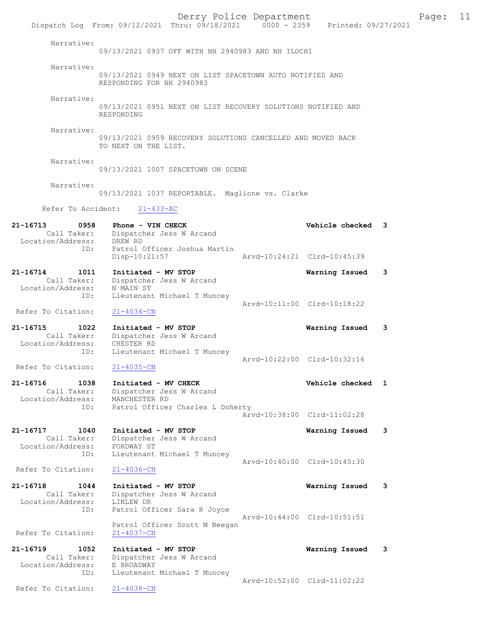Derry Police Department Form Page: 11 Dispatch Log From: 09/12/2021 Thru: 09/18/2021 0000 - 2359 Printed: 09/27/2021 Narrative: 09/13/2021 0937 OFF WITH NH 2940983 AND NH ILOCHI Narrative: 09/13/2021 0949 NEXT ON LIST SPACETOWN AUTO NOTIFIED AND RESPONDING FOR NH 2940983 Narrative: 09/13/2021 0951 NEXT ON LIST RECOVERY SOLUTIONS NOTIFIED AND RESPONDING Narrative: 09/13/2021 0959 RECOVERY SOLUTIONS CANCELLED AND MOVED BACK TO NEXT ON THE LIST. Narrative: 09/13/2021 1007 SPACETOWN ON SCENE Narrative: 09/13/2021 1037 REPORTABLE. Maglione vs. Clarke Refer To Accident: 21-433-AC 21-16713 0958 Phone - VIN CHECK Vehicle checked 3 Call Taker: Dispatcher Jess W Arcand Location/Address: DREW RD ID: Patrol Officer Joshua Martin Disp-10:21:57 Arvd-10:24:21 Clrd-10:45:39 21-16714 1011 Initiated - MV STOP Warning Issued 3 Call Taker: Dispatcher Jess W Arcand Location/Address: N MAIN ST ID: Lieutenant Michael T Muncey Arvd-10:11:00 Clrd-10:18:22 Refer To Citation: 21-4034-CN 21-16715 1022 Initiated - MV STOP Warning Issued 3 Call Taker: Dispatcher Jess W Arcand Location/Address: CHESTER RD ID: Lieutenant Michael T Muncey Arvd-10:22:00 Clrd-10:32:16<br>21-4035-CN Refer To Citation: 21-16716 1038 Initiated - MV CHECK Vehicle checked 1 Call Taker: Dispatcher Jess W Arcand Location/Address: MANCHESTER RD ID: Patrol Officer Charles L Doherty Arvd-10:38:00 Clrd-11:02:28 21-16717 1040 Initiated - MV STOP Warning Issued 3 Call Taker: Dispatcher Jess W Arcand Location/Address: FORDWAY ST ID: Lieutenant Michael T Muncey Arvd-10:40:00 Clrd-10:45:30<br>21-4036-CN Refer To Citation: 21-16718 1044 Initiated - MV STOP Warning Issued 3 Call Taker: Dispatcher Jess W Arcand Location/Address: LINLEW DR ID: Patrol Officer Sara R Joyce Arvd-10:44:00 Clrd-10:51:51 Patrol Officer Scott M Beegan Refer To Citation: 21-4037-CN 21-16719 1052 Initiated - MV STOP Warning Issued 3 Call Taker: Dispatcher Jess W Arcand Location/Address: E BROADWAY ID: Lieutenant Michael T Muncey Arvd-10:52:00 Clrd-11:02:22 Refer To Citation: 21-4038-CN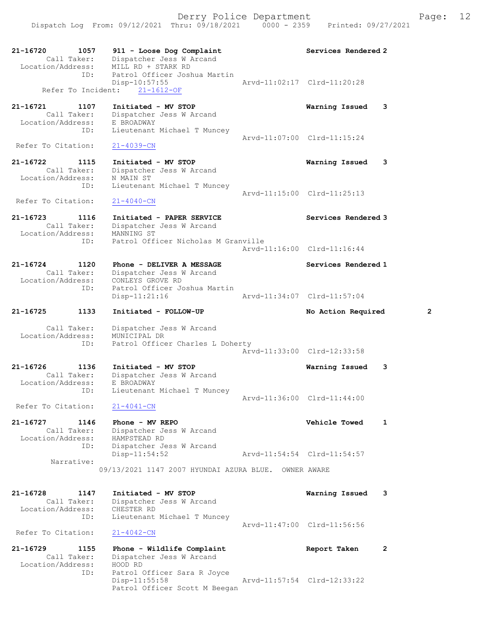Dispatch Log From: 09/12/2021 Thru: 09/18/2021 0000 - 2359 Printed: 09/27/2021

| 21-16720<br>1057<br>Call Taker:<br>Location/Address: | 911 - Loose Dog Complaint<br>Dispatcher Jess W Arcand<br>MILL RD + STARK RD  | Services Rendered 2         |   |
|------------------------------------------------------|------------------------------------------------------------------------------|-----------------------------|---|
| ID:<br>Refer To Incident:                            | Patrol Officer Joshua Martin<br>Disp-10:57:55<br>$21 - 1612 - OF$            | Arvd-11:02:17 Clrd-11:20:28 |   |
| 21-16721<br>1107<br>Call Taker:<br>Location/Address: | Initiated - MV STOP<br>Dispatcher Jess W Arcand<br>E BROADWAY                | Warning Issued              | 3 |
| ID:<br>Refer To Citation:                            | Lieutenant Michael T Muncey<br>$21 - 4039 - CN$                              | Arvd-11:07:00 Clrd-11:15:24 |   |
| 21-16722<br>1115                                     | Initiated - MV STOP                                                          | Warning Issued              | 3 |
| Call Taker:<br>Location/Address:<br>ID:              | Dispatcher Jess W Arcand<br>N MAIN ST<br>Lieutenant Michael T Muncey         |                             |   |
| Refer To Citation:                                   | $21 - 4040 - CN$                                                             | Arvd-11:15:00 Clrd-11:25:13 |   |
| 21-16723<br>1116<br>Call Taker:<br>Location/Address: | Initiated - PAPER SERVICE<br>Dispatcher Jess W Arcand<br>MANNING ST          | Services Rendered 3         |   |
| ID:                                                  | Patrol Officer Nicholas M Granville                                          | Arvd-11:16:00 Clrd-11:16:44 |   |
| 21-16724<br>1120<br>Call Taker:<br>Location/Address: | Phone - DELIVER A MESSAGE<br>Dispatcher Jess W Arcand<br>CONLEYS GROVE RD    | Services Rendered 1         |   |
| ID:                                                  | Patrol Officer Joshua Martin<br>Disp-11:21:16                                | Arvd-11:34:07 Clrd-11:57:04 |   |
| 21-16725<br>1133                                     | Initiated - FOLLOW-UP                                                        | No Action Required          | 2 |
| Call Taker:<br>Location/Address:<br>ID:              | Dispatcher Jess W Arcand<br>MUNICIPAL DR<br>Patrol Officer Charles L Doherty | Arvd-11:33:00 Clrd-12:33:58 |   |
| 21-16726<br>1136<br>Call Taker:<br>Location/Address: | Initiated - MV STOP<br>Dispatcher Jess W Arcand<br>E BROADWAY                | Warning Issued              | 3 |
| ID:<br>Refer To Citation:                            | Lieutenant Michael T Muncey<br>$21 - 4041 - CN$                              | Arvd-11:36:00 Clrd-11:44:00 |   |
| 21-16727<br>1146<br>Call Taker:<br>Location/Address: | Phone - MV REPO<br>Dispatcher Jess W Arcand<br>HAMPSTEAD RD                  | Vehicle Towed               | 1 |
| ID:<br>Narrative:                                    | Dispatcher Jess W Arcand<br>$Disp-11:54:52$                                  | Arvd-11:54:54 Clrd-11:54:57 |   |
|                                                      | 09/13/2021 1147 2007 HYUNDAI AZURA BLUE. OWNER AWARE                         |                             |   |
| 21-16728<br>1147<br>Call Taker:<br>Location/Address: | Initiated - MV STOP<br>Dispatcher Jess W Arcand<br>CHESTER RD                | Warning Issued              | 3 |
| ID:<br>Refer To Citation:                            | Lieutenant Michael T Muncey<br>$21 - 4042 - CN$                              | Arvd-11:47:00 Clrd-11:56:56 |   |
| 21-16729<br>1155<br>Call Taker:                      | Phone - Wildlife Complaint<br>Dispatcher Jess W Arcand                       | Report Taken                | 2 |

Location/Address: HOOD RD<br>ID: Patrol C ID: Patrol Officer Sara R Joyce Disp-11:55:58 Arvd-11:57:54 Clrd-12:33:22 Patrol Officer Scott M Beegan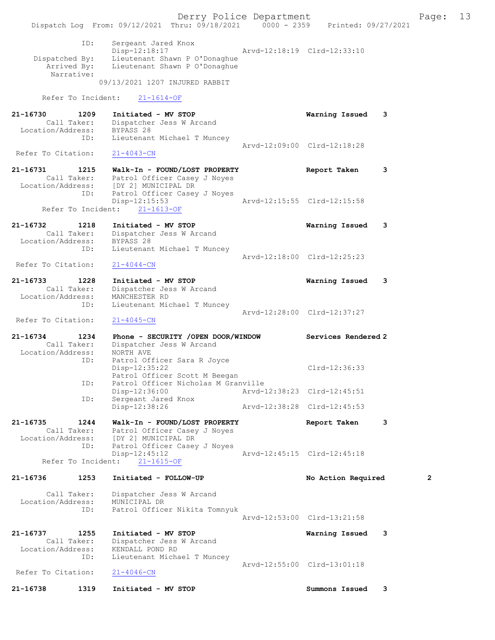Derry Police Department The Page: 13 Dispatch Log From: 09/12/2021 Thru: 09/18/2021 0000 - 2359 Printed: 09/27/2021 ID: Sergeant Jared Knox Disp-12:18:17 Arvd-12:18:19 Clrd-12:33:10 Dispatched By: Lieutenant Shawn P O'Donaghue Arrived By: Lieutenant Shawn P O'Donaghue Narrative: 09/13/2021 1207 INJURED RABBIT Refer To Incident: 21-1614-OF 21-16730 1209 Initiated - MV STOP Warning Issued 3 Call Taker: Dispatcher Jess W Arcand Location/Address: BYPASS 28 ID: Lieutenant Michael T Muncey Arvd-12:09:00 Clrd-12:18:28<br>21-4043-CN Refer To Citation: 21-16731 1215 Walk-In - FOUND/LOST PROPERTY Report Taken 3 Call Taker: Patrol Officer Casey J Noyes Location/Address: [DY 2] MUNICIPAL DR ID: Patrol Officer Casey J Noyes<br>Disp-12:15:53 Disp-12:15:53 Arvd-12:15:55 Clrd-12:15:58 Refer To Incident: 21-1613-OF 21-16732 1218 Initiated - MV STOP Warning Issued 3 Call Taker: Dispatcher Jess W Arcand Location/Address: BYPASS 28 ID: Lieutenant Michael T Muncey Arvd-12:18:00 Clrd-12:25:23<br>21-4044-CN Refer To Citation: 21-16733 1228 Initiated - MV STOP Warning Issued 3 Call Taker: Dispatcher Jess W Arcand Location/Address: MANCHESTER RD ID: Lieutenant Michael T Muncey Arvd-12:28:00 Clrd-12:37:27 Refer To Citation: 21-4045-CN 21-16734 1234 Phone - SECURITY /OPEN DOOR/WINDOW Services Rendered 2 Call Taker: Dispatcher Jess W Arcand Location/Address: NORTH AVE ID: Patrol Officer Sara R Joyce Disp-12:35:22 Clrd-12:36:33 Patrol Officer Scott M Beegan<br>ID: Patrol Officer Nicholas M Gran ID: Patrol Officer Nicholas M Granville Disp-12:36:00 Arvd-12:38:23 Clrd-12:45:51 ID: Sergeant Jared Knox Disp-12:38:26 Arvd-12:38:28 Clrd-12:45:53 21-16735 1244 Walk-In - FOUND/LOST PROPERTY Report Taken 3 Call Taker: Patrol Officer Casey J Noyes Location/Address: [DY 2] MUNICIPAL DR ID: Patrol Officer Casey J Noyes Disp-12:45:12 Arvd-12:45:15 Clrd-12:45:18 Refer To Incident: 21-1615-OF 21-16736 1253 Initiated - FOLLOW-UP No Action Required 2 Call Taker: Dispatcher Jess W Arcand Location/Address: MUNICIPAL DR ID: Patrol Officer Nikita Tomnyuk Arvd-12:53:00 Clrd-13:21:58 21-16737 1255 Initiated - MV STOP Warning Issued 3<br>Call Taker: Dispatcher Jess W Arcand Call Taker: Dispatcher Jess W Arcand Location/Address: KENDALL POND RD ID: Lieutenant Michael T Muncey Arvd-12:55:00 Clrd-13:01:18<br>21-4046-CN Refer To Citation: 21-16738 1319 Initiated - MV STOP Summons Issued 3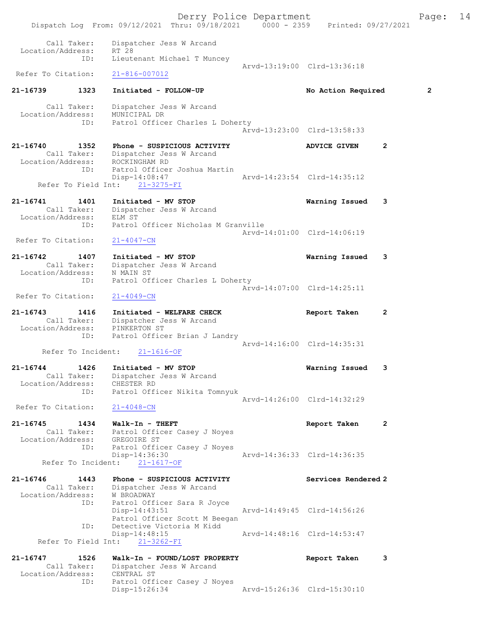Derry Police Department Fage: 14 Dispatch Log From: 09/12/2021 Thru: 09/18/2021 0000 - 2359 Printed: 09/27/2021 Call Taker: Dispatcher Jess W Arcand<br>ion/Address: RT 28 Location/Address: RT 28<br>ID: Lieute Lieutenant Michael T Muncey Arvd-13:19:00 Clrd-13:36:18 Refer To Citation: 21-816-007012 21-16739 1323 Initiated - FOLLOW-UP No Action Required 2 Call Taker: Dispatcher Jess W Arcand Location/Address: MUNICIPAL DR ID: Patrol Officer Charles L Doherty Arvd-13:23:00 Clrd-13:58:33 21-16740 1352 Phone - SUSPICIOUS ACTIVITY ADVICE GIVEN 2 Call Taker: Dispatcher Jess W Arcand Location/Address: ROCKINGHAM RD ID: Patrol Officer Joshua Martin<br>Disp-14:08:47 Disp-14:08:47 Arvd-14:23:54 Clrd-14:35:12 Refer To Field Int: 21-3275-FI 21-16741 1401 Initiated - MV STOP Warning Issued 3 Call Taker: Dispatcher Jess W Arcand Location/Address: ELM ST ID: Patrol Officer Nicholas M Granville Arvd-14:01:00 Clrd-14:06:19 Refer To Citation: 21-4047-CN 21-16742 1407 Initiated - MV STOP Warning Issued 3 Call Taker: Dispatcher Jess W Arcand Location/Address: N MAIN ST ID: Patrol Officer Charles L Doherty Arvd-14:07:00 Clrd-14:25:11 Refer To Citation: 21-4049-CN 21-16743 1416 Initiated - WELFARE CHECK Report Taken 2 Call Taker: Dispatcher Jess W Arcand Location/Address: PINKERTON ST ID: Patrol Officer Brian J Landry Arvd-14:16:00 Clrd-14:35:31 Refer To Incident: 21-1616-OF 21-16744 1426 Initiated - MV STOP Warning Issued 3 Call Taker: Dispatcher Jess W Arcand Location/Address: CHESTER RD ID: Patrol Officer Nikita Tomnyuk Arvd-14:26:00 Clrd-14:32:29 Refer To Citation:  $21-4048-CN$ 21-16745 1434 Walk-In - THEFT Report Taken 2 Call Taker: Patrol Officer Casey J Noyes Location/Address: ess: GREGOIRE ST<br>ID: Patrol Officer Casey J Noyes<br>Disp-14:36:30 Disp-14:36:30 Arvd-14:36:33 Clrd-14:36:35 Refer To Incident: 21-1617-OF 21-16746 1443 Phone - SUSPICIOUS ACTIVITY Services Rendered 2 Call Taker: Dispatcher Jess W Arcand Location/Address: W BROADWAY Patrol Officer Sara R Joyce<br>Disp-14:43:51 Arvd-14:49:45 Clrd-14:56:26 Patrol Officer Scott M Beegan ID: Detective Victoria M Kidd Disp-14:48:15 Arvd-14:48:16 Clrd-14:53:47 Refer To Field Int: 21-3262-FI 21-16747 1526 Walk-In - FOUND/LOST PROPERTY Report Taken 3 Call Taker: Dispatcher Jess W Arcand Location/Address: CENTRAL ST ID: Patrol Officer Casey J Noyes<br>Disp-15:26:34 Disp-15:26:34 Arvd-15:26:36 Clrd-15:30:10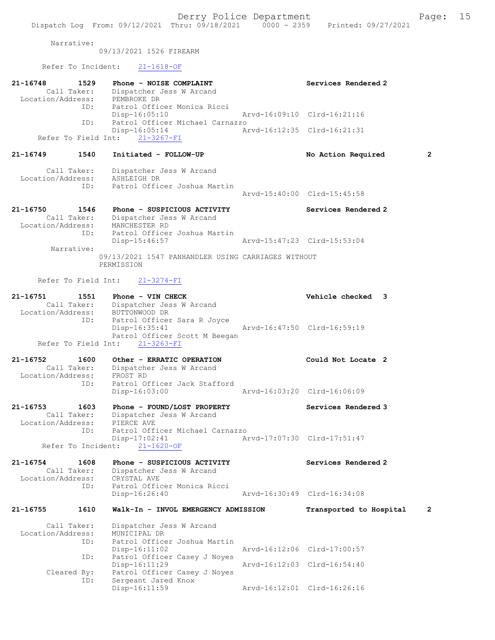Narrative:

09/13/2021 1526 FIREARM

Refer To Incident: 21-1618-OF

ID: Patrol Officer Casey J Noyes

| 21-16748<br>Location/Address: | 1529<br>Call Taker:        | Phone - NOISE COMPLAINT<br>Dispatcher Jess W Arcand<br>PEMBROKE DR                                                   | Services Rendered 2         |                |
|-------------------------------|----------------------------|----------------------------------------------------------------------------------------------------------------------|-----------------------------|----------------|
|                               | ID:                        | Patrol Officer Monica Ricci<br>$Disp-16:05:10$                                                                       | Arvd-16:09:10 Clrd-16:21:16 |                |
|                               | ID:                        | Patrol Officer Michael Carnazzo<br>Disp-16:05:14<br>Refer To Field Int: 21-3267-FI                                   | Arvd-16:12:35 Clrd-16:21:31 |                |
| 21-16749                      | 1540                       | Initiated - FOLLOW-UP                                                                                                | No Action Required          | 2              |
| Location/Address:             | Call Taker:                | Dispatcher Jess W Arcand<br>ASHLEIGH DR                                                                              |                             |                |
|                               | ID:                        | Patrol Officer Joshua Martin                                                                                         | Arvd-15:40:00 Clrd-15:45:58 |                |
| 21-16750<br>Location/Address: | 1546<br>Call Taker:        | Phone - SUSPICIOUS ACTIVITY<br>Dispatcher Jess W Arcand<br>MANCHESTER RD                                             | Services Rendered 2         |                |
|                               | ID:                        | Patrol Officer Joshua Martin<br>Disp-15:46:57                                                                        | Arvd-15:47:23 Clrd-15:53:04 |                |
|                               | Narrative:                 | 09/13/2021 1547 PANHANDLER USING CARRIAGES WITHOUT<br>PERMISSION                                                     |                             |                |
|                               | Refer To Field Int:        | $21 - 3274 - FI$                                                                                                     |                             |                |
| 21-16751<br>Location/Address: | 1551                       | Phone - VIN CHECK<br>Call Taker: Dispatcher Jess W Arcand                                                            | Vehicle checked 3           |                |
|                               | ID:<br>Refer To Field Int: | BUTTONWOOD DR<br>Patrol Officer Sara R Joyce<br>$Disp-16:35:41$<br>Patrol Officer Scott M Beegan<br>$21 - 3263 - FI$ | Arvd-16:47:50 Clrd-16:59:19 |                |
| 21-16752                      | 1600                       | Other - ERRATIC OPERATION                                                                                            | Could Not Locate 2          |                |
| Location/Address:             | Call Taker:<br>ID:         | Dispatcher Jess W Arcand<br>FROST RD<br>Patrol Officer Jack Stafford                                                 |                             |                |
|                               |                            | $Disp-16:03:00$                                                                                                      | Arvd-16:03:20 Clrd-16:06:09 |                |
| 21-16753<br>Location/Address: | 1603<br>Call Taker:        | Phone - FOUND/LOST PROPERTY<br>Dispatcher Jess W Arcand<br>PIERCE AVE                                                | Services Rendered 3         |                |
|                               | ID:<br>Refer To Incident:  | Patrol Officer Michael Carnazzo<br>Disp-17:02:41<br>$21 - 1620 - OF$                                                 | Arvd-17:07:30 Clrd-17:51:47 |                |
| 21-16754<br>Location/Address: | 1608<br>Call Taker:        | Phone - SUSPICIOUS ACTIVITY<br>Dispatcher Jess W Arcand<br>CRYSTAL AVE                                               | Services Rendered 2         |                |
|                               | ID:                        | Patrol Officer Monica Ricci<br>Disp-16:26:40                                                                         | Arvd-16:30:49 Clrd-16:34:08 |                |
| 21-16755                      | 1610                       | Walk-In - INVOL EMERGENCY ADMISSION                                                                                  | Transported to Hospital     | $\overline{2}$ |
| Location/Address:             | Call Taker:<br>ID:         | Dispatcher Jess W Arcand<br>MUNICIPAL DR<br>Patrol Officer Joshua Martin                                             |                             |                |
|                               | ID:                        | Disp-16:11:02<br>Patrol Officer Casey J Noyes                                                                        | Arvd-16:12:06 Clrd-17:00:57 |                |

Cleared By: Patrol Officer Casey J Noyes<br>ID: Sergeant Jared Knox Sergeant Jared Knox<br>Disp-16:11:59 Arvd-16:12:01 Clrd-16:26:16

Disp-16:11:29 Arvd-16:12:03 Clrd-16:54:40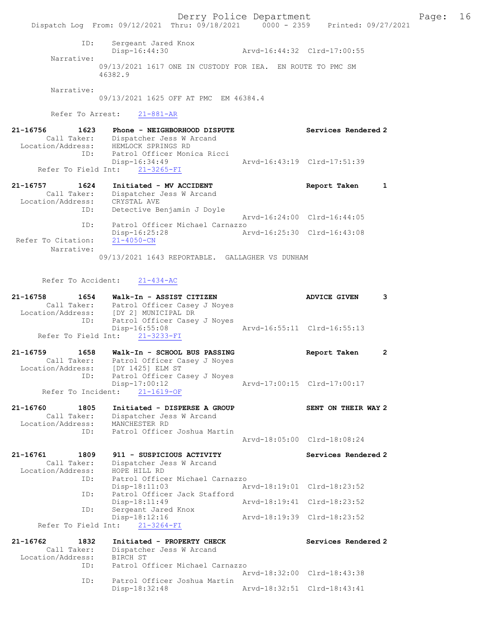Derry Police Department Fage: 16 Dispatch Log From: 09/12/2021 Thru: 09/18/2021 0000 - 2359 Printed: 09/27/2021 ID: Sergeant Jared Knox Disp-16:44:30 Arvd-16:44:32 Clrd-17:00:55 Narrative: 09/13/2021 1617 ONE IN CUSTODY FOR IEA. EN ROUTE TO PMC SM 46382.9 Narrative: 09/13/2021 1625 OFF AT PMC EM 46384.4 Refer To Arrest: 21-881-AR 21-16756 1623 Phone - NEIGHBORHOOD DISPUTE Services Rendered 2 Call Taker: Dispatcher Jess W Arcand Location/Address: HEMLOCK SPRINGS RD ID: Patrol Officer Monica Ricci Disp-16:34:49 Arvd-16:43:19 Clrd-17:51:39 Refer To Field Int: 21-3265-FI 21-16757 1624 Initiated - MV ACCIDENT 1 1620 Report Taken 1 Call Taker: Dispatcher Jess W Arcand Location/Address: CRYSTAL AVE ID: Detective Benjamin J Doyle Arvd-16:24:00 Clrd-16:44:05 ID: Patrol Officer Michael Carnazzo Disp-16:25:28 Arvd-16:25:30 Clrd-16:43:08 Refer To Citation: 21-4050-CN Narrative: 09/13/2021 1643 REPORTABLE. GALLAGHER VS DUNHAM Refer To Accident: 21-434-AC 21-16758 1654 Walk-In - ASSIST CITIZEN ADVICE GIVEN 3 Call Taker: Patrol Officer Casey J Noyes Location/Address: [DY 2] MUNICIPAL DR ID: Patrol Officer Casey J Noyes Disp-16:55:08 Arvd-16:55:11 Clrd-16:55:13 Refer To Field Int: 21-3233-FI 21-16759 1658 Walk-In - SCHOOL BUS PASSING Report Taken 2 Call Taker: Patrol Officer Casey J Noyes Location/Address: [DY 1425] ELM ST ID: Patrol Officer Casey J Noyes Disp-17:00:12 Arvd-17:00:15 Clrd-17:00:17 Refer To Incident: 21-1619-OF 21-16760 1805 Initiated - DISPERSE A GROUP SENT ON THEIR WAY 2 Call Taker: Dispatcher Jess W Arcand Location/Address: MANCHESTER RD ID: Patrol Officer Joshua Martin Arvd-18:05:00 Clrd-18:08:24 21-16761 1809 911 - SUSPICIOUS ACTIVITY Services Rendered 2 Call Taker: Dispatcher Jess W Arcand Location/Address: HOPE HILL RD ID: Patrol Officer Michael Carnazzo Arvd-18:19:01 Clrd-18:23:52 ID: Patrol Officer Jack Stafford<br>Disp-18:11:49 Arvd-18:19:41 Clrd-18:23:52 ID: Sergeant Jared Knox Disp-18:12:16 Arvd-18:19:39 Clrd-18:23:52 Refer To Field Int: 21-3264-FI 21-16762 1832 Initiated - PROPERTY CHECK Services Rendered 2 Call Taker: Dispatcher Jess W Arcand Location/Address: BIRCH ST ID: Patrol Officer Michael Carnazzo Arvd-18:32:00 Clrd-18:43:38<br>TD: Patrol Officer Joshua Martin Patrol Officer Joshua Martin<br>Disp-18:32:48 Disp-18:32:48 Arvd-18:32:51 Clrd-18:43:41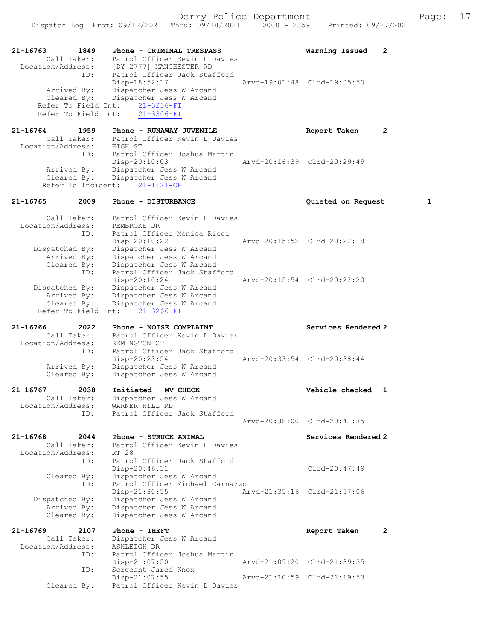21-16763 1849 Phone - CRIMINAL TRESPASS Warning Issued 2 Call Taker: Patrol Officer Kevin L Davies Location/Address: [DY 2777] MANCHESTER RD ID: Patrol Officer Jack Stafford<br>Disp-18:52:17 Disp-18:52:17 Arvd-19:01:48 Clrd-19:05:50<br>Arrived By: Dispatcher Jess W Arcand Arrived By: Dispatcher Jess W Arcand Cleared By: Dispatcher Jess W Arcand Refer To Field Int:  $\frac{21-3236-FI}{21-3306-FI}$ Refer To Field Int: 21-16764 1959 Phone - RUNAWAY JUVENILE Report Taken 2 Call Taker: Patrol Officer Kevin L Davies Location/Address: HIGH ST ID: Patrol Officer Joshua Martin Disp-20:10:03 Arvd-20:16:39 Clrd-20:29:49 Arrived By: Dispatcher Jess W Arcand Cleared By: Dispatcher Jess W Arcand Refer To Incident: 21-1621-OF 21-16765 2009 Phone - DISTURBANCE Quieted on Request 1 Call Taker: Patrol Officer Kevin L Davies Location/Address: PEMBROKE DR ID: Patrol Officer Monica Ricci Disp-20:10:22 Arvd-20:15:52 Clrd-20:22:18 Dispatched By: Dispatcher Jess W Arcand Arrived By: Dispatcher Jess W Arcand Cleared By: Dispatcher Jess W Arcand ID: Patrol Officer Jack Stafford Disp-20:10:24 Arvd-20:15:54 Clrd-20:22:20 Dispatched By: Dispatcher Jess W Arcand<br>Arrived By: Dispatcher Jess W Arcand Arrived By: Dispatcher Jess W Arcand Cleared By: Dispatcher Jess W Arcand Refer To Field Int: 21-3266-FI 21-16766 2022 Phone - NOISE COMPLAINT Services Rendered 2 Call Taker: Patrol Officer Kevin L Davies Location/Address: REMINGTON CT ID: Patrol Officer Jack Stafford<br>Disp-20:23:54 Disp-20:23:54 Arvd-20:33:54 Clrd-20:38:44 Arrived By: Dispatcher Jess W Arcand Cleared By: Dispatcher Jess W Arcand 21-16767 2038 Initiated - MV CHECK Vehicle checked 1 Call Taker: Dispatcher Jess W Arcand<br>ion/Address: WARNER HILL RD Lair runs<br>Location/Address:<br>ID: ..<br>Patrol Officer Jack Stafford Arvd-20:38:00 Clrd-20:41:35 21-16768 2044 Phone - STRUCK ANIMAL Services Rendered 2 Call Taker: Patrol Officer Kevin L Davies Location/Address: RT 28<br>ID: Patro: Patrol Officer Jack Stafford Disp-20:46:11 Clrd-20:47:49 Cleared By: Dispatcher Jess W Arcand ID: Patrol Officer Michael Carnazzo<br>Disp-21:30:55 An Disp-21:30:55 Arvd-21:35:16 Clrd-21:57:06 Dispatched By: Dispatcher Jess W Arcand Arrived By: Dispatcher Jess W Arcand Cleared By: Dispatcher Jess W Arcand 21-16769 2107 Phone - THEFT Report Taken 2 Call Taker: Dispatcher Jess W Arcand<br>ion/Address: ASHLEIGH DR Location/Address:<br>ID: Patrol Officer Joshua Martin<br>Disp-21:07:50 Disp-21:07:50 Arvd-21:09:20 Clrd-21:39:35<br>ID: Sergeant Jared Knox Sergeant Jared Knox<br>Disp-21:07:55 Disp-21:07:55 Arvd-21:10:59 Cleared By: Patrol Officer Kevin L Davies Patrol Officer Kevin L Davies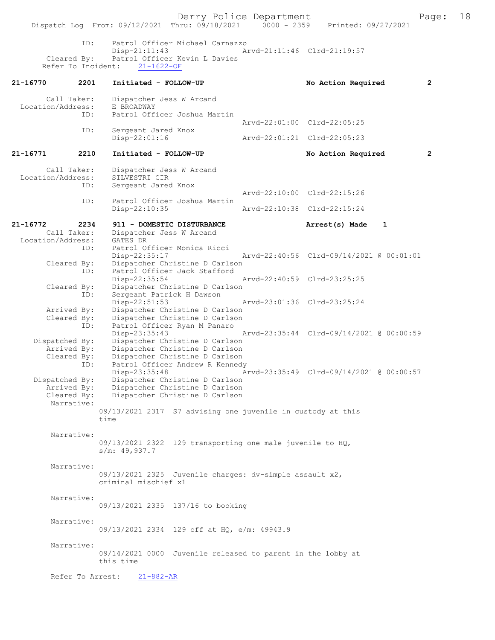Derry Police Department<br>
Page: 18 Printed: 09/27/2021 09/27/2021 Dispatch Log From: 09/12/2021 Thru: 09/18/2021 ID: Patrol Officer Michael Carnazzo Disp-21:11:43 Arvd-21:11:46 Clrd-21:19:57<br>Cleared By: Patrol Officer Kevin L Davies Patrol Officer Kevin L Davies<br>it: 21-1622-OF Refer To Incident: 21-16770 2201 Initiated - FOLLOW-UP No Action Required 2 Call Taker: Dispatcher Jess W Arcand<br>.on/Address: E BROADWAY Location/Address:<br>ID: Patrol Officer Joshua Martin Arvd-22:01:00 Clrd-22:05:25<br>ID: Sergeant Jared Knox Sergeant Jared Knox<br>Disp-22:01:16 Arvd-22:01:21 Clrd-22:05:23 21-16771 2210 Initiated - FOLLOW-UP No Action Required 2 Call Taker: Dispatcher Jess W Arcand<br>.on/Address: SILVESTRI CIR Location/Address: ID: Sergeant Jared Knox Arvd-22:10:00 Clrd-22:15:26<br>TD: Patrol Officer Joshua Martin Patrol Officer Joshua Martin<br>Disp-22:10:35 Disp-22:10:35 Arvd-22:10:38 Clrd-22:15:24 21-16772 2234 911 - DOMESTIC DISTURBANCE Arrest(s) Made 1<br>Call Taker: Dispatcher Jess W Arcand Dispatcher Jess W Arcand<br>GATES DR Location/Address:<br>ID: Patrol Officer Monica Ricci Disp-22:35:17 Arvd-22:40:56 Clrd-09/14/2021 @ 00:01:01<br>Cleared Bv: Dispatcher Christine D Carlson By: Dispatcher Christine D Carlson<br>ID: Patrol Officer Jack Stafford Patrol Officer Jack Stafford<br>Disp-22:35:54 Disp-22:35:54 Arvd-22:40:59 Clrd-23:25:25 Cleared By: Dispatcher Christine D Carlson ID: Sergeant Patrick H Dawson<br>Disp-22:51:53 Disp-22:51:53 Arvd-23:01:36 Clrd-23:25:24<br>Arrived By: Dispatcher Christine D Carlson Dispatcher Christine D Carlson Cleared By: Dispatcher Christine D Carlson ID: Patrol Officer Ryan M Panaro<br>Disp-23:35:43 Disp-23:35:43 Arvd-23:35:44 Clrd-09/14/2021 @ 00:00:59<br>Dispatched By: Dispatcher Christine D Carlson Dispatcher Christine D Carlson Arrived By: Dispatcher Christine D Carlson<br>Cleared By: Dispatcher Christine D Carlson By: Dispatcher Christine D Carlson<br>ID: Patrol Officer Andrew R Kennedy Patrol Officer Andrew R Kennedy<br>Disp-23:35:48 A Disp-23:35:48 Arvd-23:35:49 Clrd-09/14/2021 @ 00:00:57<br>Dispatched By: Dispatcher Christine D Carlson Dispatcher Christine D Carlson Arrived By: Dispatcher Christine D Carlson<br>Cleared By: Dispatcher Christine D Carlson Dispatcher Christine D Carlson Narrative: 09/13/2021 2317 S7 advising one juvenile in custody at this time Narrative: 09/13/2021 2322 129 transporting one male juvenile to HQ, s/m: 49,937.7 Narrative: 09/13/2021 2325 Juvenile charges: dv-simple assault x2, criminal mischief x1 Narrative: 09/13/2021 2335 137/16 to booking Narrative: 09/13/2021 2334 129 off at HQ, e/m: 49943.9 Narrative: 09/14/2021 0000 Juvenile released to parent in the lobby at this time Refer To Arrest: 21-882-AR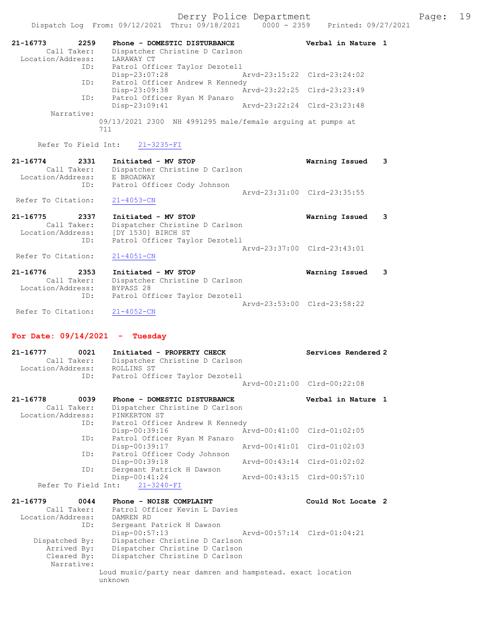|                                                                        | Dispatch Log From: 09/12/2021 Thru: 09/18/2021 0000 - 2359 Printed: 09/27/2021                                  | Derry Police Department |                             |   | Page: | 19 |
|------------------------------------------------------------------------|-----------------------------------------------------------------------------------------------------------------|-------------------------|-----------------------------|---|-------|----|
| 21-16773<br>2259<br>Call Taker:<br>Location/Address:                   | Phone - DOMESTIC DISTURBANCE<br>Dispatcher Christine D Carlson<br>LARAWAY CT                                    |                         | Verbal in Nature 1          |   |       |    |
| ID:                                                                    | Patrol Officer Taylor Dezotell<br>Disp-23:07:28                                                                 |                         | Arvd-23:15:22 Clrd-23:24:02 |   |       |    |
| ID:                                                                    | Patrol Officer Andrew R Kennedy<br>$Disp-23:09:38$                                                              |                         | Arvd-23:22:25 Clrd-23:23:49 |   |       |    |
| ID:                                                                    | Patrol Officer Ryan M Panaro<br>$Disp-23:09:41$                                                                 |                         | Arvd-23:22:24 Clrd-23:23:48 |   |       |    |
| Narrative:                                                             | $09/13/2021$ 2300 NH 4991295 male/female arguing at pumps at<br>711                                             |                         |                             |   |       |    |
| Refer To Field Int:                                                    | $21 - 3235 - FI$                                                                                                |                         |                             |   |       |    |
| 21-16774<br>2331<br>Call Taker:<br>Location/Address: E BROADWAY<br>ID: | Initiated - MV STOP<br>Dispatcher Christine D Carlson<br>Patrol Officer Cody Johnson                            |                         | Warning Issued              | 3 |       |    |
| Refer To Citation:                                                     | $21 - 4053 - CN$                                                                                                |                         | Arvd-23:31:00 Clrd-23:35:55 |   |       |    |
| 21-16775<br>2337<br>Call Taker:<br>Location/Address:                   | Initiated - MV STOP<br>Dispatcher Christine D Carlson<br>[DY 1530] BIRCH ST                                     |                         | Warning Issued              | 3 |       |    |
| ID:<br>Refer To Citation:                                              | Patrol Officer Taylor Dezotell<br>$21 - 4051 - CN$                                                              |                         | Arvd-23:37:00 Clrd-23:43:01 |   |       |    |
| 21-16776<br>2353<br>Call Taker:<br>Location/Address:<br>ID:            | Initiated - MV STOP<br>Dispatcher Christine D Carlson<br>BYPASS <sub>28</sub><br>Patrol Officer Taylor Dezotell |                         | Warning Issued              | 3 |       |    |
| Refer To Citation:                                                     | $21 - 4052 - CN$                                                                                                |                         | Arvd-23:53:00 Clrd-23:58:22 |   |       |    |
| For Date: $09/14/2021 -$                                               | Tuesday                                                                                                         |                         |                             |   |       |    |
| 0021<br>21-16777<br>Call Taker:<br>Location/Address:<br>ID:            | Initiated - PROPERTY CHECK<br>Dispatcher Christine D Carlson<br>ROLLINS ST<br>Patrol Officer Taylor Dezotell    |                         | Services Rendered 2         |   |       |    |
|                                                                        |                                                                                                                 |                         | Arvd-00:21:00 Clrd-00:22:08 |   |       |    |
| 21-16778<br>0039<br>Call Taker:<br>Location/Address:                   | Phone - DOMESTIC DISTURBANCE<br>Dispatcher Christine D Carlson<br>PINKERTON ST                                  |                         | Verbal in Nature 1          |   |       |    |
| ID:                                                                    | Patrol Officer Andrew R Kennedy<br>Disp-00:39:16                                                                |                         | Arvd-00:41:00 Clrd-01:02:05 |   |       |    |
| ID:                                                                    | Patrol Officer Ryan M Panaro<br>Disp-00:39:17                                                                   |                         | Arvd-00:41:01 Clrd-01:02:03 |   |       |    |
| ID:                                                                    | Patrol Officer Cody Johnson<br>Disp-00:39:18                                                                    |                         | Aryd-00:43:14 Clrd-01:02:02 |   |       |    |
| ID:<br>Refer To Field Int:                                             | Sergeant Patrick H Dawson<br>$Disp-00:41:24$<br>$21 - 3240 - FI$                                                |                         | Arvd-00:43:15 Clrd-00:57:10 |   |       |    |
| $21 - 16779$<br>0044                                                   | Phone - NOISE COMPLAINT                                                                                         |                         | Could Not Locate 2          |   |       |    |
| Call Taker:<br>Location/Address:<br>ID:                                | Patrol Officer Kevin L Davies<br>DAMREN RD<br>Sergeant Patrick H Dawson<br>$Disp-00:57:13$                      |                         | Arvd-00:57:14 Clrd-01:04:21 |   |       |    |
| Dispatched By:<br>Arrived By:<br>Cleared By:                           | Dispatcher Christine D Carlson<br>Dispatcher Christine D Carlson<br>Dispatcher Christine D Carlson              |                         |                             |   |       |    |

Loud music/party near damren and hampstead. exact location

Narrative:

unknown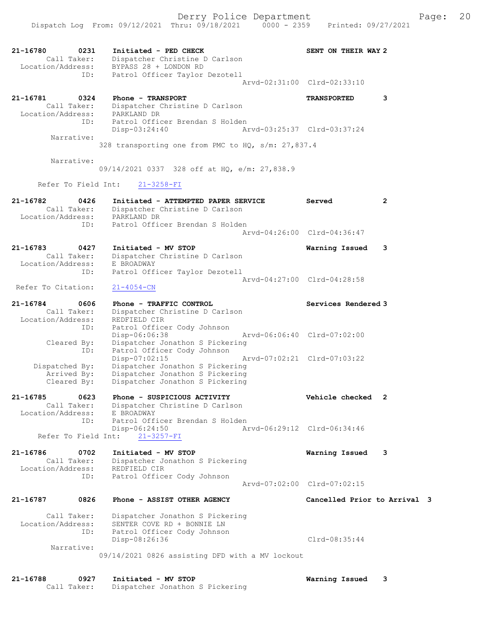| 21-16780<br>Call Taker:<br>Location/Address: | 0231                | Initiated - PED CHECK<br>Dispatcher Christine D Carlson<br>BYPASS 28 + LONDON RD                                       | SENT ON THEIR WAY 2          |   |
|----------------------------------------------|---------------------|------------------------------------------------------------------------------------------------------------------------|------------------------------|---|
|                                              | ID:                 | Patrol Officer Taylor Dezotell                                                                                         | Arvd-02:31:00 Clrd-02:33:10  |   |
| 21-16781<br>Call Taker:<br>Location/Address: | 0324                | Phone - TRANSPORT<br>Dispatcher Christine D Carlson<br>PARKLAND DR                                                     | <b>TRANSPORTED</b>           | 3 |
|                                              | ID:<br>Narrative:   | Patrol Officer Brendan S Holden<br>$Disp-03:24:40$                                                                     | Arvd-03:25:37 Clrd-03:37:24  |   |
|                                              |                     | 328 transporting one from PMC to HQ, s/m: 27,837.4                                                                     |                              |   |
|                                              | Narrative:          | 09/14/2021 0337 328 off at HQ, e/m: 27,838.9                                                                           |                              |   |
| Refer To Field Int:                          |                     | $21 - 3258 - FI$                                                                                                       |                              |   |
| $21 - 16782$<br>Location/Address:            | 0426<br>Call Taker: | Initiated - ATTEMPTED PAPER SERVICE<br>Dispatcher Christine D Carlson<br>PARKLAND DR                                   | Served                       | 2 |
|                                              | ID:                 | Patrol Officer Brendan S Holden                                                                                        | Aryd-04:26:00 Clrd-04:36:47  |   |
| 21-16783<br>Call Taker:<br>Location/Address: | 0427                | Initiated - MV STOP<br>Dispatcher Christine D Carlson<br>E BROADWAY                                                    | Warning Issued               | 3 |
| Refer To Citation:                           | ID:                 | Patrol Officer Taylor Dezotell<br>$21 - 4054 - CN$                                                                     | Arvd-04:27:00 Clrd-04:28:58  |   |
| 21-16784                                     | 0606                | Phone - TRAFFIC CONTROL                                                                                                | Services Rendered 3          |   |
| Call Taker:<br>Location/Address:             | ID:                 | Dispatcher Christine D Carlson<br>REDFIELD CIR<br>Patrol Officer Cody Johnson                                          |                              |   |
| Cleared By:                                  | ID:                 | Disp-06:06:38<br>Dispatcher Jonathon S Pickering<br>Patrol Officer Cody Johnson                                        | Arvd-06:06:40 Clrd-07:02:00  |   |
| Dispatched By:<br>Arrived By:<br>Cleared By: |                     | Disp-07:02:15<br>Dispatcher Jonathon S Pickering<br>Dispatcher Jonathon S Pickering<br>Dispatcher Jonathon S Pickering | Arvd-07:02:21 Clrd-07:03:22  |   |
| 21-16785                                     | 0623                | Phone - SUSPICIOUS ACTIVITY                                                                                            | Vehicle checked              |   |
| Call Taker:<br>Location/Address:             | ID:                 | Dispatcher Christine D Carlson<br>E BROADWAY<br>Patrol Officer Brendan S Holden                                        |                              |   |
| Refer To Field Int:                          |                     | Disp-06:24:50<br>$21 - 3257 - FI$                                                                                      | Arvd-06:29:12 Clrd-06:34:46  |   |
| 21-16786<br>Call Taker:<br>Location/Address: | 0702                | Initiated - MV STOP<br>Dispatcher Jonathon S Pickering<br>REDFIELD CIR                                                 | Warning Issued               | 3 |
|                                              | ID:                 | Patrol Officer Cody Johnson                                                                                            | Arvd-07:02:00 Clrd-07:02:15  |   |
| 21-16787                                     | 0826                | Phone - ASSIST OTHER AGENCY                                                                                            | Cancelled Prior to Arrival 3 |   |
| Call Taker:<br>Location/Address:             | ID:                 | Dispatcher Jonathon S Pickering<br>SENTER COVE RD + BONNIE LN<br>Patrol Officer Cody Johnson<br>Disp-08:26:36          | $Clrd-08:35:44$              |   |
|                                              | Narrative:          | 09/14/2021 0826 assisting DFD with a MV lockout                                                                        |                              |   |
| 21-16788                                     | 0927                | Initiated - MV STOP                                                                                                    | Warning Issued               | 3 |

Call Taker: Dispatcher Jonathon S Pickering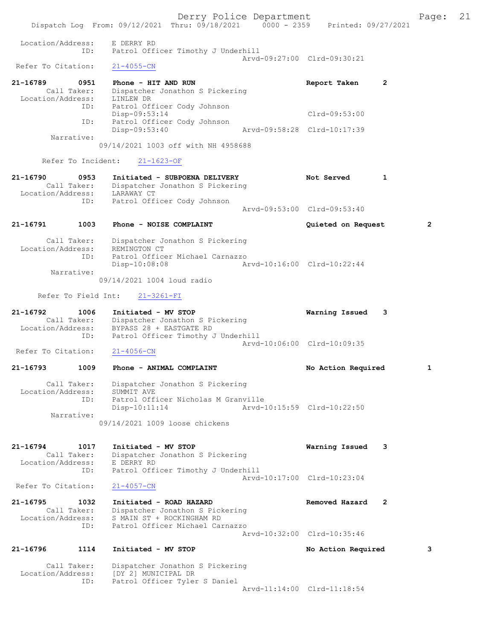Derry Police Department Fage: 21 Dispatch Log From: 09/12/2021 Thru: 09/18/2021 0000 - 2359 Printed: 09/27/2021 Location/Address: E DERRY RD ID: Patrol Officer Timothy J Underhill Arvd-09:27:00 Clrd-09:30:21<br>21-4055-CN Refer To Citation: 21-16789 0951 Phone - HIT AND RUN Report Taken 2 Call Taker: Dispatcher Jonathon S Pickering Location/Address: LINLEW DR ID: Patrol Officer Cody Johnson Disp-09:53:14 Clrd-09:53:00 ID: Patrol Officer Cody Johnson Disp-09:53:40 Arvd-09:58:28 Clrd-10:17:39 Narrative: 09/14/2021 1003 off with NH 4958688 Refer To Incident: 21-1623-OF 21-16790 0953 Initiated - SUBPOENA DELIVERY Not Served 1 Call Taker: Dispatcher Jonathon S Pickering Location/Address: LARAWAY CT ID: Patrol Officer Cody Johnson Arvd-09:53:00 Clrd-09:53:40 21-16791 1003 Phone - NOISE COMPLAINT Quieted on Request 2 Call Taker: Dispatcher Jonathon S Pickering Location/Address: REMINGTON CT ID: Patrol Officer Michael Carnazzo Disp-10:08:08 Arvd-10:16:00 Clrd-10:22:44 Narrative: 09/14/2021 1004 loud radio Refer To Field Int: 21-3261-FI 21-16792 1006 Initiated - MV STOP Warning Issued 3 Call Taker: Dispatcher Jonathon S Pickering Location/Address: BYPASS 28 + EASTGATE RD ID: Patrol Officer Timothy J Underhill Arvd-10:06:00 Clrd-10:09:35 Refer To Citation: 21-4056-CN 21-16793 1009 Phone - ANIMAL COMPLAINT No Action Required 1 Call Taker: Dispatcher Jonathon S Pickering Location/Address: SUMMIT AVE ID: Patrol Officer Nicholas M Granville Disp-10:11:14 Arvd-10:15:59 Clrd-10:22:50 Narrative: 09/14/2021 1009 loose chickens 21-16794 1017 Initiated - MV STOP Warning Issued 3 Call Taker: Dispatcher Jonathon S Pickering Location/Address: E DERRY RD ID: Patrol Officer Timothy J Underhill Arvd-10:17:00 Clrd-10:23:04<br>21-4057-CN Refer To Citation: 21-16795 1032 Initiated - ROAD HAZARD Removed Hazard 2 Call Taker: Dispatcher Jonathon S Pickering Location/Address: S MAIN ST + ROCKINGHAM RD ID: Patrol Officer Michael Carnazzo Arvd-10:32:00 Clrd-10:35:46 21-16796 1114 Initiated - MV STOP No Action Required 3 Call Taker: Dispatcher Jonathon S Pickering Location/Address: [DY 2] MUNICIPAL DR ID: Patrol Officer Tyler S Daniel Arvd-11:14:00 Clrd-11:18:54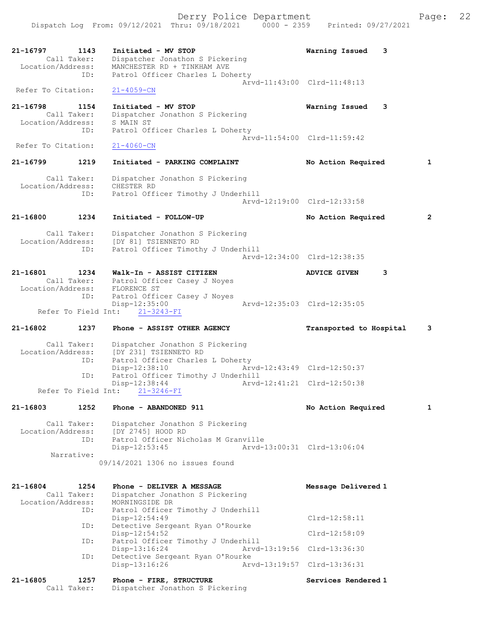21-16797 1143 Initiated - MV STOP Warning Issued 3 Call Taker: Dispatcher Jonathon S Pickering Location/Address: MANCHESTER RD + TINKHAM AVE ID: Patrol Officer Charles L Doherty Arvd-11:43:00 Clrd-11:48:13 Refer To Citation: 21-4059-CN 21-16798 1154 Initiated - MV STOP Warning Issued 3 Call Taker: Dispatcher Jonathon S Pickering Location/Address: S MAIN ST ID: Patrol Officer Charles L Doherty Arvd-11:54:00 Clrd-11:59:42<br>21-4060-CN Refer To Citation: 21-16799 1219 Initiated - PARKING COMPLAINT No Action Required 1 Call Taker: Dispatcher Jonathon S Pickering Location/Address: CHESTER RD ID: Patrol Officer Timothy J Underhill Arvd-12:19:00 Clrd-12:33:58 21-16800 1234 Initiated - FOLLOW-UP No Action Required 2 Call Taker: Dispatcher Jonathon S Pickering Location/Address: [DY 81] TSIENNETO RD ID: Patrol Officer Timothy J Underhill Arvd-12:34:00 Clrd-12:38:35 21-16801 1234 Walk-In - ASSIST CITIZEN ADVICE GIVEN 3 Call Taker: Patrol Officer Casey J Noyes Location/Address: FLORENCE ST ID: Patrol Officer Casey J Noyes Disp-12:35:00 Arvd-12:35:03 Clrd-12:35:05 Refer To Field Int:  $21-3243-FI$ 21-16802 1237 Phone - ASSIST OTHER AGENCY Transported to Hospital 3 Call Taker: Dispatcher Jonathon S Pickering Location/Address: [DY 231] TSIENNETO RD ID: Patrol Officer Charles L Doherty Disp-12:38:10 Arvd-12:43:49 Clrd-12:50:37<br>ID: Patrol Officer Timothy J Underhill<br>Clrd-12:50:38 Patrol Officer Timothy J Underhill Disp-12:38:44 Arvd-12:41:21 Clrd-12:50:38 Refer To Field Int: 21-3246-FI 21-16803 1252 Phone - ABANDONED 911 No Action Required 1 Call Taker: Dispatcher Jonathon S Pickering Location/Address: [DY 2745] HOOD RD ID: Patrol Officer Nicholas M Granville Disp-12:53:45 Arvd-13:00:31 Clrd-13:06:04 Narrative: 09/14/2021 1306 no issues found 21-16804 1254 Phone - DELIVER A MESSAGE Nessage Delivered 1 Call Taker: Dispatcher Jonathon S Pickering Location/Address: MORNINGSIDE DR ID: Patrol Officer Timothy J Underhill Disp-12:54:49 Clrd-12:58:11 ID: Detective Sergeant Ryan O'Rourke Disp-12:54:52 Clrd-12:58:09 ID: Patrol Officer Timothy J Underhill Disp-13:16:24 Arvd-13:19:56 Clrd-13:36:30 ID: Detective Sergeant Ryan O'Rourke<br>Disp-13:16:26 Arv Arvd-13:19:57 Clrd-13:36:31 21-16805 1257 Phone - FIRE, STRUCTURE North Services Rendered 1 Call Taker: Dispatcher Jonathon S Pickering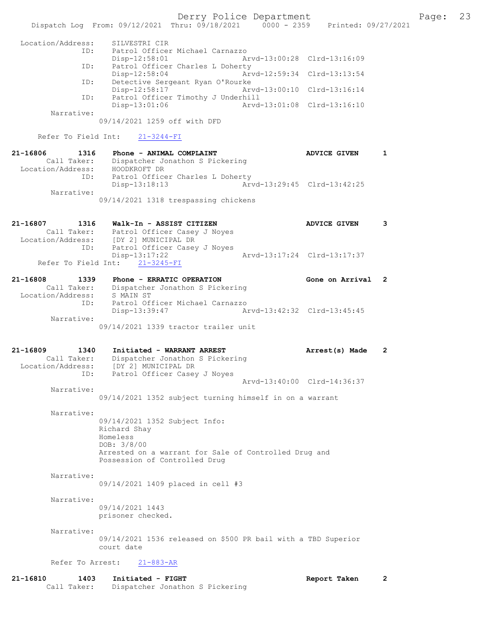Derry Police Department Fage: 23 Dispatch Log From: 09/12/2021 Thru: 09/18/2021 0000 - 2359 Printed: 09/27/2021 Location/Address: SILVESTRI CIR Patrol Officer Michael Carnazzo Disp-12:58:01 Arvd-13:00:28 Clrd-13:16:09 ID: Patrol Officer Charles L Doherty<br>Disp-12:58:04 Arv Disp-12:58:04 Arvd-12:59:34 Clrd-13:13:54 ID: Detective Sergeant Ryan O'Rourke Disp-12:58:17 Arvd-13:00:10 Clrd-13:16:14 ID: Patrol Officer Timothy J Underhill Disp-13:01:06 Arvd-13:01:08 Clrd-13:16:10 Narrative: 09/14/2021 1259 off with DFD Refer To Field Int: 21-3244-FI 21-16806 1316 Phone - ANIMAL COMPLAINT AND ADVICE GIVEN 1 Call Taker: Dispatcher Jonathon S Pickering Location/Address: HOODKROFT DR ID: Patrol Officer Charles L Doherty<br>Disp-13:18:13 Arw Disp-13:18:13 Arvd-13:29:45 Clrd-13:42:25 Narrative: 09/14/2021 1318 trespassing chickens 21-16807 1316 Walk-In - ASSIST CITIZEN ADVICE GIVEN 3 Call Taker: Patrol Officer Casey J Noyes Location/Address: [DY 2] MUNICIPAL DR ID: Patrol Officer Casey J Noyes Disp-13:17:22 Arvd-13:17:24 Clrd-13:17:37 Refer To Field Int: 21-3245-FI 21-16808 1339 Phone - ERRATIC OPERATION Gone on Arrival 2 Call Taker: Dispatcher Jonathon S Pickering Location/Address: S MAIN ST ID: Patrol Officer Michael Carnazzo Disp-13:39:47 Arvd-13:42:32 Clrd-13:45:45 Narrative: 09/14/2021 1339 tractor trailer unit 21-16809 1340 Initiated - WARRANT ARREST Arrest(s) Made 2 Call Taker: Dispatcher Jonathon S Pickering Location/Address: [DY 2] MUNICIPAL DR ID: Patrol Officer Casey J Noyes Arvd-13:40:00 Clrd-14:36:37 Narrative: 09/14/2021 1352 subject turning himself in on a warrant Narrative: 09/14/2021 1352 Subject Info: Richard Shay Homeless DOB: 3/8/00 Arrested on a warrant for Sale of Controlled Drug and Possession of Controlled Drug Narrative: 09/14/2021 1409 placed in cell #3 Narrative: 09/14/2021 1443 prisoner checked. Narrative: 09/14/2021 1536 released on \$500 PR bail with a TBD Superior court date Refer To Arrest: 21-883-AR

21-16810 1403 Initiated - FIGHT Report Taken 2 Call Taker: Dispatcher Jonathon S Pickering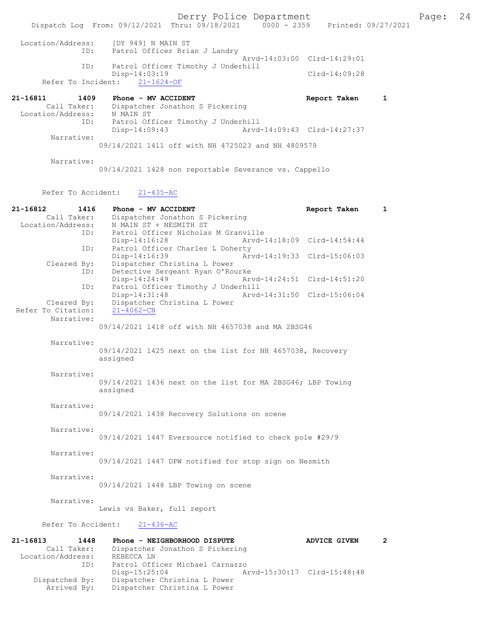Derry Police Department Page: 24 Dispatch Log From: 09/12/2021 Thru: 09/18/2021 Location/Address: [DY 949] N MAIN ST ID: Patrol Officer Brian J Landry Arvd-14:03:00 Clrd-14:29:01<br>TD: Patrol Officer Timothy J Underbill Patrol Officer Timothy J Underhill Disp-14:03:19<br>ht: 21-1624-OF Clrd-14:09:28 Refer To Incident: 21-16811 1409 Phone - MV ACCIDENT Report Taken 1<br>Call Taker: Dispatcher Jonathon S Pickering Dispatcher Jonathon S Pickering<br>N MAIN ST Location/Address:<br>ID: Patrol Officer Timothy J Underhill Disp-14:09:43 Arvd-14:09:43 Clrd-14:27:37 Narrative: 09/14/2021 1411 off with NH 4725023 and NH 4809579 Narrative: 09/14/2021 1428 non reportable Severance vs. Cappello Refer To Accident: 21-435-AC 21-16812 1416 Phone - MV ACCIDENT Report Taken 1 Call Taker: Dispatcher Jonathon S Pickering Call Taker: Dispatcher Johathon S F<br>Location/Address: N MAIN ST + NESMITH ST<br>ID: Patrol Officer Nicholas Patrol Officer Nicholas M Granville Disp-14:16:28 Arvd-14:18:09 Clrd-14:54:44<br>ID: Patrol Officer Charles L Doherty Patrol Officer Charles L Doherty<br>Disp-14:16:39 Ar Disp-14:16:39 Arvd-14:19:33 Clrd-15:06:03<br>Cleared By: Dispatcher Christina L Power Dispatcher Christina L Power ID: Detective Sergeant Ryan O'Rourke<br>Disp-14:24:49 Ary Disp-14:24:49 Arvd-14:24:51 Clrd-14:51:20 ID: Patrol Officer Timothy J Underhill<br>Disp-14:31:48 Arvd-Disp-14:31:48 Arvd-14:31:50 Clrd-15:06:04<br>Cleared By: Dispatcher Christina L Power nder Christina L Power<br>21-4062-CN Refer To Citation: Narrative: 09/14/2021 1418 off with NH 4657038 and MA 2BSG46 Narrative: 09/14/2021 1425 next on the list for NH 4657038, Recovery assigned Narrative: 09/14/2021 1436 next on the list for MA 2BSG46; LBP Towing assigned Narrative:

09/14/2021 1438 Recovery Solutions on scene

#### Narrative:

09/14/2021 1447 Eversource notified to check pole #29/9

#### Narrative:

09/14/2021 1447 DPW notified for stop sign on Nesmith

Narrative:

09/14/2021 1448 LBP Towing on scene

#### Narrative:

Lewis vs Baker, full report

Refer To Accident: 21-436-AC

| 1448              |                              |                                                              | <b>ADVICE GIVEN</b>                                                |                             |
|-------------------|------------------------------|--------------------------------------------------------------|--------------------------------------------------------------------|-----------------------------|
| Call Taker:       |                              |                                                              |                                                                    |                             |
| Location/Address: | REBECCA LN                   |                                                              |                                                                    |                             |
| ID:               |                              |                                                              |                                                                    |                             |
|                   | $Disp-15:25:04$              |                                                              |                                                                    |                             |
| Dispatched By:    |                              |                                                              |                                                                    |                             |
| Arrived By:       | Dispatcher Christina L Power |                                                              |                                                                    |                             |
|                   |                              | Phone - NEIGHBORHOOD DISPUTE<br>Dispatcher Christina L Power | Dispatcher Jonathon S Pickering<br>Patrol Officer Michael Carnazzo | Arvd-15:30:17 Clrd-15:48:48 |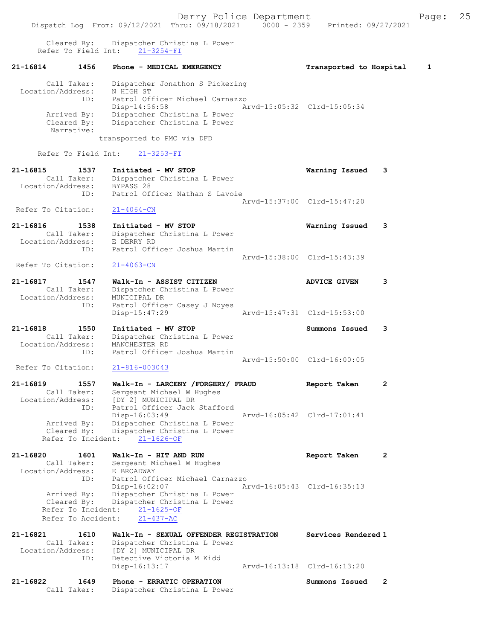Cleared By: Dispatcher Christina L Power Refer To Field Int: 21-3254-FI

### 21-16814 1456 Phone - MEDICAL EMERGENCY Transported to Hospital 1

| Call Taker:       | Dispatcher Jonathon S Pickering |                             |  |
|-------------------|---------------------------------|-----------------------------|--|
| Location/Address: | N HIGH ST                       |                             |  |
| ID:               | Patrol Officer Michael Carnazzo |                             |  |
|                   | Disp-14:56:58                   | Arvd-15:05:32 Clrd-15:05:34 |  |
| Arrived By:       | Dispatcher Christina L Power    |                             |  |
| Cleared By:       | Dispatcher Christina L Power    |                             |  |
| Narrative:        |                                 |                             |  |
|                   | transported to PMC via DFD      |                             |  |

Refer To Field Int: 21-3253-FI

| 21-16815           | 1537        | Initiated - MV STOP            | Warning Issued 3            |  |
|--------------------|-------------|--------------------------------|-----------------------------|--|
|                    | Call Taker: | Dispatcher Christina L Power   |                             |  |
| Location/Address:  |             | BYPASS 28                      |                             |  |
|                    | ID:         | Patrol Officer Nathan S Lavoie |                             |  |
|                    |             |                                | Arvd-15:37:00 Clrd-15:47:20 |  |
| Refer To Citation: |             | $21 - 4064 - CN$               |                             |  |

| 21-16816           | 1538        | Initiated - MV STOP          | Warning Issued 3            |  |
|--------------------|-------------|------------------------------|-----------------------------|--|
|                    | Call Taker: | Dispatcher Christina L Power |                             |  |
| Location/Address:  |             | E DERRY RD                   |                             |  |
|                    | TD:         | Patrol Officer Joshua Martin |                             |  |
|                    |             |                              | Aryd-15:38:00 Clrd-15:43:39 |  |
| Refer To Citation: |             | $21 - 4063 - CN$             |                             |  |

- 21-16817 1547 Walk-In ASSIST CITIZEN ADVICE GIVEN 3 Call Taker: Dispatcher Christina L Power Location/Address: MUNICIPAL DR ID: Patrol Officer Casey J Noyes<br>Disp-15:47:29 Disp-15:47:29 Arvd-15:47:31 Clrd-15:53:00
- 21-16818 1550 Initiated MV STOP Summons Issued 3 Call Taker: Dispatcher Christina L Power Location/Address: MANCHESTER RD ID: Patrol Officer Joshua Martin Arvd-15:50:00 Clrd-16:00:05

## Refer To Citation:

21-16819 1557 Walk-In - LARCENY /FORGERY/ FRAUD Report Taken 2 Call Taker: Sergeant Michael W Hughes Location/Address: [DY 2] MUNICIPAL DR ID: Patrol Officer Jack Stafford Disp-16:03:49 Arvd-16:05:42 Clrd-17:01:41 Arrived By: Dispatcher Christina L Power Cleared By: Dispatcher Christina L Power Refer To Incident:  $21-1626-OF$ 

### 21-16820 1601 Walk-In - HIT AND RUN Report Taken 2 Call Taker: Sergeant Michael W Hughes Location/Address: E BROADWAY ID: Patrol Officer Michael Carnazzo Disp-16:02:07 Arvd-16:05:43 Clrd-16:35:13 Arrived By: Dispatcher Christina L Power Cleared By: Dispatcher Christina L Power Refer To Incident: 21-1625-OF Refer To Accident: 21-437-AC

| 21-16821          | 1610        | Walk-In - SEXUAL OFFENDER REGISTRATION | Services Rendered 1         |
|-------------------|-------------|----------------------------------------|-----------------------------|
|                   | Call Taker: | Dispatcher Christina L Power           |                             |
| Location/Address: |             | [DY 2] MUNICIPAL DR                    |                             |
|                   | ID:         | Detective Victoria M Kidd              |                             |
|                   |             | Disp-16:13:17                          | Arvd-16:13:18 Clrd-16:13:20 |
|                   |             |                                        |                             |

| 21-16822 | 1649        | Phone - ERRATIC OPERATION    | Summons Issued |  |
|----------|-------------|------------------------------|----------------|--|
|          | Call Taker: | Dispatcher Christina L Power |                |  |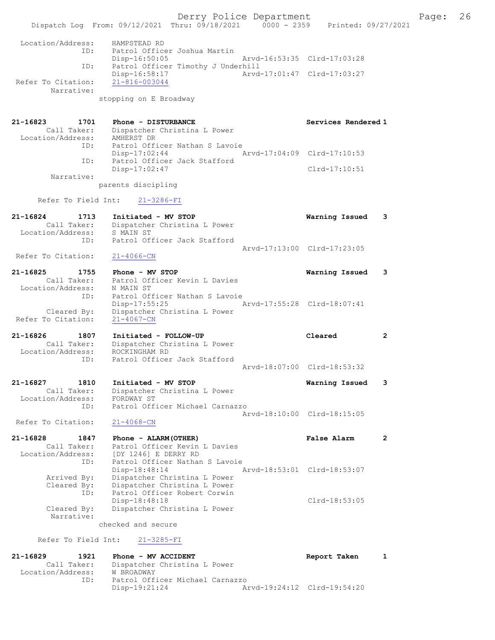Derry Police Department Fage: 26 Dispatch Log From: 09/12/2021 Thru: 09/18/2021 0000 - 2359 Printed: 09/27/2021 Location/Address: HAMPSTEAD RD ID: Patrol Officer Joshua Martin Disp-16:50:05 Arvd-16:53:35 Clrd-17:03:28 ID: Patrol Officer Timothy J Underhill<br>Disp-16:58:17 Arvd-Arvd-17:01:47 Clrd-17:03:27 Refer To Citation: 21-816-003044 Narrative: stopping on E Broadway 21-16823 1701 Phone - DISTURBANCE Services Rendered 1 Call Taker: Dispatcher Christina L Power Location/Address: AMHERST DR ID: Patrol Officer Nathan S Lavoie Disp-17:02:44 Arvd-17:04:09 Clrd-17:10:53 ID: Patrol Officer Jack Stafford Disp-17:02:47 Clrd-17:10:51 Narrative: parents discipling Refer To Field Int: 21-3286-FI 21-16824 1713 Initiated - MV STOP Warning Issued 3 Call Taker: Dispatcher Christina L Power Location/Address: S MAIN ST ID: Patrol Officer Jack Stafford Arvd-17:13:00 Clrd-17:23:05<br>21-4066-CN Refer To Citation: 21-16825 1755 Phone - MV STOP Warning Issued 3 Call Taker: Patrol Officer Kevin L Davies Location/Address: N MAIN ST ID: Patrol Officer Nathan S Lavoie Disp-17:55:25 Arvd-17:55:28 Clrd-18:07:41 Cleared By: Dispatcher Christina L Power Refer To Citation: 21-4067-CN 21-16826 1807 Initiated - FOLLOW-UP Cleared 2 Call Taker: Dispatcher Christina L Power Location/Address: ROCKINGHAM RD ID: Patrol Officer Jack Stafford Arvd-18:07:00 Clrd-18:53:32 21-16827 1810 Initiated - MV STOP Warning Issued 3 Call Taker: Dispatcher Christina L Power Location/Address: FORDWAY ST ID: Patrol Officer Michael Carnazzo Arvd-18:10:00 Clrd-18:15:05 Refer To Citation: 21-4068-CN 21-16828 1847 Phone - ALARM(OTHER) False Alarm 2 Call Taker: Patrol Officer Kevin L Davies Location/Address: [DY 1246] E DERRY RD ID: Patrol Officer Nathan S Lavoie<br>Disp-18:48:14 Arvd-18:53:01 Clrd-18:53:07 Disp-18:48:14 Arvd-18:53:01 Clrd-18:53:07 Arrived By: Dispatcher Christina L Power Cleared By: Dispatcher Christina L Power ID: Patrol Officer Robert Corwin Disp-18:48:18 <br>Cleared By: Dispatcher Christina L Power Cleared By: Dispatcher Christina L Power Dispatcher Christina L Power Narrative: checked and secure Refer To Field Int: 21-3285-FI 21-16829 1921 Phone - MV ACCIDENT Report Taken 1 Call Taker: Dispatcher Christina L Power<br>tion/Address: W BROADWAY Location/Address:<br>ID:

Patrol Officer Michael Carnazzo Disp-19:21:24 Arvd-19:24:12 Clrd-19:54:20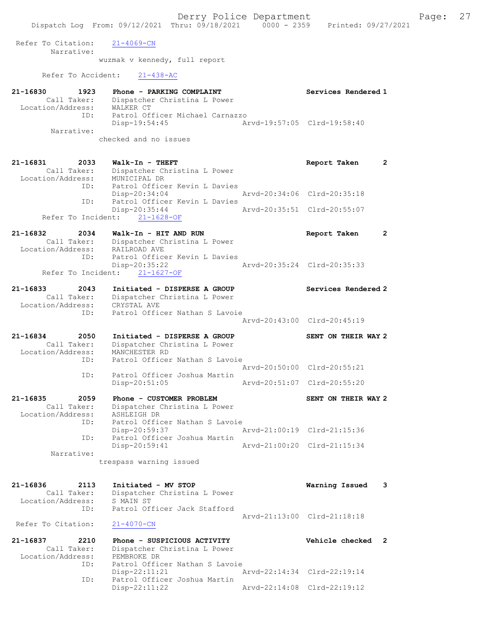Refer To Citation: 21-4069-CN Narrative: wuzmak v kennedy, full report Refer To Accident: 21-438-AC 21-16830 1923 Phone - PARKING COMPLAINT Services Rendered 1 Call Taker: Dispatcher Christina L Power Location/Address: WALKER CT ID: Patrol Officer Michael Carnazzo Disp-19:54:45 Arvd-19:57:05 Clrd-19:58:40 Narrative: checked and no issues 21-16831 2033 Walk-In - THEFT Report Taken 2 Call Taker: Dispatcher Christina L Power Location/Address: MUNICIPAL DR ID: Patrol Officer Kevin L Davies<br>Disp-20:34:04 Disp-20:34:04 Arvd-20:34:06 Clrd-20:35:18 ID: Patrol Officer Kevin L Davies<br>Disp-20:35:44 Disp-20:35:44 Arvd-20:35:51 Clrd-20:55:07 Refer To Incident: 21-1628-OF 21-16832 2034 Walk-In - HIT AND RUN Report Taken 2 Call Taker: Dispatcher Christina L Power Location/Address: RAILROAD AVE ID: Patrol Officer Kevin L Davies Disp-20:35:22 Arvd-20:35:24 Clrd-20:35:33 Refer To Incident: 21-1627-OF 21-16833 2043 Initiated - DISPERSE A GROUP Services Rendered 2 Call Taker: Dispatcher Christina L Power Location/Address: CRYSTAL AVE ID: Patrol Officer Nathan S Lavoie Arvd-20:43:00 Clrd-20:45:19 21-16834 2050 Initiated - DISPERSE A GROUP SENT ON THEIR WAY 2 Call Taker: Dispatcher Christina L Power Location/Address: MANCHESTER RD ID: Patrol Officer Nathan S Lavoie Arvd-20:50:00 Clrd-20:55:21<br>ID: Patrol Officer Joshua Martin<br>Disp-20:51:05 Arvd-20:51:07 Clrd-20:55:20 Patrol Officer Joshua Martin Disp-20:51:05 Arvd-20:51:07 Clrd-20:55:20 21-16835 2059 Phone - CUSTOMER PROBLEM SENT ON THEIR WAY 2 Call Taker: Dispatcher Christina L Power Location/Address: ASHLEIGH DR ID: Patrol Officer Nathan S Lavoie Disp-20:59:37 Arvd-21:00:19 Clrd-21:15:36 ID: Patrol Officer Joshua Martin Arvd-21:00:20 Clrd-21:15:34 Narrative: trespass warning issued 21-16836 2113 Initiated - MV STOP Warning Issued 3 Call Taker: Dispatcher Christina L Power Location/Address: S MAIN ST ID: Patrol Officer Jack Stafford Arvd-21:13:00 Clrd-21:18:18 Refer To Citation: 21-4070-CN 21-16837 2210 Phone - SUSPICIOUS ACTIVITY Vehicle checked 2 Call Taker: Dispatcher Christina L Power Location/Address: PEMBROKE DR ID: Patrol Officer Nathan S Lavoie<br>Disp-22:11:21 Disp-22:11:21 Arvd-22:14:34 Clrd-22:19:14 ID: Patrol Officer Joshua Martin Disp-22:11:22 Arvd-22:14:08 Clrd-22:19:12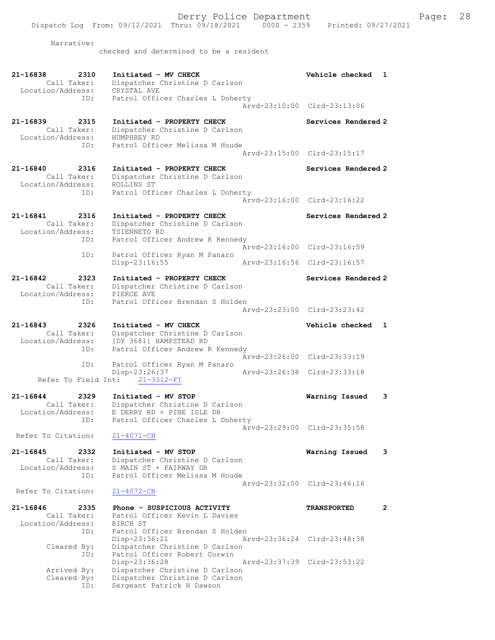Derry Police Department Fage: 28 Dispatch Log From: 09/12/2021 Thru: 09/18/2021 0000 - 2359 Printed: 09/27/2021 Narrative: checked and determined to be a resident 21-16838 2310 Initiated - MV CHECK 21 21-16838 Vehicle checked 1 Call Taker: Dispatcher Christine D Carlson Location/Address: CRYSTAL AVE ID: Patrol Officer Charles L Doherty Arvd-23:10:00 Clrd-23:13:06 21-16839 2315 Initiated - PROPERTY CHECK Services Rendered 2 Call Taker: Dispatcher Christine D Carlson Location/Address: HUMPHREY RD ID: Patrol Officer Melissa M Houde Arvd-23:15:00 Clrd-23:15:17 21-16840 2316 Initiated - PROPERTY CHECK Services Rendered 2 Call Taker: Dispatcher Christine D Carlson Location/Address: ROLLINS ST ID: Patrol Officer Charles L Doherty Arvd-23:16:00 Clrd-23:16:22 21-16841 2316 Initiated - PROPERTY CHECK Services Rendered 2 Call Taker: Dispatcher Christine D Carlson Location/Address: TSIENNETO RD ID: Patrol Officer Andrew R Kennedy Arvd-23:16:00 Clrd-23:16:59 ID: Patrol Officer Ryan M Panaro<br>Disp-23:16:55 Disp-23:16:55 Arvd-23:16:56 Clrd-23:16:57 21-16842 2323 Initiated - PROPERTY CHECK Services Rendered 2 Call Taker: Dispatcher Christine D Carlson Location/Address: PIERCE AVE ID: Patrol Officer Brendan S Holden Arvd-23:23:00 Clrd-23:23:42 21-16843 2326 Initiated - MV CHECK Vehicle checked 1 Call Taker: Dispatcher Christine D Carlson Location/Address: [DY 3681] HAMPSTEAD RD ID: Patrol Officer Andrew R Kennedy Arvd-23:26:00 Clrd-23:33:19 ID: Patrol Officer Ryan M Panaro Disp-23:26:37 Arvd-23:26:38 Clrd-23:33:18 Refer To Field Int: 21-3312-FI 21-16844 2329 Initiated - MV STOP Warning Issued 3 Call Taker: Dispatcher Christine D Carlson Location/Address: E DERRY RD + PINE ISLE DR ID: Patrol Officer Charles L Doherty Arvd-23:29:00 Clrd-23:35:58<br>21-4071-CN Refer To Citation: 21-16845 2332 Initiated - MV STOP Warning Issued 3 Call Taker: Dispatcher Christine D Carlson Location/Address: S MAIN ST + FAIRWAY DR ID: Patrol Officer Melissa M Houde Arvd-23:32:00 Clrd-23:46:16 Refer To Citation: 21-4072-CN 21-16846 2335 Phone - SUSPICIOUS ACTIVITY TRANSPORTED 2 Call Taker: Patrol Officer Kevin L Davies Location/Address: BIRCH ST ID: Patrol Officer Brendan S Holden<br>Disp-23:36:21 Ar Disp-23:36:21 Arvd-23:36:24 Clrd-23:48:38 Cleared By: Dispatcher Christine D Carlson ID: Patrol Officer Robert Corwin Disp-23:36:28 Arvd-23:37:39 Clrd-23:53:22 Arrived By: Dispatcher Christine D Carlson Cleared By: Dispatcher Christine D Carlson ID: Sergeant Patrick H Dawson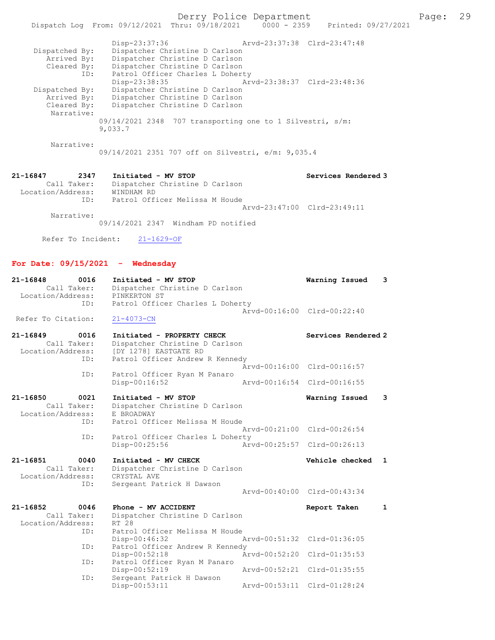| Dispatched By:<br>Arrived By:<br>Cleared By:                | Disp-23:37:36<br>Dispatcher Christine D Carlson<br>Dispatcher Christine D Carlson<br>Dispatcher Christine D Carlson |                                | Arvd-23:37:38 Clrd-23:47:48      |   |
|-------------------------------------------------------------|---------------------------------------------------------------------------------------------------------------------|--------------------------------|----------------------------------|---|
| ID:<br>Dispatched By:                                       | Patrol Officer Charles L Doherty<br>Disp-23:38:35<br>Dispatcher Christine D Carlson                                 |                                | Arvd-23:38:37 Clrd-23:48:36      |   |
| Arrived By:<br>Cleared By:<br>Narrative:                    | Dispatcher Christine D Carlson<br>Dispatcher Christine D Carlson                                                    |                                |                                  |   |
|                                                             | $09/14/2021$ 2348 707 transporting one to 1 Silvestri, s/m:<br>9,033.7                                              |                                |                                  |   |
| Narrative:                                                  | 09/14/2021 2351 707 off on Silvestri, e/m: 9,035.4                                                                  |                                |                                  |   |
| 21-16847<br>2347<br>Call Taker:<br>Location/Address:        | Initiated - MV STOP<br>Dispatcher Christine D Carlson<br>WINDHAM RD                                                 |                                | Services Rendered 3              |   |
| ID:<br>Narrative:                                           | Patrol Officer Melissa M Houde                                                                                      |                                | Aryd-23:47:00 Clrd-23:49:11      |   |
|                                                             | 09/14/2021 2347 Windham PD notified                                                                                 |                                |                                  |   |
| Refer To Incident:                                          | $21 - 1629 - OF$                                                                                                    |                                |                                  |   |
|                                                             | For Date: $09/15/2021$ - Wednesday                                                                                  |                                |                                  |   |
| 21-16848<br>0016<br>Call Taker:<br>Location/Address:<br>ID: | Initiated - MV STOP<br>Dispatcher Christine D Carlson<br>PINKERTON ST<br>Patrol Officer Charles L Doherty           |                                | Warning Issued                   | 3 |
| Refer To Citation:                                          | $21 - 4073 - CN$                                                                                                    |                                | Arvd-00:16:00 Clrd-00:22:40      |   |
| 21-16849<br>0016<br>Call Taker:<br>Location/Address:        | Initiated - PROPERTY CHECK<br>Dispatcher Christine D Carlson<br>[DY 1278] EASTGATE RD                               |                                | Services Rendered 2              |   |
| ID:<br>ID:                                                  | Patrol Officer Andrew R Kennedy<br>Patrol Officer Ryan M Panaro                                                     |                                | Arvd-00:16:00 Clrd-00:16:57      |   |
|                                                             | Disp-00:16:52                                                                                                       |                                | Arvd-00:16:54 Clrd-00:16:55      |   |
| 0021<br>21-16850<br>Call Taker:<br>Location/Address:<br>ID: | Initiated - MV STOP<br>Dispatcher Christine D Carlson<br>E BROADWAY<br>Patrol Officer Melissa M Houde               |                                | Warning Issued                   | 3 |
| ID:                                                         | Patrol Officer Charles L Doherty<br>$Disp-00:25:56$                                                                 | Arvd-00:21:00<br>Arvd-00:25:57 | Clrd-00:26:54<br>$Clrd-00:26:13$ |   |
| 21-16851<br>0040<br>Call Taker:<br>Location/Address:        | Initiated - MV CHECK<br>Dispatcher Christine D Carlson<br>CRYSTAL AVE                                               |                                | Vehicle checked                  | 1 |
| ID:                                                         | Sergeant Patrick H Dawson                                                                                           |                                | Arvd-00:40:00 Clrd-00:43:34      |   |
| 21-16852<br>0046<br>Call Taker:<br>Location/Address:        | Phone - MV ACCIDENT<br>Dispatcher Christine D Carlson<br>RT 28                                                      |                                | Report Taken                     | 1 |
| ID:                                                         | Patrol Officer Melissa M Houde<br>Disp-00:46:32                                                                     | Arvd-00:51:32                  | Clrd-01:36:05                    |   |
| ID:<br>ID:                                                  | Patrol Officer Andrew R Kennedy<br>Disp-00:52:18<br>Patrol Officer Ryan M Panaro                                    | Arvd-00:52:20                  | $Clrd-01:35:53$                  |   |
| ID:                                                         | Disp-00:52:19<br>Sergeant Patrick H Dawson                                                                          | Arvd-00:52:21                  | Clrd-01:35:55                    |   |
|                                                             | Disp-00:53:11                                                                                                       | Arvd-00:53:11                  | $Clrd-01:28:24$                  |   |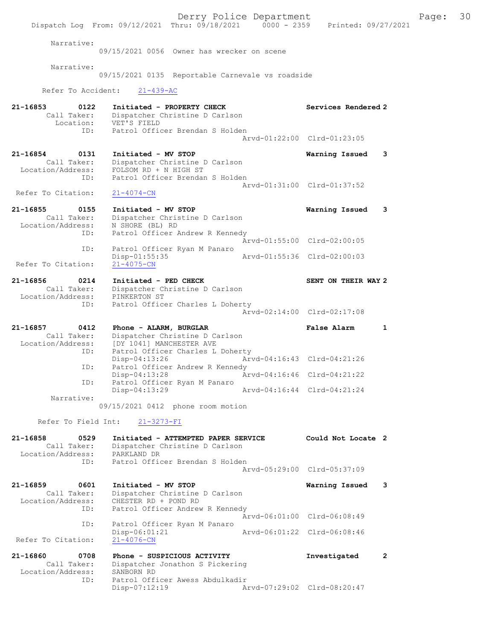Derry Police Department The Page: 30 Dispatch Log From: 09/12/2021 Thru: 09/18/2021 0000 - 2359 Printed: 09/27/2021 Narrative: 09/15/2021 0056 Owner has wrecker on scene Narrative: 09/15/2021 0135 Reportable Carnevale vs roadside Refer To Accident: 21-439-AC 21-16853 0122 Initiated - PROPERTY CHECK Services Rendered 2 Call Taker: Dispatcher Christine D Carlson Location: VET'S FIELD ID: Patrol Officer Brendan S Holden Arvd-01:22:00 Clrd-01:23:05 21-16854 0131 Initiated - MV STOP Warning Issued 3 Call Taker: Dispatcher Christine D Carlson Location/Address: FOLSOM RD + N HIGH ST ID: Patrol Officer Brendan S Holden Arvd-01:31:00 Clrd-01:37:52 Refer To Citation: 21-4074-CN 21-16855 0155 Initiated - MV STOP Warning Issued 3 Call Taker: Dispatcher Christine D Carlson Location/Address: N SHORE (BL) RD ID: Patrol Officer Andrew R Kennedy Arvd-01:55:00 Clrd-02:00:05 ID: Patrol Officer Ryan M Panaro<br>Disp-01:55:35 Mrvd-01:55:36 Clrd-02:00:03 Disp-01:55:35<br>21-4075-CN Refer To Citation: 21-16856 0214 Initiated - PED CHECK SENT ON THEIR WAY 2 Call Taker: Dispatcher Christine D Carlson Location/Address: PINKERTON ST ID: Patrol Officer Charles L Doherty Arvd-02:14:00 Clrd-02:17:08 21-16857 0412 Phone - ALARM, BURGLAR False Alarm 1 Call Taker: Dispatcher Christine D Carlson Location/Address: [DY 1041] MANCHESTER AVE ID: Patrol Officer Charles L Doherty Disp-04:13:26 Arvd-04:16:43 Clrd-04:21:26<br>ID: Patrol Officer Andrew R Kennedy Patrol Officer Andrew R Kennedy<br>Disp-04:13:28 Ar Disp-04:13:28 Arvd-04:16:46 Clrd-04:21:22 ID: Patrol Officer Ryan M Panaro<br>Disp-04:13:29 Disp-04:13:29 Arvd-04:16:44 Clrd-04:21:24 Narrative: 09/15/2021 0412 phone room motion Refer To Field Int: 21-3273-FI 21-16858 0529 Initiated - ATTEMPTED PAPER SERVICE Could Not Locate 2 Call Taker: Dispatcher Christine D Carlson Location/Address: PARKLAND DR ID: Patrol Officer Brendan S Holden Arvd-05:29:00 Clrd-05:37:09 21-16859 0601 Initiated - MV STOP Warning Issued 3 Call Taker: Dispatcher Christine D Carlson Location/Address: CHESTER RD + POND RD ID: Patrol Officer Andrew R Kennedy Arvd-06:01:00 Clrd-06:08:49 ID: Patrol Officer Ryan M Panaro Disp-06:01:21 Arvd-06:01:22 Clrd-06:08:46<br>21-4076-CN Refer To Citation: 21-16860 0708 Phone - SUSPICIOUS ACTIVITY Investigated 2 Call Taker: Dispatcher Jonathon S Pickering<br>cation/Address: SANBORN RD Location/Address: ID: Patrol Officer Awess Abdulkadir Disp-07:12:19 Arvd-07:29:02 Clrd-08:20:47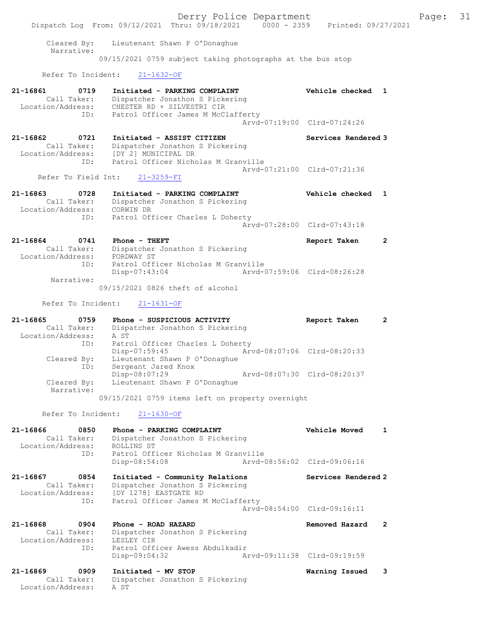Derry Police Department Fage: 31 Dispatch Log From: 09/12/2021 Thru: 09/18/2021 0000 - 2359 Printed: 09/27/2021 Cleared By: Lieutenant Shawn P O'Donaghue Narrative: 09/15/2021 0759 subject taking photographs at the bus stop Refer To Incident: 21-1632-OF 21-16861 0719 Initiated - PARKING COMPLAINT Vehicle checked 1 Call Taker: Dispatcher Jonathon S Pickering Location/Address: CHESTER RD + SILVESTRI CIR ID: Patrol Officer James M McClafferty Arvd-07:19:00 Clrd-07:24:26 21-16862 0721 Initiated - ASSIST CITIZEN Services Rendered 3 Call Taker: Dispatcher Jonathon S Pickering Location/Address: [DY 2] MUNICIPAL DR ID: Patrol Officer Nicholas M Granville Arvd-07:21:00 Clrd-07:21:36 Refer To Field Int: 21-3259-FI 21-16863 0728 Initiated - PARKING COMPLAINT Vehicle checked 1 Call Taker: Dispatcher Jonathon S Pickering Location/Address: CORWIN DR ID: Patrol Officer Charles L Doherty Arvd-07:28:00 Clrd-07:43:18 21-16864 0741 Phone - THEFT Report Taken 2 Call Taker: Dispatcher Jonathon S Pickering Location/Address: FORDWAY ST ID: Patrol Officer Nicholas M Granville Disp-07:43:04 Arvd-07:59:06 Clrd-08:26:28 Narrative: 09/15/2021 0826 theft of alcohol Refer To Incident: 21-1631-OF 21-16865 0759 Phone - SUSPICIOUS ACTIVITY Report Taken 2 Call Taker: Dispatcher Jonathon S Pickering Location/Address: A ST ID: Patrol Officer Charles L Doherty Disp-07:59:45 Arvd-08:07:06 Clrd-08:20:33 Cleared By: Lieutenant Shawn P O'Donaghue ID: Sergeant Jared Knox Disp-08:07:29 Arvd-08:07:30 Clrd-08:20:37 Cleared By: Lieutenant Shawn P O'Donaghue Narrative: 09/15/2021 0759 items left on property overnight Refer To Incident: 21-1630-OF 21-16866 0850 Phone - PARKING COMPLAINT Vehicle Moved 1 Call Taker: Dispatcher Jonathon S Pickering Location/Address: ROLLINS ST ID: Patrol Officer Nicholas M Granville Disp-08:54:08 Arvd-08:56:02 Clrd-09:06:16 21-16867 0854 Initiated - Community Relations Services Rendered 2 Call Taker: Dispatcher Jonathon S Pickering Location/Address: [DY 1278] EASTGATE RD ID: Patrol Officer James M McClafferty Arvd-08:54:00 Clrd-09:16:11 21-16868 0904 Phone - ROAD HAZARD Removed Hazard 2 Call Taker: Dispatcher Jonathon S Pickering Location/Address: LESLEY CIR ID: Patrol Officer Awess Abdulkadir<br>Disp-09:04:32 Am Disp-09:04:32 Arvd-09:11:38 Clrd-09:19:59 21-16869 0909 Initiated - MV STOP Warning Issued 3 Call Taker: Dispatcher Jonathon S Pickering Location/Address: A ST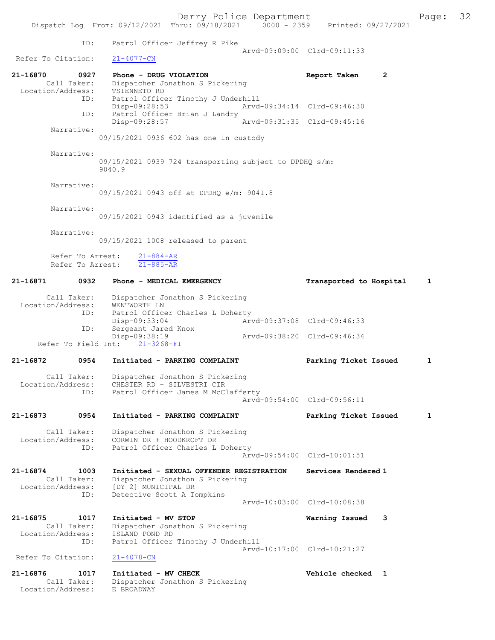Derry Police Department Form Page: 32 Dispatch Log From: 09/12/2021 Thru: 09/18/2021 0000 - 2359 Printed: 09/27/2021 ID: Patrol Officer Jeffrey R Pike Arvd-09:09:00 Clrd-09:11:33<br>21-4077-CN Refer To Citation: 21-16870 0927 Phone - DRUG VIOLATION Report Taken 2<br>Call Taker: Dispatcher Jonathon S Pickering Dispatcher Jonathon S Pickering<br>TSIENNETO RD Location/Address:<br>ID: Patrol Officer Timothy J Underhill<br>Disp-09:28:53 Arvd Disp-09:28:53 Arvd-09:34:14 Clrd-09:46:30 Patrol Officer Brian J Landry<br>Disp-09:28:57 Disp-09:28:57 Arvd-09:31:35 Clrd-09:45:16 Narrative: 09/15/2021 0936 602 has one in custody Narrative: 09/15/2021 0939 724 transporting subject to DPDHQ s/m: 9040.9 Narrative: 09/15/2021 0943 off at DPDHQ e/m: 9041.8 Narrative: 09/15/2021 0943 identified as a juvenile Narrative: 09/15/2021 1008 released to parent Refer To Arrest: 21-884-AR Refer To Arrest: 21-885-AR 21-16871 0932 Phone - MEDICAL EMERGENCY Transported to Hospital 1 Call Taker: Dispatcher Jonathon S Pickering Location/Address: WENTWORTH LN ID: Patrol Officer Charles L Doherty<br>Disp-09:33:04 Arv Disp-09:33:04 Arvd-09:37:08 Clrd-09:46:33<br>TD: Sergeant Jared Knox Sergeant Jared Knox Disp-09:38:19 Arvd-09:38:20 Clrd-09:46:34 Refer To Field Int: 21-3268-FI 21-16872 0954 Initiated - PARKING COMPLAINT Parking Ticket Issued 1 Call Taker: Dispatcher Jonathon S Pickering<br>Location/Address: CHESTER RD + SILVESTRI CIR Location/Address: CHESTER RD + SILVESTRI CIR ID: Patrol Officer James M McClafferty Arvd-09:54:00 Clrd-09:56:11 21-16873 0954 Initiated - PARKING COMPLAINT Parking Ticket Issued 1 Call Taker: Dispatcher Jonathon S Pickering<br>Location/Address: CORWIN DR + HOODKROFT DR Location/Address: CORWIN DR + HOODKROFT DR ID: Patrol Officer Charles L Doherty Arvd-09:54:00 Clrd-10:01:51 21-16874 1003 Initiated - SEXUAL OFFENDER REGISTRATION Services Rendered 1 Call Taker: Dispatcher Jonathon S Pickering<br>Location/Address: [DY 2] MUNICIPAL DR ess: [DY 2] MUNICIPAL DR<br>ID: Detective Scott A To Detective Scott A Tompkins Arvd-10:03:00 Clrd-10:08:38 21-16875 1017 Initiated - MV STOP Warning Issued 3 Call Taker: Dispatcher Jonathon S Pickering Location/Address:<br>ID: ISLAND POND RD<br>Patrol Officer Timothy J Underhill Arvd-10:17:00 Clrd-10:21:27<br>21-4078-CN Refer To Citation: 21-16876 1017 Initiated - MV CHECK Vehicle checked 1 Call Taker: Dispatcher Jonathon S Pickering<br>ion/Address: E BROADWAY Location/Address: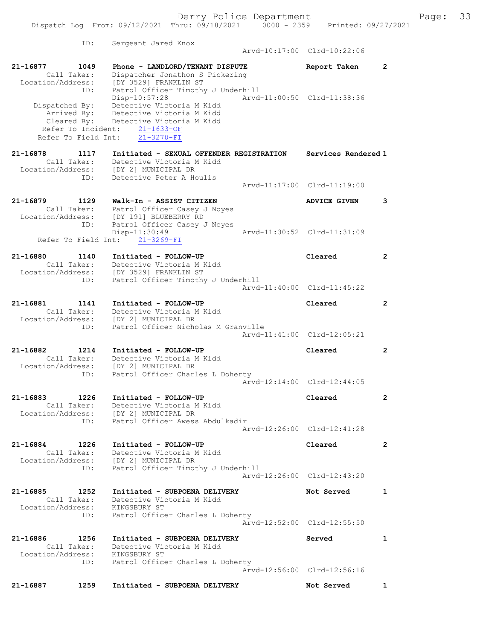|                                                      |      | Dispatch Log From: 09/12/2021 Thru: 09/18/2021 0000 - 2359 Printed: 09/27/2021                                                                                                             | Derry Police Department |                             |                | Page: | 33 |
|------------------------------------------------------|------|--------------------------------------------------------------------------------------------------------------------------------------------------------------------------------------------|-------------------------|-----------------------------|----------------|-------|----|
|                                                      | ID:  | Sergeant Jared Knox                                                                                                                                                                        |                         | Arvd-10:17:00 Clrd-10:22:06 |                |       |    |
| 21-16877 1049<br>Call Taker:                         | ID:  | Phone - LANDLORD/TENANT DISPUTE<br>Dispatcher Jonathon S Pickering<br>Location/Address: [DY 3529] FRANKLIN ST<br>Patrol Officer Timothy J Underhill                                        |                         | Report Taken                | 2              |       |    |
| Refer To Field Int:                                  |      | Disp-10:57:28<br>Dispatched By: Detective Victoria M Kidd<br>Arrived By: Detective Victoria M Kidd<br>Cleared By: Detective Victoria M Kidd<br>Refer To Incident: 21-1633-OF<br>21-3270-FI |                         | Arvd-11:00:50 Clrd-11:38:36 |                |       |    |
| 21-16878                                             | 1117 | Initiated - SEXUAL OFFENDER REGISTRATION Services Rendered 1<br>Call Taker: Detective Victoria M Kidd<br>Location/Address: [DY 2] MUNICIPAL DR                                             |                         |                             |                |       |    |
|                                                      | ID:  | Detective Peter A Houlis                                                                                                                                                                   |                         | Arvd-11:17:00 Clrd-11:19:00 |                |       |    |
|                                                      |      | 21-16879 1129 Walk-In - ASSIST CITIZEN<br>Call Taker: Patrol Officer Casey J Noyes<br>Location/Address: [DY 191] BLUEBERRY RD                                                              |                         | <b>ADVICE GIVEN</b>         | 3              |       |    |
|                                                      | ID:  | Patrol Officer Casey J Noyes<br>$Disp-11:30:49$<br>Refer To Field Int: 21-3269-FI                                                                                                          |                         | Arvd-11:30:52 Clrd-11:31:09 |                |       |    |
|                                                      |      | 21-16880 1140 Initiated - FOLLOW-UP                                                                                                                                                        |                         | Cleared                     | $\overline{2}$ |       |    |
|                                                      |      | Call Taker: Detective Victoria M Kidd<br>Location/Address: [DY 3529] FRANKLIN ST<br>ID: Patrol Officer Timoth<br>Patrol Officer Timothy J Underhill                                        |                         |                             |                |       |    |
|                                                      |      |                                                                                                                                                                                            |                         | Arvd-11:40:00 Clrd-11:45:22 |                |       |    |
| 21–16881                                             | ID:  | 1141 Initiated - FOLLOW-UP<br>Call Taker: Detective Victoria M Kidd<br>Location/Address: [DY 2] MUNICIPAL DR<br>Patrol Officer Nicholas M Granville                                        |                         | Cleared                     | 2              |       |    |
|                                                      |      |                                                                                                                                                                                            |                         | Arvd-11:41:00 Clrd-12:05:21 |                |       |    |
| 21-16882<br>1214<br>Call Taker:<br>Location/Address: |      | Initiated - FOLLOW-UP<br>Detective Victoria M Kidd<br>[DY 2] MUNICIPAL DR                                                                                                                  |                         | Cleared                     | 2              |       |    |
|                                                      |      | ID: Patrol Officer Charles L Doherty                                                                                                                                                       |                         | Arvd-12:14:00 Clrd-12:44:05 |                |       |    |
|                                                      |      | 21-16883 1226 Initiated - FOLLOW-UP<br>Call Taker: Detective Victoria M Kidd<br>Location/Address: [DY 2] MUNICIPAL DR<br>ID: Patrol Officer Awess Abdulkadir                               |                         | Cleared                     | $\overline{2}$ |       |    |
|                                                      |      |                                                                                                                                                                                            |                         | Arvd-12:26:00 Clrd-12:41:28 |                |       |    |
|                                                      |      | 21-16884 1226 Initiated - FOLLOW-UP<br>Call Taker: Detective Victoria M Kidd<br>Location/Address: [DY 2] MUNICIPAL DR<br>ID: Patrol Officer Timothy J Underhill                            |                         | Cleared                     | $\overline{2}$ |       |    |
|                                                      |      |                                                                                                                                                                                            |                         | Arvd-12:26:00 Clrd-12:43:20 |                |       |    |
| Location/Address: KINGSBURY ST                       |      | 21-16885 1252 Initiated - SUBPOENA DELIVERY<br>Call Taker: Detective Victoria M Kidd                                                                                                       |                         | Not Served                  | 1              |       |    |
|                                                      |      | ID: Patrol Officer Charles L Doherty                                                                                                                                                       |                         | Arvd-12:52:00 Clrd-12:55:50 |                |       |    |
| Location/Address: KINGSBURY ST                       |      | 21-16886 1256 Initiated - SUBPOENA DELIVERY<br>Call Taker: Detective Victoria M Kidd                                                                                                       |                         | Served                      | $\mathbf{1}$   |       |    |
|                                                      |      | ID: Patrol Officer Charles L Doherty                                                                                                                                                       |                         | Arvd-12:56:00 Clrd-12:56:16 |                |       |    |
| 21-16887                                             |      | 1259 Initiated - SUBPOENA DELIVERY                                                                                                                                                         |                         | Not Served                  | $\mathbf{1}$   |       |    |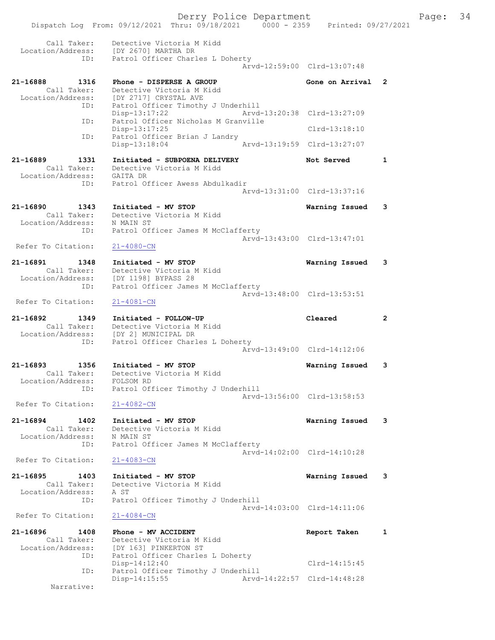Derry Police Department Fage: 34 Dispatch Log From: 09/12/2021 Thru: 09/18/2021 0000 - 2359 Printed: 09/27/2021 Call Taker: Detective Victoria M Kidd Location/Address: [DY 2670] MARTHA DR ID: Patrol Officer Charles L Doherty Arvd-12:59:00 Clrd-13:07:48 21-16888 1316 Phone - DISPERSE A GROUP Gone on Arrival 2 Call Taker: Detective Victoria M Kidd Location/Address: [DY 2717] CRYSTAL AVE ID: Patrol Officer Timothy J Underhill Disp-13:17:22 Arvd-13:20:38 Clrd-13:27:09 ID: Patrol Officer Nicholas M Granville Disp-13:17:25 Clrd-13:18:10 ID: Patrol Officer Brian J Landry Disp-13:18:04 Arvd-13:19:59 Clrd-13:27:07 21-16889 1331 Initiated - SUBPOENA DELIVERY Not Served 1 Call Taker: Detective Victoria M Kidd Location/Address: GAITA DR ID: Patrol Officer Awess Abdulkadir Arvd-13:31:00 Clrd-13:37:16 21-16890 1343 Initiated - MV STOP Warning Issued 3 Call Taker: Detective Victoria M Kidd Location/Address: N MAIN ST ID: Patrol Officer James M McClafferty Arvd-13:43:00 Clrd-13:47:01<br>
21-4080-CN Refer To Citation: 21-16891 1348 Initiated - MV STOP Warning Issued 3 Call Taker: Detective Victoria M Kidd Location/Address: [DY 1198] BYPASS 28 ID: Patrol Officer James M McClafferty Arvd-13:48:00 Clrd-13:53:51 Refer To Citation: 21-4081-CN 21-16892 1349 Initiated - FOLLOW-UP Cleared 2 Call Taker: Detective Victoria M Kidd Location/Address: [DY 2] MUNICIPAL DR ID: Patrol Officer Charles L Doherty Arvd-13:49:00 Clrd-14:12:06 21-16893 1356 Initiated - MV STOP Warning Issued 3 Call Taker: Detective Victoria M Kidd Location/Address: FOLSOM RD ID: Patrol Officer Timothy J Underhill Arvd-13:56:00 Clrd-13:58:53 Refer To Citation: 21-4082-CN 21-16894 1402 Initiated - MV STOP Warning Issued 3 Call Taker: Detective Victoria M Kidd Location/Address: N MAIN ST ID: Patrol Officer James M McClafferty Arvd-14:02:00 Clrd-14:10:28<br>21-4083-CN Refer To Citation: 21-16895 1403 Initiated - MV STOP Warning Issued 3 Call Taker: Detective Victoria M Kidd Location/Address: A ST ID: Patrol Officer Timothy J Underhill Arvd-14:03:00 Clrd-14:11:06 Refer To Citation: 21-4084-CN 21-16896 1408 Phone - MV ACCIDENT Report Taken 1 Call Taker: Detective Victoria M Kidd Location/Address: [DY 163] PINKERTON ST ID: Patrol Officer Charles L Doherty Disp-14:12:40 Clrd-14:15:45<br>ID: Patrol Officer Timothy J Underhill Patrol Officer Timothy J Underhill Disp-14:15:55 Arvd-14:22:57 Clrd-14:48:28 Narrative: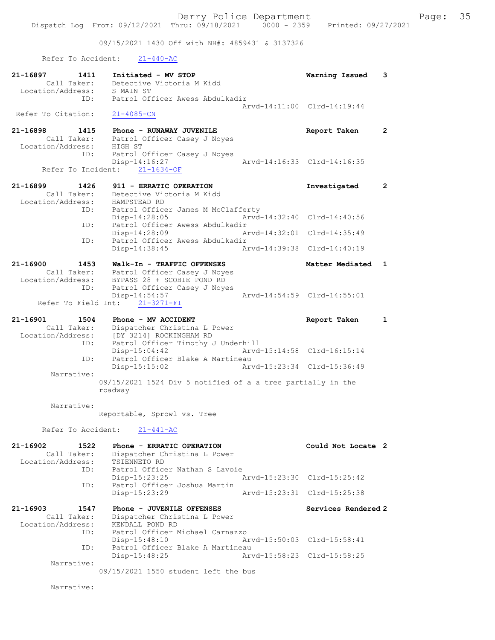09/15/2021 1430 Off with NH#: 4859431 & 3137326

Refer To Accident: 21-440-AC

| 21-16897<br>1411<br>Call Taker:<br>Location/Address: | Initiated - MV STOP<br>Detective Victoria M Kidd<br>S MAIN ST                                   | Warning Issued              | 3            |
|------------------------------------------------------|-------------------------------------------------------------------------------------------------|-----------------------------|--------------|
| ID:<br>Refer To Citation:                            | Patrol Officer Awess Abdulkadir<br>$21 - 4085 - CN$                                             | Arvd-14:11:00 Clrd-14:19:44 |              |
| 21-16898<br>1415<br>Lall Taker:<br>Location/Address: | Phone - RUNAWAY JUVENILE<br>Patrol Officer Casey J Noyes<br>HIGH ST                             | Report Taken                | $\mathbf{2}$ |
| ID:                                                  | Patrol Officer Casey J Noyes<br>Disp-14:16:27<br>Refer To Incident: 21-1634-OF                  | Arvd-14:16:33 Clrd-14:16:35 |              |
| 21-16899<br>1426                                     | 911 - ERRATIC OPERATION                                                                         | Investigated                | $\mathbf{2}$ |
| Call Taker:<br>Location/Address:                     | Detective Victoria M Kidd<br>HAMPSTEAD RD                                                       |                             |              |
| ID:                                                  | Patrol Officer James M McClafferty<br>$Disp-14:28:05$                                           | Arvd-14:32:40 Clrd-14:40:56 |              |
| ID:                                                  | Patrol Officer Awess Abdulkadir<br>Disp-14:28:09                                                | Arvd-14:32:01 Clrd-14:35:49 |              |
| ID:                                                  | Patrol Officer Awess Abdulkadir<br>Disp-14:38:45                                                | Arvd-14:39:38 Clrd-14:40:19 |              |
| 21-16900<br>1453                                     | Walk-In - TRAFFIC OFFENSES                                                                      | Matter Mediated 1           |              |
|                                                      | Call Taker: Patrol Officer Casey J Noyes                                                        |                             |              |
| ID:                                                  | Location/Address: BYPASS 28 + SCOBIE POND RD<br>Patrol Officer Casey J Noyes<br>$Disp-14:54:57$ | Arvd-14:54:59 Clrd-14:55:01 |              |
|                                                      | Refer To Field Int: 21-3271-FI                                                                  |                             |              |
| 21-16901<br>1504                                     | Phone - MV ACCIDENT                                                                             | Report Taken                | $\mathbf{1}$ |
| Call Taker:                                          | Dispatcher Christina L Power                                                                    |                             |              |
| Location/Address:<br>ID:                             | [DY 3214] ROCKINGHAM RD<br>Patrol Officer Timothy J Underhill<br>$Disp-15:04:42$                | Arvd-15:14:58 Clrd-16:15:14 |              |
| ID:                                                  | Patrol Officer Blake A Martineau<br>$Disp-15:15:02$                                             | Arvd-15:23:34 Clrd-15:36:49 |              |
| Narrative:                                           |                                                                                                 |                             |              |
|                                                      | 09/15/2021 1524 Div 5 notified of a a tree partially in the<br>roadway                          |                             |              |
| Narrative:                                           | Reportable, Sprowl vs. Tree                                                                     |                             |              |
|                                                      | Refer To Accident: 21-441-AC                                                                    |                             |              |
| 21-16902<br>1522<br>Call Taker:<br>Location/Address: | Phone - ERRATIC OPERATION<br>Dispatcher Christina L Power<br>TSIENNETO RD                       | Could Not Locate 2          |              |
| ID:                                                  | Patrol Officer Nathan S Lavoie<br>Disp-15:23:25                                                 | Arvd-15:23:30 Clrd-15:25:42 |              |
| ID:                                                  | Patrol Officer Joshua Martin<br>Disp-15:23:29                                                   | Arvd-15:23:31 Clrd-15:25:38 |              |
| 21-16903<br>1547<br>Call Taker:<br>Location/Address: | Phone - JUVENILE OFFENSES<br>Dispatcher Christina L Power<br>KENDALL POND RD                    | Services Rendered 2         |              |
| ID:                                                  | Patrol Officer Michael Carnazzo<br>$Disp-15:48:10$                                              | Arvd-15:50:03 Clrd-15:58:41 |              |
| ID:                                                  | Patrol Officer Blake A Martineau<br>Disp-15:48:25                                               | Arvd-15:58:23 Clrd-15:58:25 |              |
| Narrative:                                           | 09/15/2021 1550 student left the bus                                                            |                             |              |
| Narrative:                                           |                                                                                                 |                             |              |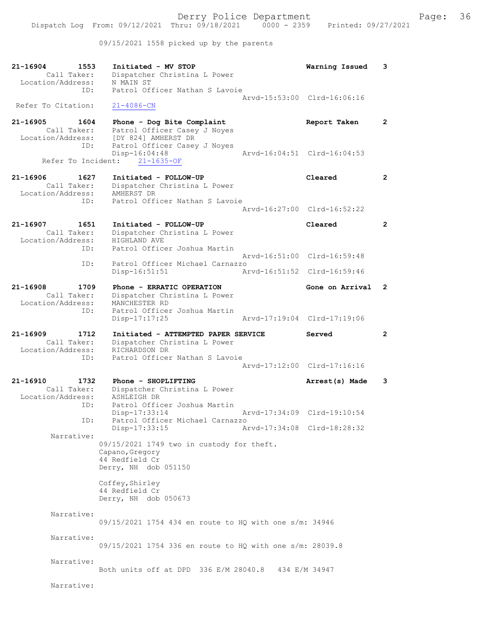09/15/2021 1558 picked up by the parents

| 21-16904<br>1553<br>Call Taker:<br>Location/Address:        | Initiated - MV STOP<br>Dispatcher Christina L Power<br>N MAIN ST                                                       | Warning Issued              | 3                    |
|-------------------------------------------------------------|------------------------------------------------------------------------------------------------------------------------|-----------------------------|----------------------|
| ID:<br>Refer To Citation:                                   | Patrol Officer Nathan S Lavoie<br>$21 - 4086 - CN$                                                                     | Arvd-15:53:00 Clrd-16:06:16 |                      |
| 21-16905<br>1604<br>Call Taker:<br>Location/Address:<br>ID: | Phone - Dog Bite Complaint<br>Patrol Officer Casey J Noyes<br>[DY 824] AMHERST DR<br>Patrol Officer Casey J Noyes      | Report Taken                | $\mathbf{2}$         |
| Refer To Incident:                                          | Disp-16:04:48<br>$21 - 1635 - OF$                                                                                      | Arvd-16:04:51 Clrd-16:04:53 |                      |
| 21-16906<br>1627<br>Call Taker:<br>Location/Address:<br>ID: | Initiated - FOLLOW-UP<br>Dispatcher Christina L Power<br>AMHERST DR<br>Patrol Officer Nathan S Lavoie                  | Cleared                     | $\mathbf{2}^{\circ}$ |
|                                                             |                                                                                                                        | Arvd-16:27:00 Clrd-16:52:22 |                      |
| 21-16907<br>1651<br>Call Taker:<br>Location/Address:<br>ID: | Initiated - FOLLOW-UP<br>Dispatcher Christina L Power<br>HIGHLAND AVE<br>Patrol Officer Joshua Martin                  | Cleared                     | $\overline{2}$       |
|                                                             | Patrol Officer Michael Carnazzo                                                                                        | Arvd-16:51:00 Clrd-16:59:48 |                      |
| ID:                                                         | $Disp-16:51:51$                                                                                                        | Arvd-16:51:52 Clrd-16:59:46 |                      |
| 21-16908<br>1709<br>Call Taker:<br>Location/Address:        | Phone - ERRATIC OPERATION<br>Dispatcher Christina L Power<br>MANCHESTER RD                                             | Gone on Arrival             | $\mathbf{2}$         |
| ID:                                                         | Patrol Officer Joshua Martin<br>$Disp-17:17:25$                                                                        | Arvd-17:19:04 Clrd-17:19:06 |                      |
|                                                             |                                                                                                                        |                             |                      |
| 21-16909<br>1712<br>Call Taker:<br>Location/Address:<br>ID: | Initiated - ATTEMPTED PAPER SERVICE<br>Dispatcher Christina L Power<br>RICHARDSON DR<br>Patrol Officer Nathan S Lavoie | Served                      | $\mathbf{2}$         |
|                                                             |                                                                                                                        | Arvd-17:12:00 Clrd-17:16:16 |                      |
| 21-16910<br>1732<br>Call Taker:<br>Location/Address:        | Phone - SHOPLIFTING<br>Dispatcher Christina L Power<br>ASHLEIGH DR                                                     | Arrest(s) Made              | 3                    |
| ID:                                                         | Patrol Officer Joshua Martin<br>$Disp-17:33:14$                                                                        | Arvd-17:34:09 Clrd-19:10:54 |                      |
| ID:                                                         | Patrol Officer Michael Carnazzo<br>Disp-17:33:15                                                                       | Arvd-17:34:08 Clrd-18:28:32 |                      |
| Narrative:                                                  | 09/15/2021 1749 two in custody for theft.<br>Capano, Gregory<br>44 Redfield Cr<br>Derry, NH dob 051150                 |                             |                      |
|                                                             | Coffey, Shirley<br>44 Redfield Cr<br>Derry, NH dob 050673                                                              |                             |                      |
| Narrative:                                                  | 09/15/2021 1754 434 en route to HQ with one s/m: 34946                                                                 |                             |                      |
| Narrative:                                                  | 09/15/2021 1754 336 en route to HQ with one s/m: 28039.8                                                               |                             |                      |
| Narrative:                                                  | Both units off at DPD 336 E/M 28040.8 434 E/M 34947                                                                    |                             |                      |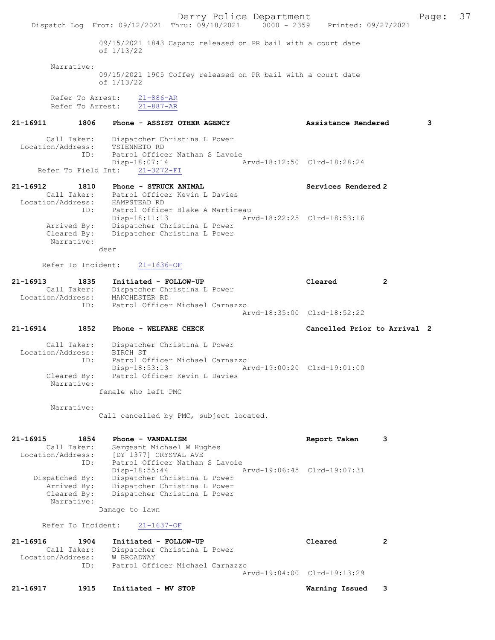Derry Police Department Form Page: 37 Dispatch Log From: 09/12/2021 Thru: 09/18/2021 0000 - 2359 Printed: 09/27/2021 09/15/2021 1843 Capano released on PR bail with a court date of 1/13/22 Narrative: 09/15/2021 1905 Coffey released on PR bail with a court date of 1/13/22 Refer To Arrest:  $\frac{21-886-AR}{21-887-AR}$ Refer To Arrest: 21-16911 1806 Phone - ASSIST OTHER AGENCY Assistance Rendered 3 Call Taker: Dispatcher Christina L Power Location/Address: TSIENNETO RD<br>TD: Patrol Office Patrol Officer Nathan S Lavoie<br>Disp-18:07:14 -18:07:14<br>21-3272-FI Arvd-18:12:50 Clrd-18:28:24 Refer To Field Int: 21-16912 1810 Phone - STRUCK ANIMAL Services Rendered 2 Call Taker: Patrol Officer Kevin L Davies Location/Address: HAMPSTEAD RD ID: Patrol Officer Blake A Martineau<br>Disp-18:11:13 Ary Disp-18:11:13 Arvd-18:22:25 Clrd-18:53:16<br>Arrived By: Dispatcher Christina L Power Arrived By: Dispatcher Christina L Power Cleared By: Dispatcher Christina L Power Narrative: deer Refer To Incident: 21-1636-OF 21-16913 1835 Initiated - FOLLOW-UP Cleared 2 Call Taker: Dispatcher Christina L Power Location/Address: MANCHESTER RD ID: Patrol Officer Michael Carnazzo Arvd-18:35:00 Clrd-18:52:22 21-16914 1852 Phone - WELFARE CHECK Cancelled Prior to Arrival 2 Call Taker: Dispatcher Christina L Power<br>ion/Address: BIRCH ST Location/Address:<br>ID: ID: Patrol Officer Michael Carnazzo Disp-18:53:13 Arvd-19:00:20 Clrd-19:01:00<br>Cleared By: Patrol Officer Kevin L Davies Patrol Officer Kevin L Davies Narrative: female who left PMC Narrative: Call cancelled by PMC, subject located. 21-16915 1854 Phone - VANDALISM Report Taken 3 Call Taker: Sergeant Michael W Hughes Location/Address: [DY 1377] CRYSTAL AVE ID: Patrol Officer Nathan S Lavoie<br>Disp-18:55:44 1 Disp-18:55:44 Arvd-19:06:45 Clrd-19:07:31<br>Dispatcher Christina L Power Dispatcher Christina L Power Arrived By: Dispatcher Christina L Power<br>Cleared By: Dispatcher Christina L Power Dispatcher Christina L Power Narrative: Damage to lawn Refer To Incident: 21-1637-OF 21-16916 1904 Initiated - FOLLOW-UP Cleared 2 Call Taker: Dispatcher Christina L Power<br>ion/Address: W BROADWAY Location/Address:<br>ID: Patrol Officer Michael Carnazzo Arvd-19:04:00 Clrd-19:13:29 21-16917 1915 Initiated - MV STOP Warning Issued 3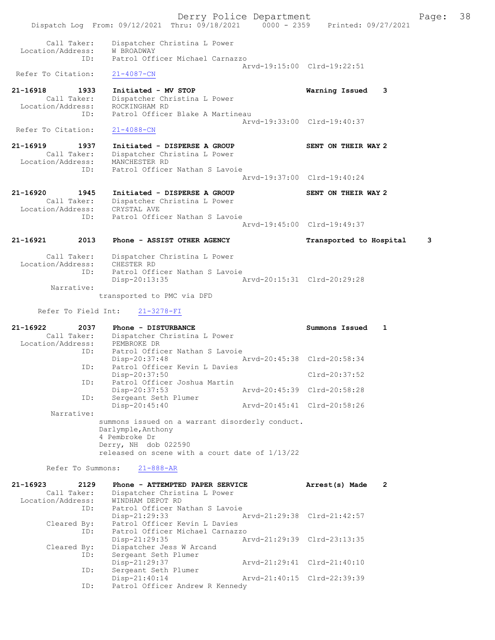Dispatch Log From: 09/12/2021 Thru: 09/18/2021 0000 - 2359 Printed: 09/27/2021 Call Taker: Dispatcher Christina L Power Location/Address: W BROADWAY ID: Patrol Officer Michael Carnazzo Arvd-19:15:00 Clrd-19:22:51<br>21-4087-CN Refer To Citation: 21-16918 1933 Initiated - MV STOP Warning Issued 3 Call Taker: Dispatcher Christina L Power Location/Address: ROCKINGHAM RD ID: Patrol Officer Blake A Martineau Arvd-19:33:00 Clrd-19:40:37 Refer To Citation: 21-4088-CN 21-16919 1937 Initiated - DISPERSE A GROUP SENT ON THEIR WAY 2 Call Taker: Dispatcher Christina L Power Location/Address: MANCHESTER RD ID: Patrol Officer Nathan S Lavoie Patrol Officer Nathan S Lavoie<br>Arvd-19:37:00 Clrd-19:40:24 21-16920 1945 Initiated - DISPERSE A GROUP SENT ON THEIR WAY 2 Call Taker: Dispatcher Christina L Power Location/Address: CRYSTAL AVE ID: Patrol Officer Nathan S Lavoie Arvd-19:45:00 Clrd-19:49:37 21-16921 2013 Phone - ASSIST OTHER AGENCY Transported to Hospital 3 Call Taker: Dispatcher Christina L Power<br>ion/Address: CHESTER RD Location/Address:<br>ID: UNIVERSITY OF<br>Patrol Officer Nathan S Lavoie<br>Disp-20:13:35 Disp-20:13:35 Arvd-20:15:31 Clrd-20:29:28 Narrative: transported to PMC via DFD Refer To Field Int: 21-3278-FI 21-16922 2037 Phone - DISTURBANCE Summons Issued 1 Call Taker: Dispatcher Christina L Power Location/Address: PEMBROKE DR ID: Patrol Officer Nathan S Lavoie<br>Disp-20:37:48 Disp-20:37:48 Arvd-20:45:38 Clrd-20:58:34<br>ID: Patrol Officer Kevin L Davies Patrol Officer Kevin L Davies Disp-20:37:50 Clrd-20:37:52 ID: Patrol Officer Joshua Martin<br>Disp-20:37:53 Disp-20:37:53 Arvd-20:45:39 Clrd-20:58:28<br>ID: Sergeant Seth Plumer Sergeant Seth Plumer<br>Disp-20:45:40 Disp-20:45:40 Arvd-20:45:41 Clrd-20:58:26 Narrative: summons issued on a warrant disorderly conduct. Darlymple,Anthony 4 Pembroke Dr Derry, NH dob 022590 released on scene with a court date of 1/13/22 Refer To Summons: 21-888-AR 21-16923 2129 Phone - ATTEMPTED PAPER SERVICE Arrest(s) Made 2 Call Taker: Dispatcher Christina L Power Location/Address: WINDHAM DEPOT RD ID: Patrol Officer Nathan S Lavoie<br>Disp-21:29:33 Disp-21:29:33 Arvd-21:29:38 Clrd-21:42:57<br>Cleared By: Patrol Officer Kevin L Davies Patrol Officer Kevin L Davies ID: Patrol Officer Michael Carnazzo Disp-21:29:35 Arvd-21:29:39 Cleared By: Dispatcher Jess W Arcand By: Dispatcher Jess W Arcand<br>ID: Sergeant Seth Plumer Sergeant Seth Plumer Disp-21:29:37 Arvd-21:29:41 Clrd-21:40:10 ID: Sergeant Seth Plumer Disp-21:40:14 Arvd-21:40:15 Clrd-22:39:39<br>TD: Patrol Officer Andrew R Kennedy

Patrol Officer Andrew R Kennedy

Derry Police Department The Page: 38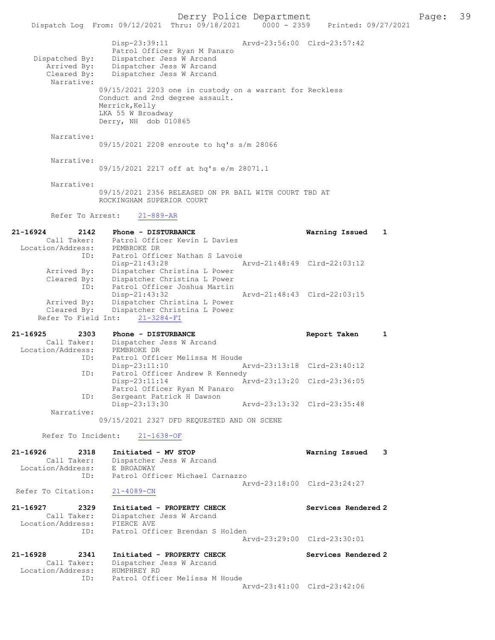Derry Police Department<br>Page: 39 Printed: 09/27/2021 0000 - 2359 Printed: 09/27/2021 Dispatch Log From: 09/12/2021 Thru: 09/18/2021 Disp-23:39:11 Arvd-23:56:00 Clrd-23:57:42 Patrol Officer Ryan M Panaro<br>Dispatched By: Dispatcher Jess W Arcand patched By: Dispatcher Jess W Arcand<br>Arrived By: Dispatcher Jess W Arcand Arrived By: Dispatcher Jess W Arcand<br>Cleared By: Dispatcher Jess W Arcand Dispatcher Jess W Arcand Narrative: 09/15/2021 2203 one in custody on a warrant for Reckless Conduct and 2nd degree assault. Merrick, Kelly LKA 55 W Broadway Derry, NH dob 010865 Narrative: 09/15/2021 2208 enroute to hq's s/m 28066 Narrative: 09/15/2021 2217 off at hq's e/m 28071.1 Narrative: 09/15/2021 2356 RELEASED ON PR BAIL WITH COURT TBD AT ROCKINGHAM SUPERIOR COURT Refer To Arrest: 21-889-AR 21-16924 2142 Phone - DISTURBANCE Warning Issued 1 Call Taker: Patrol Officer Kevin L Davies Location/Address: PEMBROKE DR<br>ID: Patrol Officer<br>Disp-21:43:28 Patrol Officer Nathan S Lavoie Disp-21:43:28 Arvd-21:48:49 Clrd-22:03:12 Arrived By: Dispatcher Christina L Power Cleared By: Dispatcher Christina L Power ID: Patrol Officer Joshua Martin Disp-21:43:32 Arvd-21:48:43 Clrd-22:03:15 Arrived By: Dispatcher Christina L Power Cleared By: Dispatcher Christina L Power Refer To Field Int: 21-3284-FI 21-16925 2303 Phone - DISTURBANCE Report Taken 1 Call Taker: Dispatcher Jess W Arcand<br>ion/Address: PEMBROKE DR Location/Address: ID: Patrol Officer Melissa M Houde Disp-23:11:10 Arvd-23:13:18 Clrd-23:40:12 ID: Patrol Officer Andrew R Kennedy Disp-23:11:14 Arvd-23:13:20 Clrd-23:36:05 Patrol Officer Ryan M Panaro ID: Sergeant Patrick H Dawson Disp-23:13:30 Arvd-23:13:32 Clrd-23:35:48 Narrative: 09/15/2021 2327 DFD REQUESTED AND ON SCENE Refer To Incident: 21-1638-OF 21-16926 2318 Initiated - MV STOP Warning Issued 3<br>Call Taker: Dispatcher Jess W Arcand Call Taker: Dispatcher Jess W Arcand Location/Address: E BROADWAY ID: Patrol Officer Michael Carnazzo Arvd-23:18:00 Clrd-23:24:27 Refer To Citation: 21-4089-CN 21-16927 2329 Initiated - PROPERTY CHECK Services Rendered 2<br>Call Taker: Dispatcher Jess W Arcand Call Taker: Dispatcher Jess W Arcand Location/Address: PIERCE AVE ID: Patrol Officer Brendan S Holden Arvd-23:29:00 Clrd-23:30:01 21-16928 2341 Initiated - PROPERTY CHECK Services Rendered 2 Call Taker: Dispatcher Jess W Arcand Call Taker: Dispatcher<br>Location/Address: HUMPHREY RD<br>TD: Patrol Offic Patrol Officer Melissa M Houde Arvd-23:41:00 Clrd-23:42:06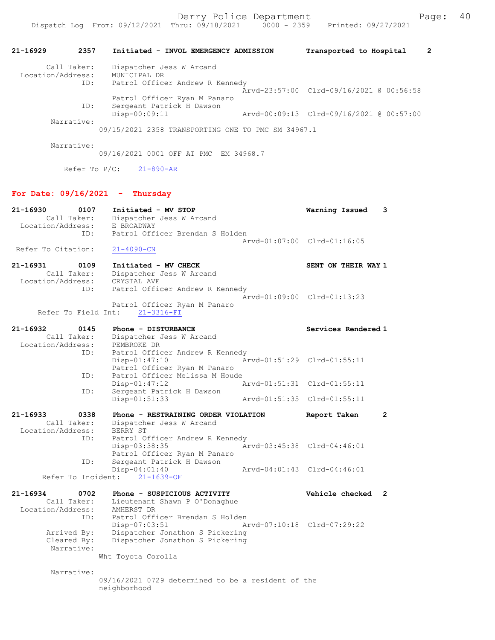## 21-16929 2357 Initiated - INVOL EMERGENCY ADMISSION Transported to Hospital 2 Call Taker: Dispatcher Jess W Arcand Location/Address: MUNICIPAL DR ID: Patrol Officer Andrew R Kennedy Arvd-23:57:00 Clrd-09/16/2021 @ 00:56:58 Patrol Officer Ryan M Panaro<br>ID: Sergeant Patrick H Dawson Sergeant Patrick H Dawson<br>Disp-00:09:11 Disp-00:09:11 Arvd-00:09:13 Clrd-09/16/2021 @ 00:57:00 Narrative: 09/15/2021 2358 TRANSPORTING ONE TO PMC SM 34967.1 Narrative: 09/16/2021 0001 OFF AT PMC EM 34968.7 Refer To P/C: 21-890-AR For Date:  $09/16/2021$  - Thursday 21-16930 0107 Initiated - MV STOP Warning Issued 3 Call Taker: Dispatcher Jess W Arcand Location/Address: E BROADWAY ID: Patrol Officer Brendan S Holden Arvd-01:07:00 Clrd-01:16:05 Refer To Citation: 21-4090-CN 21-16931 0109 Initiated - MV CHECK SENT ON THEIR WAY 1 Call Taker: Dispatcher Jess W Arcand<br>:ion/Address: CRYSTAL AVE Location/Address: ID: Patrol Officer Andrew R Kennedy Arvd-01:09:00 Clrd-01:13:23 Patrol Officer Ryan M Panaro Refer To Field Int: 21-3316-FI 21-16932 0145 Phone - DISTURBANCE Call Taker: Dispatcher Jess W Arcand Call Taker: Dispatcher Jess W Arcand Location/Address: PEMBROKE DR ID: Patrol Officer Andrew R Kennedy<br>Disp-01:47:10 Ar Arvd-01:51:29 Clrd-01:55:11 Patrol Officer Ryan M Panaro<br>ID: Patrol Officer Melissa M Houd Patrol Officer Melissa M Houde<br>Disp-01:47:12 / Disp-01:47:12 Arvd-01:51:31 Clrd-01:55:11<br>TD: Sergeant Patrick H Dawson Sergeant Patrick H Dawson<br>Disp-01:51:33 Arvd-01:51:35 Clrd-01:55:11 21-16933 0338 Phone - RESTRAINING ORDER VIOLATION Report Taken 2<br>Call Taker: Dispatcher Jess W Arcand Dispatcher Jess W Arcand<br>BERRY ST Location/Address:<br>TD: Patrol Officer Andrew R Kennedy<br>Disp-03:38:35 Ar Disp-03:38:35 Arvd-03:45:38 Clrd-04:46:01 Patrol Officer Ryan M Panaro<br>ID: Sergeant Patrick H Dawson Sergeant Patrick H Dawson<br>Disp-04:01:40 Disp-04:01:40 Arvd-04:01:43 Clrd-04:46:01 Refer To Incident: 21-1639-OF 21-16934 0702 Phone - SUSPICIOUS ACTIVITY Vehicle checked 2 Call Taker: Lieutenant Shawn P O'Donaghue Location/Address: AMHERST DR ID: Patrol Officer Brendan S Holden<br>Disp-07:03:51 Ar Disp-07:03:51 Arvd-07:10:18 Clrd-07:29:22 Arrived By: Dispatcher Jonathon S Pickering Cleared By: Dispatcher Jonathon S Pickering Narrative: Wht Toyota Corolla

Narrative:

09/16/2021 0729 determined to be a resident of the neighborhood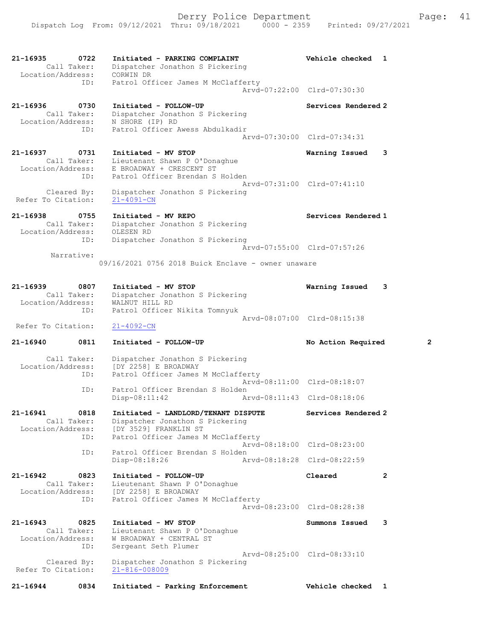21-16935 0722 Initiated - PARKING COMPLAINT Vehicle checked 1 Call Taker: Dispatcher Jonathon S Pickering Location/Address: CORWIN DR ID: Patrol Officer James M McClafferty Arvd-07:22:00 Clrd-07:30:30 21-16936 0730 Initiated - FOLLOW-UP Services Rendered 2 Call Taker: Dispatcher Jonathon S Pickering Location/Address: N SHORE (IP) RD ID: Patrol Officer Awess Abdulkadir Arvd-07:30:00 Clrd-07:34:31 21-16937 0731 Initiated - MV STOP Warning Issued 3 Call Taker: Lieutenant Shawn P O'Donaghue Location/Address: E BROADWAY + CRESCENT ST ID: Patrol Officer Brendan S Holden Arvd-07:31:00 Clrd-07:41:10 Cleared By: Dispatcher Jonathon S Pickering Refer To Citation: 21-4091-CN 21-16938 0755 Initiated - MV REPO Services Rendered 1 Call Taker: Dispatcher Jonathon S Pickering Location/Address: OLESEN RD ID: Dispatcher Jonathon S Pickering Arvd-07:55:00 Clrd-07:57:26 Narrative: 09/16/2021 0756 2018 Buick Enclave - owner unaware 21-16939 0807 Initiated - MV STOP Warning Issued 3 Call Taker: Dispatcher Jonathon S Pickering Location/Address: WALNUT HILL RD ID: Patrol Officer Nikita Tomnyuk Arvd-08:07:00 Clrd-08:15:38 Refer To Citation: 21-4092-CN 21-16940 0811 Initiated - FOLLOW-UP No Action Required 2 Call Taker: Dispatcher Jonathon S Pickering Location/Address: [DY 2258] E BROADWAY ID: Patrol Officer James M McClafferty Arvd-08:11:00 Clrd-08:18:07 ID: Patrol Officer Brendan S Holden<br>Disp-08:11:42 Ar Arvd-08:11:43 Clrd-08:18:06 21-16941 0818 Initiated - LANDLORD/TENANT DISPUTE Services Rendered 2 Call Taker: Dispatcher Jonathon S Pickering Location/Address: [DY 3529] FRANKLIN ST ID: Patrol Officer James M McClafferty Arvd-08:18:00 Clrd-08:23:00<br>TD: Patrol Officer Brendan S Holden Patrol Officer Brendan S Holden<br>Disp-08:18:26 Ar Disp-08:18:26 Arvd-08:18:28 Clrd-08:22:59 21-16942 0823 Initiated - FOLLOW-UP Cleared 2 Call Taker: Lieutenant Shawn P O'Donaghue Location/Address: [DY 2258] E BROADWAY ID: Patrol Officer James M McClafferty Arvd-08:23:00 Clrd-08:28:38 21-16943 0825 Initiated - MV STOP Summons Issued 3 Call Taker: Lieutenant Shawn P O'Donaghue Location/Address: W BROADWAY + CENTRAL ST sss. The Enderson Control of Plumer<br>ID: Sergeant Seth Plumer Arvd-08:25:00 Clrd-08:33:10 Cleared By: Dispatcher Jonathon S Pickering Refer To Citation: 21-816-008009

21-16944 0834 Initiated - Parking Enforcement Vehicle checked 1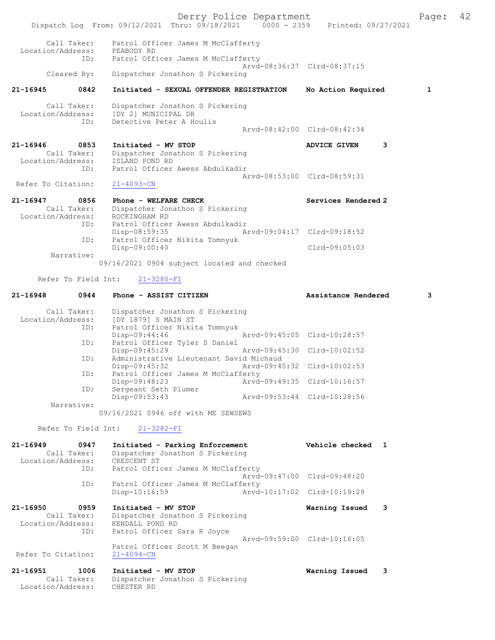|                               |                            | Dispatch Log From: 09/12/2021 Thru: 09/18/2021 0000 - 2359 Printed: 09/27/2021                           | Derry Police Department |                                                            |   | Page: | 42 |
|-------------------------------|----------------------------|----------------------------------------------------------------------------------------------------------|-------------------------|------------------------------------------------------------|---|-------|----|
| Location/Address:             | Call Taker:                | Patrol Officer James M McClafferty<br>PEABODY RD                                                         |                         |                                                            |   |       |    |
|                               | ID:                        | Patrol Officer James M McClafferty                                                                       |                         | Arvd-08:36:37 Clrd-08:37:15                                |   |       |    |
|                               | Cleared By:                | Dispatcher Jonathon S Pickering                                                                          |                         |                                                            |   |       |    |
| 21-16945                      | 0842                       | Initiated - SEXUAL OFFENDER REGISTRATION                                                                 |                         | No Action Required                                         |   | 1     |    |
| Location/Address:             | Call Taker:<br>ID:         | Dispatcher Jonathon S Pickering<br>[DY 2] MUNICIPAL DR<br>Detective Peter A Houlis                       |                         |                                                            |   |       |    |
|                               |                            |                                                                                                          |                         | Arvd-08:42:00 Clrd-08:42:34                                |   |       |    |
| 21-16946<br>Location/Address: | 0853<br>Call Taker:        | Initiated - MV STOP<br>Dispatcher Jonathon S Pickering<br>ISLAND POND RD                                 |                         | <b>ADVICE GIVEN</b>                                        | 3 |       |    |
| Refer To Citation:            | ID:                        | Patrol Officer Awess Abdulkadir<br>$21 - 4093 - CN$                                                      |                         | Arvd-08:53:00 Clrd-08:59:31                                |   |       |    |
| 21-16947<br>Location/Address: | 0856<br>Call Taker:        | Phone - WELFARE CHECK<br>Dispatcher Jonathon S Pickering<br>ROCKINGHAM RD                                |                         | Services Rendered 2                                        |   |       |    |
|                               | ID:                        | Patrol Officer Awess Abdulkadir<br>$Disp-08:59:35$                                                       |                         | Arvd-09:04:17 Clrd-09:18:52                                |   |       |    |
|                               | ID:<br>Narrative:          | Patrol Officer Nikita Tomnyuk<br>Disp-09:00:40                                                           |                         | Clrd-09:05:03                                              |   |       |    |
|                               |                            | 09/16/2021 0904 subject located and checked                                                              |                         |                                                            |   |       |    |
|                               | Refer To Field Int:        | $21 - 3280 - FI$                                                                                         |                         |                                                            |   |       |    |
| 21-16948                      | 0944                       | Phone - ASSIST CITIZEN                                                                                   |                         | Assistance Rendered                                        |   | 3     |    |
| Location/Address:             | Call Taker:<br>ID:         | Dispatcher Jonathon S Pickering<br>[DY 1879] S MAIN ST<br>Patrol Officer Nikita Tomnyuk                  |                         |                                                            |   |       |    |
|                               | ID:                        | Disp-09:44:46<br>Patrol Officer Tyler S Daniel<br>Disp-09:45:29                                          |                         | Arvd-09:45:05 Clrd-10:28:57<br>Arvd-09:45:30 Clrd-10:02:52 |   |       |    |
|                               | ID:                        | Administrative Lieutenant David Michaud<br>Disp-09:45:32                                                 |                         | Arvd-09:45:32 Clrd-10:02:53                                |   |       |    |
|                               | ID:                        | Patrol Officer James M McClafferty<br>Disp-09:48:23                                                      |                         | Arvd-09:49:35 Clrd-10:16:57                                |   |       |    |
|                               | ID:                        | Sergeant Seth Plumer<br>Disp-09:53:43                                                                    |                         | Arvd-09:53:44 Clrd-10:28:56                                |   |       |    |
|                               | Narrative:                 | 09/16/2021 0946 off with ME SEWSEWS                                                                      |                         |                                                            |   |       |    |
|                               | Refer To Field Int:        | $21 - 3282 - FI$                                                                                         |                         |                                                            |   |       |    |
| 21-16949                      | 0947                       | Initiated - Parking Enforcement                                                                          |                         | Vehicle checked 1                                          |   |       |    |
| Location/Address:             | Call Taker:<br>ID:         | Dispatcher Jonathon S Pickering<br>CRESCENT ST<br>Patrol Officer James M McClafferty                     |                         |                                                            |   |       |    |
|                               | ID:                        | Patrol Officer James M McClafferty                                                                       |                         | Arvd-09:47:00 Clrd-09:48:20                                |   |       |    |
|                               |                            | $Disp-10:16:59$                                                                                          |                         | Arvd-10:17:02 Clrd-10:19:29                                |   |       |    |
| 21-16950<br>Location/Address: | 0959<br>Call Taker:<br>ID: | Initiated - MV STOP<br>Dispatcher Jonathon S Pickering<br>KENDALL POND RD<br>Patrol Officer Sara R Joyce |                         | Warning Issued<br>Arvd-09:59:00 Clrd-10:16:05              | 3 |       |    |
| Refer To Citation:            |                            | Patrol Officer Scott M Beegan<br>$21 - 4094 - CN$                                                        |                         |                                                            |   |       |    |
| 21-16951<br>Location/Address: | 1006<br>Call Taker:        | Initiated - MV STOP<br>Dispatcher Jonathon S Pickering<br>CHESTER RD                                     |                         | Warning Issued                                             | 3 |       |    |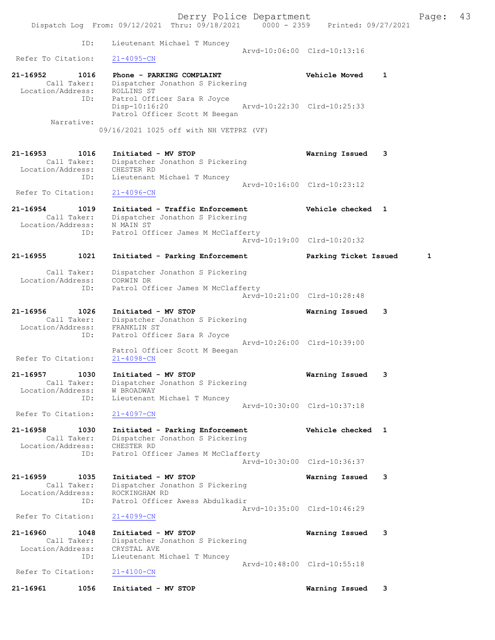Derry Police Department Fage: 43 Dispatch Log From: 09/12/2021 Thru: 09/18/2021 0000 - 2359 Printed: 09/27/2021 ID: Lieutenant Michael T Muncey Arvd-10:06:00 Clrd-10:13:16 Refer To Citation: 21-4095-CN 21-16952 1016 Phone - PARKING COMPLAINT Vehicle Moved 1 Call Taker: Dispatcher Jonathon S Pickering Location/Address: ROLLINS ST ID: Patrol Officer Sara R Joyce Disp-10:16:20 Arvd-10:22:30 Clrd-10:25:33 Patrol Officer Scott M Beegan Narrative: 09/16/2021 1025 off with NH VETPRZ (VF) 21-16953 1016 Initiated - MV STOP Warning Issued 3 Call Taker: Dispatcher Jonathon S Pickering Location/Address: CHESTER RD ID: Lieutenant Michael T Muncey Arvd-10:16:00 Clrd-10:23:12 Refer To Citation: 21-4096-CN 21-16954 1019 Initiated - Traffic Enforcement Vehicle checked 1 Call Taker: Dispatcher Jonathon S Pickering Location/Address: N MAIN ST ID: Patrol Officer James M McClafferty Arvd-10:19:00 Clrd-10:20:32 21-16955 1021 Initiated - Parking Enforcement Parking Ticket Issued 1 Call Taker: Dispatcher Jonathon S Pickering Location/Address: CORWIN DR ID: Patrol Officer James M McClafferty Arvd-10:21:00 Clrd-10:28:48 21-16956 1026 Initiated - MV STOP Warning Issued 3 Call Taker: Dispatcher Jonathon S Pickering Location/Address: FRANKLIN ST ID: Patrol Officer Sara R Joyce Arvd-10:26:00 Clrd-10:39:00 Patrol Officer Scott M Beegan Refer To Citation: 21-4098-CN 21-16957 1030 Initiated - MV STOP Warning Issued 3 Call Taker: Dispatcher Jonathon S Pickering Location/Address: W BROADWAY ID: Lieutenant Michael T Muncey Arvd-10:30:00 Clrd-10:37:18 Refer To Citation: 21-4097-CN 21-16958 1030 Initiated - Parking Enforcement Vehicle checked 1 Call Taker: Dispatcher Jonathon S Pickering Location/Address: CHESTER RD ID: Patrol Officer James M McClafferty Arvd-10:30:00 Clrd-10:36:37 21-16959 1035 Initiated - MV STOP Warning Issued 3 Call Taker: Dispatcher Jonathon S Pickering Location/Address: ROCKINGHAM RD ID: Patrol Officer Awess Abdulkadir Arvd-10:35:00 Clrd-10:46:29 Refer To Citation: 21-4099-CN 21-16960 1048 Initiated - MV STOP Warning Issued 3 Call Taker: Dispatcher Jonathon S Pickering Location/Address: CRYSTAL AVE ID: Lieutenant Michael T Muncey Arvd-10:48:00 Clrd-10:55:18<br>21-4100-CN Refer To Citation: 21-16961 1056 Initiated - MV STOP Warning Issued 3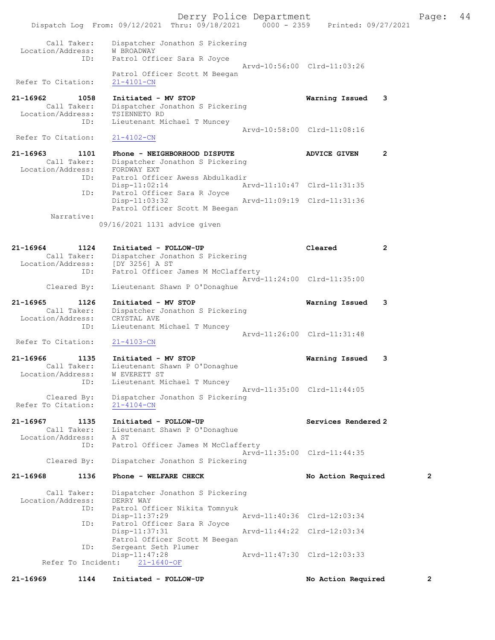|                                                             |                                                                                                      | Derry Police Department |                             |                | Page:          | 44 |
|-------------------------------------------------------------|------------------------------------------------------------------------------------------------------|-------------------------|-----------------------------|----------------|----------------|----|
|                                                             | Dispatch Log From: 09/12/2021 Thru: 09/18/2021 0000 - 2359 Printed: 09/27/2021                       |                         |                             |                |                |    |
| Call Taker:<br>Location/Address:<br>ID:                     | Dispatcher Jonathon S Pickering<br>W BROADWAY<br>Patrol Officer Sara R Joyce                         |                         |                             |                |                |    |
| Refer To Citation:                                          | Patrol Officer Scott M Beegan<br>$21 - 4101 - CN$                                                    |                         | Arvd-10:56:00 Clrd-11:03:26 |                |                |    |
|                                                             |                                                                                                      |                         |                             |                |                |    |
| 21-16962<br>1058<br>Call Taker:                             | Initiated - MV STOP<br>Dispatcher Jonathon S Pickering                                               |                         | Warning Issued              | -3             |                |    |
| Location/Address:<br>ID:                                    | TSIENNETO RD<br>Lieutenant Michael T Muncey                                                          |                         |                             |                |                |    |
| Refer To Citation:                                          | $21 - 4102 - CN$                                                                                     |                         | Arvd-10:58:00 Clrd-11:08:16 |                |                |    |
| 21-16963<br>1101<br>Call Taker:<br>Location/Address:        | Phone - NEIGHBORHOOD DISPUTE<br>Dispatcher Jonathon S Pickering<br>FORDWAY EXT                       |                         | <b>ADVICE GIVEN</b>         | $\overline{2}$ |                |    |
| ID:                                                         | Patrol Officer Awess Abdulkadir<br>$Disp-11:02:14$                                                   |                         | Arvd-11:10:47 Clrd-11:31:35 |                |                |    |
| ID:                                                         | Patrol Officer Sara R Joyce<br>$Disp-11:03:32$<br>Patrol Officer Scott M Beegan                      |                         | Arvd-11:09:19 Clrd-11:31:36 |                |                |    |
| Narrative:                                                  | 09/16/2021 1131 advice given                                                                         |                         |                             |                |                |    |
| 21-16964<br>1124<br>Call Taker:<br>Location/Address:        | Initiated - FOLLOW-UP<br>Dispatcher Jonathon S Pickering<br>[DY 3256] A ST                           |                         | Cleared                     | $\overline{2}$ |                |    |
| ID:                                                         | Patrol Officer James M McClafferty                                                                   |                         | Arvd-11:24:00 Clrd-11:35:00 |                |                |    |
| Cleared By:                                                 | Lieutenant Shawn P O'Donaghue                                                                        |                         |                             |                |                |    |
| 21-16965<br>1126<br>Call Taker:<br>Location/Address:<br>ID: | Initiated - MV STOP<br>Dispatcher Jonathon S Pickering<br>CRYSTAL AVE<br>Lieutenant Michael T Muncey |                         | Warning Issued              | 3              |                |    |
| Refer To Citation:                                          | $21 - 4103 - CN$                                                                                     |                         | Arvd-11:26:00 Clrd-11:31:48 |                |                |    |
| $21 - 16966$<br>1135                                        | Initiated - MV STOP                                                                                  |                         | Warning Issued              | 3              |                |    |
| Call Taker:<br>Location/Address:<br>ID:                     | Lieutenant Shawn P O'Donaghue<br>W EVERETT ST<br>Lieutenant Michael T Muncey                         |                         |                             |                |                |    |
| Cleared By:<br>Refer To Citation:                           | Dispatcher Jonathon S Pickering<br>$21 - 4104 - CN$                                                  |                         | Arvd-11:35:00 Clrd-11:44:05 |                |                |    |
| 21-16967<br>1135<br>Call Taker:<br>Location/Address:        | Initiated - FOLLOW-UP<br>Lieutenant Shawn P O'Donaghue<br>A ST                                       |                         | Services Rendered 2         |                |                |    |
| ID:<br>Cleared By:                                          | Patrol Officer James M McClafferty<br>Dispatcher Jonathon S Pickering                                |                         | Arvd-11:35:00 Clrd-11:44:35 |                |                |    |
|                                                             |                                                                                                      |                         |                             |                |                |    |
| 21-16968<br>1136                                            | Phone - WELFARE CHECK                                                                                |                         | No Action Required          |                | $\overline{2}$ |    |
| Call Taker:<br>Location/Address:<br>ID:                     | Dispatcher Jonathon S Pickering<br>DERRY WAY<br>Patrol Officer Nikita Tomnyuk                        |                         |                             |                |                |    |
| ID:                                                         | $Disp-11:37:29$<br>Patrol Officer Sara R Joyce                                                       |                         | Arvd-11:40:36 Clrd-12:03:34 |                |                |    |
| ID:                                                         | $Disp-11:37:31$<br>Patrol Officer Scott M Beegan<br>Sergeant Seth Plumer                             |                         | Arvd-11:44:22 Clrd-12:03:34 |                |                |    |
| Refer To Incident:                                          | $Disp-11:47:28$<br>$21 - 1640 - OF$                                                                  |                         | Arvd-11:47:30 Clrd-12:03:33 |                |                |    |
| 21-16969<br>1144                                            | Initiated - FOLLOW-UP                                                                                |                         | No Action Required          |                | $\overline{2}$ |    |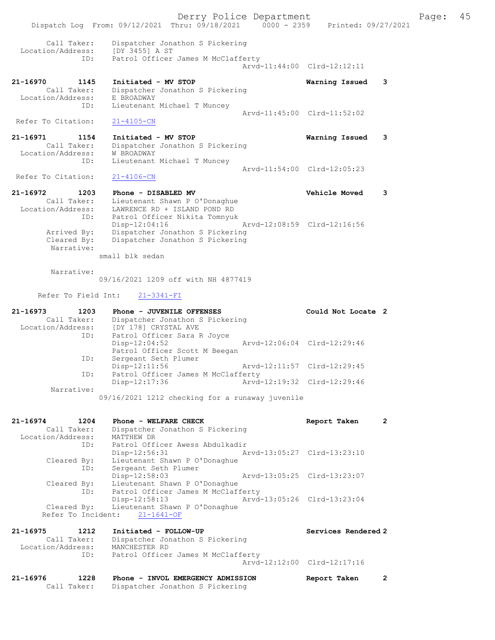Derry Police Department Fage: 45 Dispatch Log From: 09/12/2021 Thru: 09/18/2021 0000 - 2359 Printed: 09/27/2021 Call Taker: Dispatcher Jonathon S Pickering Location/Address: [DY 3455] A ST ID: Patrol Officer James M McClafferty Arvd-11:44:00 Clrd-12:12:11 21-16970 1145 Initiated - MV STOP Warning Issued 3 Call Taker: Dispatcher Jonathon S Pickering Location/Address: E BROADWAY ID: Lieutenant Michael T Muncey Arvd-11:45:00 Clrd-11:52:02 Refer To Citation: 21-4105-CN 21-16971 1154 Initiated - MV STOP Warning Issued 3 Call Taker: Dispatcher Jonathon S Pickering Location/Address: W BROADWAY ID: Lieutenant Michael T Muncey Arvd-11:54:00 Clrd-12:05:23 Refer To Citation: 21-4106-CN 21-16972 1203 Phone - DISABLED MV Vehicle Moved 3 Call Taker: Lieutenant Shawn P O'Donaghue Location/Address: LAWRENCE RD + ISLAND POND RD ID: Patrol Officer Nikita Tomnyuk Disp-12:04:16 Arvd-12:08:59 Clrd-12:16:56 Arrived By: Dispatcher Jonathon S Pickering Cleared By: Dispatcher Jonathon S Pickering Narrative: small blk sedan Narrative: 09/16/2021 1209 off with NH 4877419 Refer To Field Int: 21-3341-FI 21-16973 1203 Phone - JUVENILE OFFENSES Could Not Locate 2 Call Taker: Dispatcher Jonathon S Pickering Location/Address: [DY 178] CRYSTAL AVE ID: Patrol Officer Sara R Joyce Disp-12:04:52 Arvd-12:06:04 Clrd-12:29:46 Patrol Officer Scott M Beegan ID: Sergeant Seth Plumer Disp-12:11:56 Arvd-12:11:57 Clrd-12:29:45 ID: Patrol Officer James M McClafferty Disp-12:17:36 Arvd-12:19:32 Clrd-12:29:46 Narrative: 09/16/2021 1212 checking for a runaway juvenile 21-16974 1204 Phone - WELFARE CHECK 1200 Report Taken 2 Call Taker: Dispatcher Jonathon S Pickering Location/Address: MATTHEW DR ID: Patrol Officer Awess Abdulkadir Disp-12:56:31 Arvd-13:05:27 Clrd-13:23:10 Cleared By: Lieutenant Shawn P O'Donaghue ID: Sergeant Seth Plumer Disp-12:58:03 Arvd-13:05:25 Clrd-13:23:07 Cleared By: Lieutenant Shawn P O'Donaghue ID: Patrol Officer James M McClafferty Disp-12:58:13 Arvd-13:05:26 Clrd-13:23:04 Cleared By: Lieutenant Shawn P O'Donaghue Refer To Incident: 21-1641-OF 21-16975 1212 Initiated - FOLLOW-UP Services Rendered 2 Call Taker: Dispatcher Jonathon S Pickering Location/Address: MANCHESTER RD ID: Patrol Officer James M McClafferty Arvd-12:12:00 Clrd-12:17:16 21-16976 1228 Phone - INVOL EMERGENCY ADMISSION Report Taken 2 Call Taker: Dispatcher Jonathon S Pickering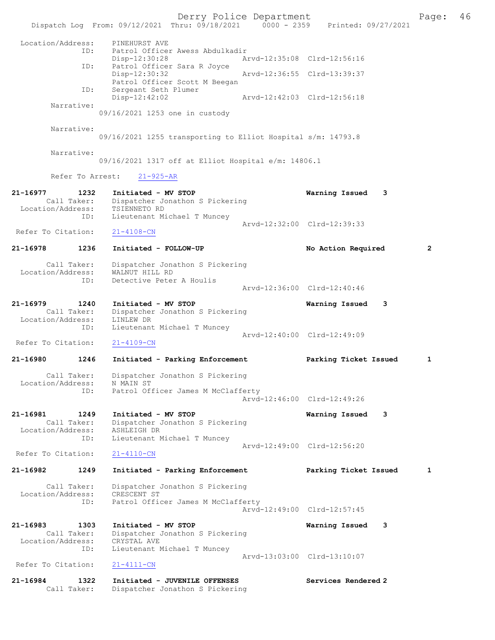Derry Police Department The Page: 46 Dispatch Log From: 09/12/2021 Thru: 09/18/2021 0000 - 2359 Printed: 09/27/2021 Location/Address: PINEHURST AVE<br>ID: Patrol Officer Patrol Officer Awess Abdulkadir<br>Disp-12:30:28 Ar Disp-12:30:28 Arvd-12:35:08 Clrd-12:56:16 ID: Patrol Officer Sara R Joyce<br>Disp-12:30:32 Disp-12:30:32 Arvd-12:36:55 Clrd-13:39:37 Patrol Officer Scott M Beegan ID: Sergeant Seth Plumer<br>Disp-12:42:02 Disp-12:42:02 Arvd-12:42:03 Clrd-12:56:18 Narrative: 09/16/2021 1253 one in custody Narrative: 09/16/2021 1255 transporting to Elliot Hospital s/m: 14793.8 Narrative: 09/16/2021 1317 off at Elliot Hospital e/m: 14806.1 Refer To Arrest: 21-925-AR 21-16977 1232 Initiated - MV STOP Warning Issued 3 Call Taker: Dispatcher Jonathon S Pickering Location/Address: TSIENNETO RD ID: Lieutenant Michael T Muncey Arvd-12:32:00 Clrd-12:39:33<br>21-4108-CN Refer To Citation: 21-16978 1236 Initiated - FOLLOW-UP No Action Required 2 Call Taker: Dispatcher Jonathon S Pickering Location/Address: WALNUT HILL RD ID: Detective Peter A Houlis Arvd-12:36:00 Clrd-12:40:46 21-16979 1240 Initiated - MV STOP Warning Issued 3 Call Taker: Dispatcher Jonathon S Pickering Location/Address: LINLEW DR ID: Lieutenant Michael T Muncey Arvd-12:40:00 Clrd-12:49:09<br>21-4109-CN Refer To Citation: 21-16980 1246 Initiated - Parking Enforcement Parking Ticket Issued 1 Call Taker: Dispatcher Jonathon S Pickering<br>ion/Address: N MAIN ST Location/Address: ID: Patrol Officer James M McClafferty Arvd-12:46:00 Clrd-12:49:26 21-16981 1249 Initiated - MV STOP Warning Issued 3 Call Taker: Dispatcher Jonathon S Pickering Location/Address: ASHLEIGH DR ID: Lieutenant Michael T Muncey Arvd-12:49:00 Clrd-12:56:20<br>21-4110-CN Refer To Citation: 21-16982 1249 Initiated - Parking Enforcement Parking Ticket Issued 1 Call Taker: Dispatcher Jonathon S Pickering<br>ion/Address: CRESCENT ST Location/Address:<br>ID: Patrol Officer James M McClafferty Arvd-12:49:00 Clrd-12:57:45 21-16983 1303 Initiated - MV STOP Warning Issued 3 Call Taker: Dispatcher Jonathon S Pickering Location/Address: CRYSTAL AVE ess: Chiene III Michael T Muncey Arvd-13:03:00 Clrd-13:10:07<br>21-4111-CN Refer To Citation: 21-16984 1322 Initiated - JUVENILE OFFENSES Services Rendered 2 Call Taker: Dispatcher Jonathon S Pickering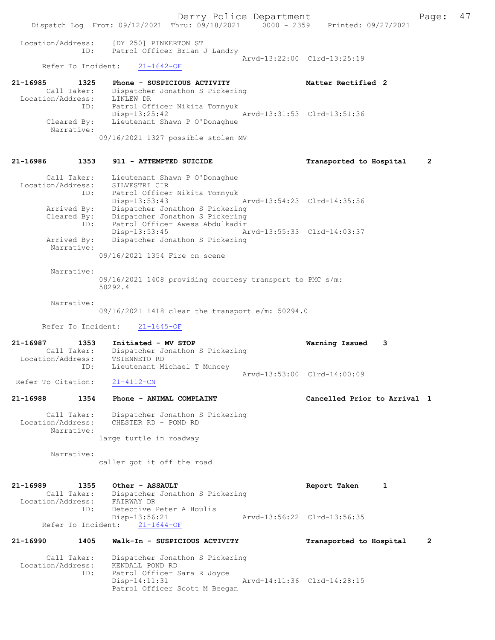Derry Police Department Fage: 47 Dispatch Log From: 09/12/2021 Thru: 09/18/2021 0000 - 2359 Printed: 09/27/2021 Location/Address: [DY 250] PINKERTON ST<br>TD: Patrol Officer Brian ID: Patrol Officer Brian J Landry Arvd-13:22:00 Clrd-13:25:19 Refer To Incident: 21-1642-OF 21-16985 1325 Phone - SUSPICIOUS ACTIVITY Matter Rectified 2 Call Taker: Dispatcher Jonathon S Pickering Location/Address: LINLEW DR ID: Patrol Officer Nikita Tomnyuk Disp-13:25:42 Arvd-13:31:53 Clrd-13:51:36 Cleared By: Lieutenant Shawn P O'Donaghue Narrative: 09/16/2021 1327 possible stolen MV 21-16986 1353 911 - ATTEMPTED SUICIDE Transported to Hospital 2 Call Taker: Lieutenant Shawn P O'Donaghue Location/Address: SILVESTRI CIR ID: Patrol Officer Nikita Tomnyuk Disp-13:53:43 Arvd-13:54:23 Clrd-14:35:56 Arrived By: Dispatcher Jonathon S Pickering Cleared By: Dispatcher Jonathon S Pickering ID: Patrol Officer Awess Abdulkadir Disp-13:53:45 Arvd-13:55:33 Clrd-14:03:37<br>Arrived By: Dispatcher Jonathon S Pickering Dispatcher Jonathon S Pickering Narrative: 09/16/2021 1354 Fire on scene Narrative: 09/16/2021 1408 providing courtesy transport to PMC s/m: 50292.4 Narrative: 09/16/2021 1418 clear the transport e/m: 50294.0 Refer To Incident: 21-1645-OF 21-16987 1353 Initiated - MV STOP Warning Issued 3 Call Taker: Dispatcher Jonathon S Pickering Location/Address: TSIENNETO RD ID: Lieutenant Michael T Muncey Arvd-13:53:00 Clrd-14:00:09<br>21-4112-CN Refer To Citation: 21-16988 1354 Phone - ANIMAL COMPLAINT Cancelled Prior to Arrival 1 Call Taker: Dispatcher Jonathon S Pickering Location/Address: CHESTER RD + POND RD Narrative: large turtle in roadway Narrative: caller got it off the road 21-16989 1355 Other - ASSAULT Report Taken 1 Call Taker: Dispatcher Jonathon S Pickering Location/Address: FAIRWAY DR ID: Detective Peter A Houlis Disp-13:56:21 Arvd-13:56:22 Clrd-13:56:35 Refer To Incident: 21-1644-OF 21-16990 1405 Walk-In - SUSPICIOUS ACTIVITY Transported to Hospital 2 Call Taker: Dispatcher Jonathon S Pickering Location/Address: KENDALL POND RD ID: Patrol Officer Sara R Joyce Disp-14:11:31 Arvd-14:11:36 Clrd-14:28:15 Patrol Officer Scott M Beegan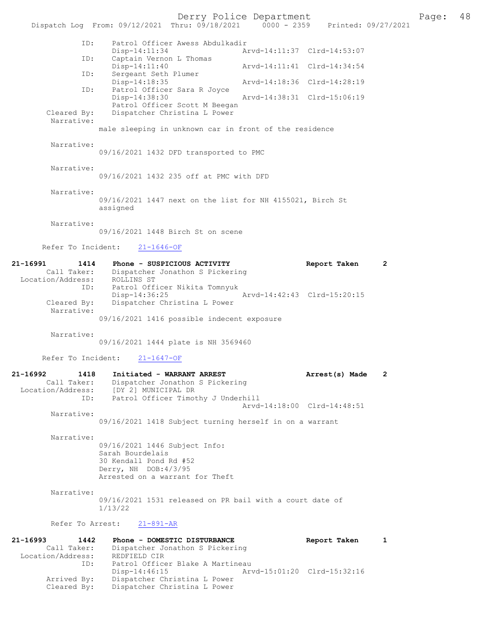Derry Police Department<br>
Page: 48 Phru: 09/18/2021 0000 - 2359 Printed: 09/27/2021 Dispatch Log From: 09/12/2021 Thru: 09/18/2021 0000 - 2359 ID: Patrol Officer Awess Abdulkadir Disp-14:11:34 Arvd-14:11:37 Clrd-14:53:07<br>TD: Captain Vernon L Thomas Captain Vernon L Thomas<br>Disp-14:11:40 Disp-14:11:40 <br>
Disp-14:11:40 <br>
Disp-14:11:40 <br>
Disp-14:11:40 <br>
Disp-14:11:40 <br>
Disp-14:11:40 <br>
Disp-14:11:41 <br>
Clrd-14:34:54 <br>
Displays <br>
Displays <br>
Displays <br>
Displays <br>
Displays <br>
Displays <br>
Displays <br>
Displays <br>
Displa Sergeant Seth Plumer<br>Disp-14:18:35 Arvd-14:18:36 Clrd-14:28:19 ID: Patrol Officer Sara R Joyce Disp-14:38:30 Arvd-14:38:31 Clrd-15:06:19 Patrol Officer Scott M Beegan<br>Cleared By: Dispatcher Christina L Power Dispatcher Christina L Power Narrative: male sleeping in unknown car in front of the residence Narrative: 09/16/2021 1432 DFD transported to PMC Narrative: 09/16/2021 1432 235 off at PMC with DFD Narrative: 09/16/2021 1447 next on the list for NH 4155021, Birch St assigned Narrative: 09/16/2021 1448 Birch St on scene Refer To Incident: 21-1646-OF 21-16991 1414 Phone - SUSPICIOUS ACTIVITY Report Taken 2 Call Taker: Dispatcher Jonathon S Pickering Location/Address: ROLLINS ST ID: Patrol Officer Nikita Tomnyuk Disp-14:36:25 <br>Cleared By: Dispatcher Christina L Power<br>Cleared By: Dispatcher Christina L Power Dispatcher Christina L Power Narrative: 09/16/2021 1416 possible indecent exposure Narrative: 09/16/2021 1444 plate is NH 3569460 Refer To Incident: 21-1647-OF 21-16992 1418 Initiated - WARRANT ARREST Arrest(s) Made 2 Call Taker: Dispatcher Jonathon S Pickering Location/Address: [DY 2] MUNICIPAL DR ID: Patrol Officer Timothy J Underhill Arvd-14:18:00 Clrd-14:48:51 Narrative: 09/16/2021 1418 Subject turning herself in on a warrant Narrative: 09/16/2021 1446 Subject Info: Sarah Bourdelais 30 Kendall Pond Rd #52 Derry, NH DOB:4/3/95 Arrested on a warrant for Theft Narrative: 09/16/2021 1531 released on PR bail with a court date of 1/13/22 Refer To Arrest: 21-891-AR 21-16993 1442 Phone - DOMESTIC DISTURBANCE Report Taken 1 Call Taker: Dispatcher Jonathon S Pickering Location/Address: REDFIELD CIR Patrol Officer Blake A Martineau Disp-14:46:15 Arvd-15:01:20 Clrd-15:32:16 Arrived By: Dispatcher Christina L Power Cleared By: Dispatcher Christina L Power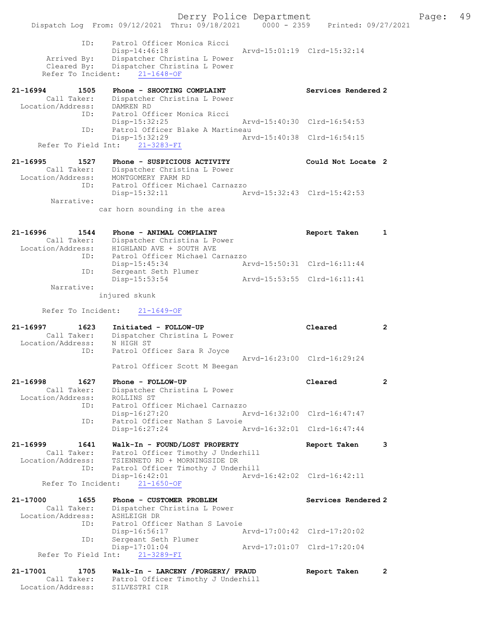Derry Police Department Fage: 49 Dispatch Log From: 09/12/2021 Thru: 09/18/2021 0000 - 2359 Printed: 09/27/2021 ID: Patrol Officer Monica Ricci Disp-14:46:18 Arvd-15:01:19 Clrd-15:32:14 Arrived By: Dispatcher Christina L Power Cleared By: Dispatcher Christina L Power Refer To Incident: 21-1648-OF 21-16994 1505 Phone - SHOOTING COMPLAINT North Services Rendered 2 Call Taker: Dispatcher Christina L Power Location/Address: DAMREN RD ID: Patrol Officer Monica Ricci Disp-15:32:25 Arvd-15:40:30 Clrd-16:54:53 ID: Patrol Officer Blake A Martineau<br>Disp-15:32:29 Mrvd-15:40:38 Clrd-16:54:15  $Disp-15:32:29$  Refer To Field Int: 21-3283-FI 21-16995 1527 Phone - SUSPICIOUS ACTIVITY Could Not Locate 2 Call Taker: Dispatcher Christina L Power Location/Address: MONTGOMERY FARM RD ID: Patrol Officer Michael Carnazzo Disp-15:32:11 Arvd-15:32:43 Clrd-15:42:53 Narrative: car horn sounding in the area 21-16996 1544 Phone - ANIMAL COMPLAINT 7 8 Report Taken 1 Call Taker: Dispatcher Christina L Power Location/Address: HIGHLAND AVE + SOUTH AVE ID: Patrol Officer Michael Carnazzo Disp-15:45:34 Arvd-15:50:31 Clrd-16:11:44 ID: Sergeant Seth Plumer Disp-15:53:54 Arvd-15:53:55 Clrd-16:11:41 Narrative: injured skunk Refer To Incident: 21-1649-OF 21-16997 1623 Initiated - FOLLOW-UP Cleared 2 Call Taker: Dispatcher Christina L Power Location/Address: N HIGH ST ID: Patrol Officer Sara R Joyce Arvd-16:23:00 Clrd-16:29:24 Patrol Officer Scott M Beegan 21-16998 1627 Phone - FOLLOW-UP Cleared 2 Call Taker: Dispatcher Christina L Power Location/Address: ROLLINS ST ID: Patrol Officer Michael Carnazzo Disp-16:27:20 Arvd-16:32:00 Clrd-16:47:47 ID: Patrol Officer Nathan S Lavoie<br>Disp-16:27:24 Ar Disp-16:27:24 Arvd-16:32:01 Clrd-16:47:44 21-16999 1641 Walk-In - FOUND/LOST PROPERTY Report Taken 3 Call Taker: Patrol Officer Timothy J Underhill Location/Address: TSIENNETO RD + MORNINGSIDE DR ID: Patrol Officer Timothy J Underhill Disp-16:42:01<br>Arvd-16:42:02 Clrd-16:42:11<br>Arvd-16:42:02 Clrd-16:42:11 Refer To Incident: 21-1650-OF 21-17000 1655 Phone - CUSTOMER PROBLEM North Services Rendered 2 Call Taker: Dispatcher Christina L Power Location/Address: ASHLEIGH DR ID: Patrol Officer Nathan S Lavoie Disp-16:56:17 Arvd-17:00:42 Clrd-17:20:02 ID: Sergeant Seth Plumer Disp-17:01:04 Arvd-17:01:07 Clrd-17:20:04 Refer To Field Int: 21-3289-FI 21-17001 1705 Walk-In - LARCENY /FORGERY/ FRAUD Report Taken 2

 Call Taker: Patrol Officer Timothy J Underhill Location/Address: SILVESTRI CIR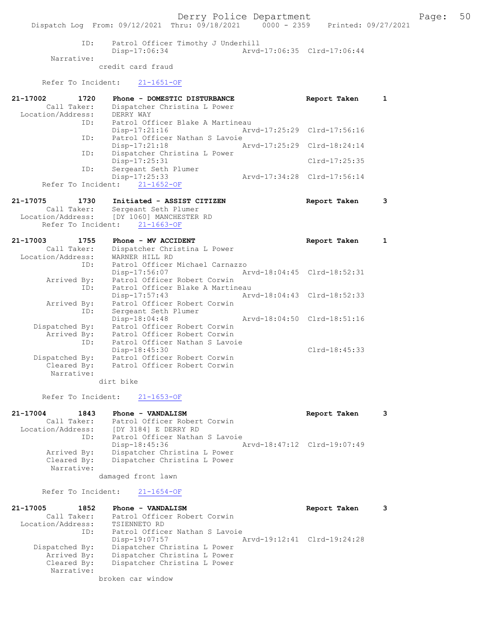|                    | Dispatch Log From: 09/12/2021 Thru: 09/18/2021 0000 - 2359 Printed: 09/27/2021 | Derry Police Department     |                             |              | Page: | 50 |
|--------------------|--------------------------------------------------------------------------------|-----------------------------|-----------------------------|--------------|-------|----|
| ID:                | Patrol Officer Timothy J Underhill                                             |                             |                             |              |       |    |
|                    | Disp-17:06:34                                                                  |                             | Arvd-17:06:35 Clrd-17:06:44 |              |       |    |
| Narrative:         | credit card fraud                                                              |                             |                             |              |       |    |
| Refer To Incident: | $21 - 1651 - OF$                                                               |                             |                             |              |       |    |
| 21-17002<br>1720   | Phone - DOMESTIC DISTURBANCE                                                   |                             | Report Taken                | 1            |       |    |
| Call Taker:        | Dispatcher Christina L Power                                                   |                             |                             |              |       |    |
| Location/Address:  | DERRY WAY                                                                      |                             |                             |              |       |    |
| ID:                | Patrol Officer Blake A Martineau                                               |                             |                             |              |       |    |
|                    | Disp-17:21:16                                                                  |                             | Arvd-17:25:29 Clrd-17:56:16 |              |       |    |
| ID:                | Patrol Officer Nathan S Lavoie                                                 |                             |                             |              |       |    |
|                    | Disp-17:21:18                                                                  | Arvd-17:25:29 Clrd-18:24:14 |                             |              |       |    |
| ID:                | Dispatcher Christina L Power                                                   |                             |                             |              |       |    |
|                    | Disp-17:25:31                                                                  |                             | Clrd-17:25:35               |              |       |    |
| ID:                | Sergeant Seth Plumer                                                           |                             |                             |              |       |    |
|                    | Disp-17:25:33                                                                  | Arvd-17:34:28 Clrd-17:56:14 |                             |              |       |    |
| Refer To Incident: | $21 - 1652 - OF$                                                               |                             |                             |              |       |    |
|                    |                                                                                |                             |                             |              |       |    |
| 21-17075<br>1730   | Initiated - ASSIST CITIZEN                                                     |                             | Report Taken                | 3            |       |    |
| Call Taker:        | Sergeant Seth Plumer                                                           |                             |                             |              |       |    |
|                    | Location/Address: [DY 1060] MANCHESTER RD                                      |                             |                             |              |       |    |
| Refer To Incident: | $21 - 1663 - OF$                                                               |                             |                             |              |       |    |
| 21-17003<br>1755   | Phone - MV ACCIDENT                                                            |                             | Report Taken                | $\mathbf{1}$ |       |    |
| Call Taker:        | Dispatcher Christina L Power                                                   |                             |                             |              |       |    |
| Location/Address:  | WARNER HILL RD                                                                 |                             |                             |              |       |    |
| ID:                | Patrol Officer Michael Carnazzo                                                |                             |                             |              |       |    |
|                    | Disp-17:56:07                                                                  | Arvd-18:04:45 Clrd-18:52:31 |                             |              |       |    |
| Arrived By:        | Patrol Officer Robert Corwin                                                   |                             |                             |              |       |    |
| ID:                | Patrol Officer Blake A Martineau                                               |                             |                             |              |       |    |
|                    | $Disp-17:57:43$                                                                |                             | Arvd-18:04:43 Clrd-18:52:33 |              |       |    |
| Arrived By:        | Patrol Officer Robert Corwin                                                   |                             |                             |              |       |    |
| ID:                | Sergeant Seth Plumer                                                           |                             |                             |              |       |    |
|                    | Disp-18:04:48                                                                  |                             | Arvd-18:04:50 Clrd-18:51:16 |              |       |    |
| Dispatched By:     | Patrol Officer Robert Corwin                                                   |                             |                             |              |       |    |
| Arrived By:        | Patrol Officer Robert Corwin                                                   |                             |                             |              |       |    |
| ID:                | Patrol Officer Nathan S Lavoie                                                 |                             |                             |              |       |    |
|                    | Disp-18:45:30                                                                  |                             | $Clrd-18:45:33$             |              |       |    |
| Dispatched By:     | Patrol Officer Robert Corwin                                                   |                             |                             |              |       |    |
| Cleared By:        | Patrol Officer Robert Corwin                                                   |                             |                             |              |       |    |
| Narrative:         |                                                                                |                             |                             |              |       |    |
|                    | dirt bike                                                                      |                             |                             |              |       |    |
|                    |                                                                                |                             |                             |              |       |    |

Refer To Incident: 21-1653-OF

21-17004 1843 Phone - VANDALISM Report Taken 3 Call Taker: Patrol Officer Robert Corwin Location/Address: [DY 3184] E DERRY RD ID: Patrol Officer Nathan S Lavoie Disp-18:45:36 Arvd-18:47:12 Clrd-19:07:49<br>Arrived By: Dispatcher Christina L Power Arrived By: Dispatcher Christina L Power Cleared By: Dispatcher Christina L Power Narrative:

damaged front lawn

Refer To Incident: 21-1654-OF

| 21-17005<br>1852  | Phone - VANDALISM              | Report Taken                |
|-------------------|--------------------------------|-----------------------------|
| Call Taker:       | Patrol Officer Robert Corwin   |                             |
| Location/Address: | TSIENNETO RD                   |                             |
| ID:               | Patrol Officer Nathan S Lavoie |                             |
|                   | $Disp-19:07:57$                | Arvd-19:12:41 Clrd-19:24:28 |
| Dispatched By:    | Dispatcher Christina L Power   |                             |
| Arrived By:       | Dispatcher Christina L Power   |                             |
| Cleared By:       | Dispatcher Christina L Power   |                             |
| Narrative:        |                                |                             |
|                   | broken car window              |                             |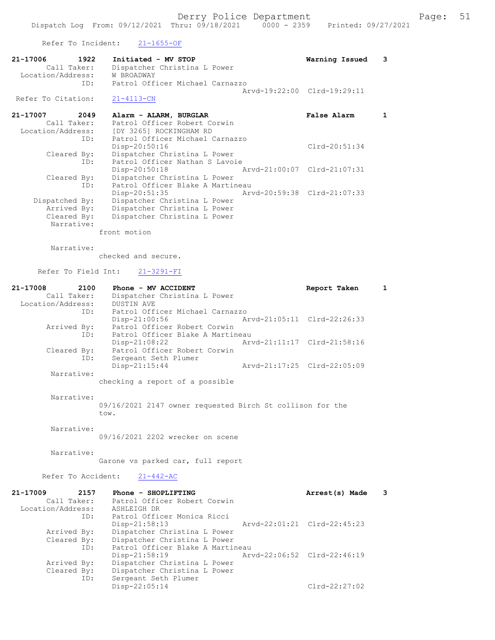Refer To Incident: 21-1655-OF

| 21-17006           | 1922        | Initiated - MV STOP             | Warning Issued 3            |  |
|--------------------|-------------|---------------------------------|-----------------------------|--|
|                    | Call Taker: | Dispatcher Christina L Power    |                             |  |
| Location/Address:  |             | W BROADWAY                      |                             |  |
|                    | TD:         | Patrol Officer Michael Carnazzo |                             |  |
|                    |             |                                 | Aryd-19:22:00 Clrd-19:29:11 |  |
| Refer To Citation: |             | 21-4113-CN                      |                             |  |

| 21-17007          | 2049 | Alarm - ALARM, BURGLAR           |  | False Alarm                 |  |
|-------------------|------|----------------------------------|--|-----------------------------|--|
| Call Taker:       |      | Patrol Officer Robert Corwin     |  |                             |  |
| Location/Address: |      | [DY 3265] ROCKINGHAM RD          |  |                             |  |
|                   | ID:  | Patrol Officer Michael Carnazzo  |  |                             |  |
|                   |      | Disp-20:50:16                    |  | $Clrd-20:51:34$             |  |
| Cleared By:       |      | Dispatcher Christina L Power     |  |                             |  |
|                   | ID:  | Patrol Officer Nathan S Lavoie   |  |                             |  |
|                   |      | $Disp-20:50:18$                  |  | Arvd-21:00:07 Clrd-21:07:31 |  |
| Cleared By:       |      | Dispatcher Christina L Power     |  |                             |  |
|                   | ID:  | Patrol Officer Blake A Martineau |  |                             |  |
|                   |      | $Disp-20:51:35$                  |  | Arvd-20:59:38 Clrd-21:07:33 |  |
| Dispatched By:    |      | Dispatcher Christina L Power     |  |                             |  |
| Arrived By:       |      | Dispatcher Christina L Power     |  |                             |  |
| Cleared By:       |      | Dispatcher Christina L Power     |  |                             |  |
| Narrative:        |      |                                  |  |                             |  |
|                   |      |                                  |  |                             |  |

front motion

 Arrived By: Dispatcher Christina L Power Cleared By: Dispatcher Christina L Power

ID: Sergeant Seth Plumer

Narrative:

checked and secure.

Refer To Field Int: 21-3291-FI

| 21-17008<br>2100  | Phone - MV ACCIDENT                                       | Report Taken                | $\mathbf{1}$ |
|-------------------|-----------------------------------------------------------|-----------------------------|--------------|
| Call Taker:       | Dispatcher Christina L Power                              |                             |              |
| Location/Address: | <b>DUSTIN AVE</b>                                         |                             |              |
| ID:               | Patrol Officer Michael Carnazzo                           |                             |              |
|                   | Disp-21:00:56                                             | Arvd-21:05:11 Clrd-22:26:33 |              |
| Arrived By:       | Patrol Officer Robert Corwin                              |                             |              |
|                   | Patrol Officer Blake A Martineau<br>ID:                   |                             |              |
|                   | Disp-21:08:22                                             | Arvd-21:11:17 Clrd-21:58:16 |              |
| Cleared By:       | Patrol Officer Robert Corwin                              |                             |              |
|                   | Sergeant Seth Plumer<br>ID:<br>$Disp-21:15:44$            | Arvd-21:17:25 Clrd-22:05:09 |              |
| Narrative:        |                                                           |                             |              |
|                   | checking a report of a possible                           |                             |              |
|                   |                                                           |                             |              |
| Narrative:        |                                                           |                             |              |
|                   | 09/16/2021 2147 owner requested Birch St collison for the |                             |              |
|                   | tow.                                                      |                             |              |
| Narrative:        |                                                           |                             |              |
|                   | 09/16/2021 2202 wrecker on scene                          |                             |              |
|                   |                                                           |                             |              |
| Narrative:        |                                                           |                             |              |
|                   | Garone vs parked car, full report                         |                             |              |
|                   |                                                           |                             |              |
|                   | Refer To Accident: 21-442-AC                              |                             |              |
| 21-17009 2157     | Phone - SHOPLIFTING                                       | Arrest(s) Made              | 3            |
| Call Taker:       | Patrol Officer Robert Corwin                              |                             |              |
| Location/Address: | ASHLEIGH DR                                               |                             |              |
|                   | Patrol Officer Monica Ricci<br>ID:                        |                             |              |
|                   | $Disp-21:58:13$                                           | Arvd-22:01:21 Clrd-22:45:23 |              |
| Arrived By:       | Dispatcher Christina L Power                              |                             |              |
| Cleared By:       | Dispatcher Christina L Power                              |                             |              |
| ID:               | Patrol Officer Blake A Martineau                          |                             |              |
|                   | Disp-21:58:19                                             | Arvd-22:06:52 Clrd-22:46:19 |              |

Disp-22:05:14 Clrd-22:27:02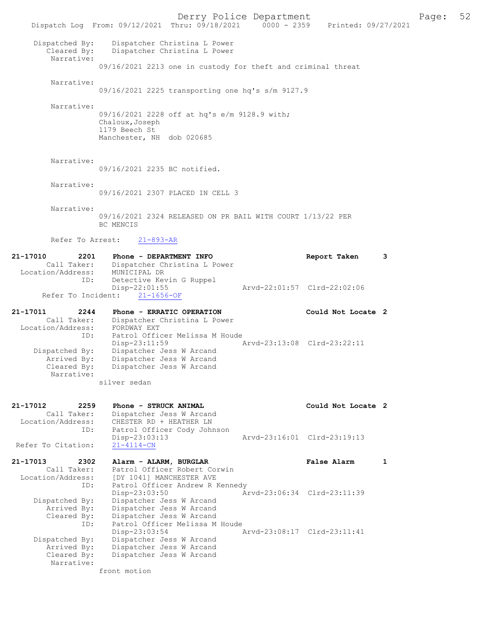Derry Police Department<br>
Page: 52 Printed: 09/27/2021 0000 - 2359 Printed: 09/27/2021 Dispatch Log From: 09/12/2021 Thru: 09/18/2021 0000 - 2359 Dispatched By: Dispatcher Christina L Power Cleared By: Dispatcher Christina L Power Narrative: 09/16/2021 2213 one in custody for theft and criminal threat Narrative: 09/16/2021 2225 transporting one hq's s/m 9127.9 Narrative: 09/16/2021 2228 off at hq's e/m 9128.9 with; Chaloux,Joseph 1179 Beech St Manchester, NH dob 020685 Narrative: 09/16/2021 2235 BC notified. Narrative: 09/16/2021 2307 PLACED IN CELL 3 Narrative: 09/16/2021 2324 RELEASED ON PR BAIL WITH COURT 1/13/22 PER BC MENCIS Refer To Arrest: 21-893-AR 21-17010 2201 Phone - DEPARTMENT INFO<br>Call Taker: Dispatcher Christina L Power<br>Call Taker: Dispatcher Christina L Power Dispatcher Christina L Power<br>MUNICIPAL DR Location/Address: ID: Detective Kevin G Ruppel<br>Disp-22:01:55 Disp-22:01:55 Arvd-22:01:57 Clrd-22:02:06 Refer To Incident: 21-1656-OF 21-17011 2244 Phone - ERRATIC OPERATION Could Not Locate 2 Call Taker: Dispatcher Christina L Power Location/Address: FORDWAY EXT ID: Patrol Officer Melissa M Houde<br>Disp-23:11:59 Disp-23:11:59 Arvd-23:13:08 Clrd-23:22:11 Dispatched By: Dispatcher Jess W Arcand Arrived By: Dispatcher Jess W Arcand Cleared By: Dispatcher Jess W Arcand Narrative: silver sedan 21-17012 2259 Phone - STRUCK ANIMAL Could Not Locate 2<br>Call Taker: Dispatcher Jess W Arcand Call Taker: Dispatcher Jess W Arcand<br>Location/Address: CHESTER RD + HEATHER LN ess: CHESTER RD + HEATHER LN<br>ID: Patrol Officer Cody John Patrol Officer Cody Johnson<br>Disp-23:03:13 Disp-23:03:13 Arvd-23:16:01 Clrd-23:19:13 Refer To Citation: 21-17013 2302 Alarm - ALARM, BURGLAR False Alarm 1 Call Taker: Patrol Officer Robert Corwin Location/Address: [DY 1041] MANCHESTER AVE ID: Patrol Officer Andrew R Kennedy<br>Disp-23:03:50 A Disp-23:03:50 <br>Dispatched By: Dispatcher Jess W Arcand Dispatched By: Dispatcher Jess W Arcand Dispatcher Jess W Arcand Arrived By: Dispatcher Jess W Arcand Cleared By: Dispatcher Jess W Arcand ID: Patrol Officer Melissa M Houde ID: Patrol Officer Melissa M Houde<br>Disp-23:03:54 Dispatched By: Dispatcher Jess W Arcand<br>Dispatched By: Dispatcher Jess W Arcand Dispatcher Jess W Arcand Arrived By: Dispatcher Jess W Arcand<br>Cleared By: Dispatcher Jess W Arcand Dispatcher Jess W Arcand Narrative: front motion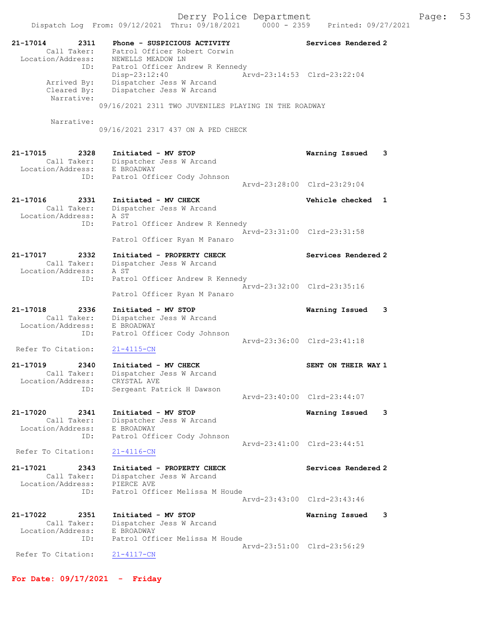Dispatch Log From: 09/12/2021 Thru: 09/18/2021 0000 - 2359 Printed: 09/27/2021 21-17014 2311 Phone - SUSPICIOUS ACTIVITY Services Rendered 2 Call Taker: Patrol Officer Robert Corwin Location/Address: NEWELLS MEADOW LN ID: Patrol Officer Andrew R Kennedy Disp-23:12:40 Arvd-23:14:53 Clrd-23:22:04 Arrived By: Dispatcher Jess W Arcand Cleared By: Dispatcher Jess W Arcand Narrative: 09/16/2021 2311 TWO JUVENILES PLAYING IN THE ROADWAY Narrative: 09/16/2021 2317 437 ON A PED CHECK 21-17015 2328 Initiated - MV STOP Warning Issued 3 Call Taker: Dispatcher Jess W Arcand Location/Address: E BROADWAY ID: Patrol Officer Cody Johnson Arvd-23:28:00 Clrd-23:29:04 21-17016 2331 Initiated - MV CHECK 21 Vehicle checked 1 Call Taker: Dispatcher Jess W Arcand Location/Address: A ST ID: Patrol Officer Andrew R Kennedy Arvd-23:31:00 Clrd-23:31:58 Patrol Officer Ryan M Panaro 21-17017 2332 Initiated - PROPERTY CHECK Services Rendered 2 Call Taker: Dispatcher Jess W Arcand Location/Address: A ST ID: Patrol Officer Andrew R Kennedy Arvd-23:32:00 Clrd-23:35:16 Patrol Officer Ryan M Panaro 21-17018 2336 Initiated - MV STOP Warning Issued 3 Call Taker: Dispatcher Jess W Arcand Location/Address: E BROADWAY ID: Patrol Officer Cody Johnson Arvd-23:36:00 Clrd-23:41:18<br>
21-4115-CN Refer To Citation: 21-17019 2340 Initiated - MV CHECK SENT ON THEIR WAY 1 Call Taker: Dispatcher Jess W Arcand Location/Address: CRYSTAL AVE ID: Sergeant Patrick H Dawson Arvd-23:40:00 Clrd-23:44:07 21-17020 2341 Initiated - MV STOP Warning Issued 3 Call Taker: Dispatcher Jess W Arcand Location/Address: E BROADWAY ID: Patrol Officer Cody Johnson Arvd-23:41:00 Clrd-23:44:51<br>21-4116-CN Refer To Citation: 21-17021 2343 Initiated - PROPERTY CHECK Services Rendered 2 Call Taker: Dispatcher Jess W Arcand Location/Address: PIERCE AVE ID: Patrol Officer Melissa M Houde Arvd-23:43:00 Clrd-23:43:46 21-17022 2351 Initiated - MV STOP Warning Issued 3 Call Taker: Dispatcher Jess W Arcand Location/Address: E BROADWAY ID: Patrol Officer Melissa M Houde Arvd-23:51:00 Clrd-23:56:29<br>21-4117-CN Refer To Citation: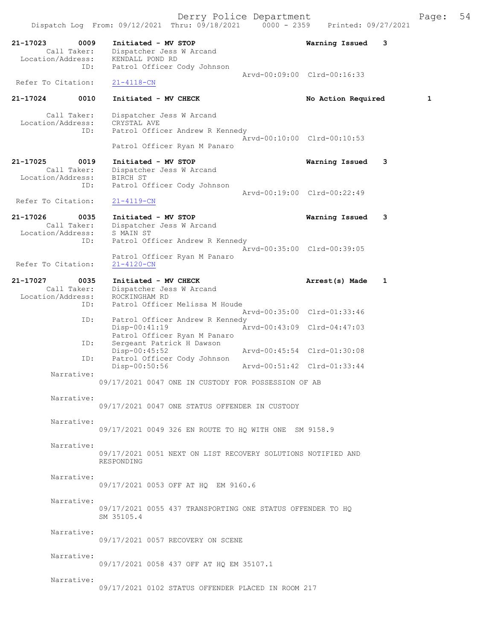| 21-17023<br>0009<br>Call Taker:<br>Location/Address:<br>ID: | Initiated - MV STOP<br>Dispatcher Jess W Arcand<br>KENDALL POND RD<br>Patrol Officer Cody Johnson   | Warning Issued              | 3 |
|-------------------------------------------------------------|-----------------------------------------------------------------------------------------------------|-----------------------------|---|
| Refer To Citation:                                          | $21 - 4118 - CN$                                                                                    | Arvd-00:09:00 Clrd-00:16:33 |   |
| 0010<br>21-17024                                            | Initiated - MV CHECK                                                                                | No Action Required          | 1 |
| Call Taker:<br>Location/Address:<br>ID:                     | Dispatcher Jess W Arcand<br>CRYSTAL AVE<br>Patrol Officer Andrew R Kennedy                          |                             |   |
|                                                             | Patrol Officer Ryan M Panaro                                                                        | Arvd-00:10:00 Clrd-00:10:53 |   |
| 21-17025<br>0019<br>Call Taker:<br>Location/Address:<br>ID: | Initiated - MV STOP<br>Dispatcher Jess W Arcand<br>BIRCH ST<br>Patrol Officer Cody Johnson          | Warning Issued              | 3 |
| Refer To Citation:                                          | $21 - 4119 - CN$                                                                                    | Arvd-00:19:00 Clrd-00:22:49 |   |
| 21-17026<br>0035<br>Call Taker:<br>Location/Address:        | Initiated - MV STOP<br>Dispatcher Jess W Arcand<br>S MAIN ST                                        | Warning Issued              | 3 |
| ID:                                                         | Patrol Officer Andrew R Kennedy<br>Patrol Officer Ryan M Panaro                                     | Arvd-00:35:00 Clrd-00:39:05 |   |
| Refer To Citation:                                          | $21 - 4120 - CN$                                                                                    |                             |   |
| 21-17027<br>0035<br>Call Taker:<br>Location/Address:<br>ID: | Initiated - MV CHECK<br>Dispatcher Jess W Arcand<br>ROCKINGHAM RD<br>Patrol Officer Melissa M Houde | Arrest(s) Made              | 1 |
| ID:                                                         | Patrol Officer Andrew R Kennedy                                                                     | Arvd-00:35:00 Clrd-01:33:46 |   |
| ID:                                                         | Disp-00:41:19<br>Patrol Officer Ryan M Panaro<br>Sergeant Patrick H Dawson                          | Arvd-00:43:09 Clrd-04:47:03 |   |
| ID:                                                         | Arvd-00:45:54 Clrd-01:30:08<br>$Disp-00:45:52$<br>Patrol Officer Cody Johnson                       |                             |   |
| Narrative:                                                  | Disp-00:50:56<br>Arvd-00:51:42 Clrd-01:33:44                                                        |                             |   |
|                                                             | 09/17/2021 0047 ONE IN CUSTODY FOR POSSESSION OF AB                                                 |                             |   |
| Narrative:                                                  | 09/17/2021 0047 ONE STATUS OFFENDER IN CUSTODY                                                      |                             |   |
| Narrative:                                                  | 09/17/2021 0049 326 EN ROUTE TO HQ WITH ONE SM 9158.9                                               |                             |   |
| Narrative:                                                  | 09/17/2021 0051 NEXT ON LIST RECOVERY SOLUTIONS NOTIFIED AND<br>RESPONDING                          |                             |   |
| Narrative:                                                  | 09/17/2021 0053 OFF AT HQ EM 9160.6                                                                 |                             |   |
| Narrative:                                                  | 09/17/2021 0055 437 TRANSPORTING ONE STATUS OFFENDER TO HO<br>SM 35105.4                            |                             |   |
| Narrative:                                                  | 09/17/2021 0057 RECOVERY ON SCENE                                                                   |                             |   |
| Narrative:                                                  | 09/17/2021 0058 437 OFF AT HQ EM 35107.1                                                            |                             |   |
| Narrative:                                                  | 09/17/2021 0102 STATUS OFFENDER PLACED IN ROOM 217                                                  |                             |   |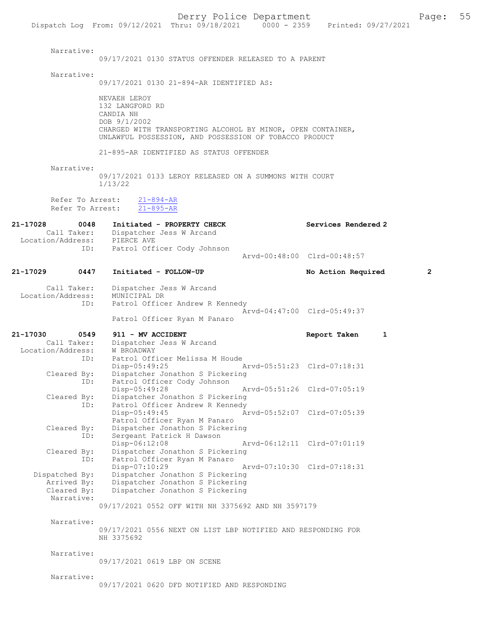Narrative: 09/17/2021 0130 STATUS OFFENDER RELEASED TO A PARENT Narrative: 09/17/2021 0130 21-894-AR IDENTIFIED AS: NEVAEH LEROY 132 LANGFORD RD CANDIA NH DOB 9/1/2002 CHARGED WITH TRANSPORTING ALCOHOL BY MINOR, OPEN CONTAINER, UNLAWFUL POSSESSION, AND POSSESSION OF TOBACCO PRODUCT 21-895-AR IDENTIFIED AS STATUS OFFENDER Narrative: 09/17/2021 0133 LEROY RELEASED ON A SUMMONS WITH COURT 1/13/22 Refer To Arrest:  $\frac{21-894-AR}{21-895-AR}$ Refer To Arrest: 21-17028 0048 Initiated - PROPERTY CHECK Services Rendered 2 Call Taker: Dispatcher Jess W Arcand<br>ion/Address: PIERCE AVE Location/Address:<br>ID: Patrol Officer Cody Johnson Arvd-00:48:00 Clrd-00:48:57 21-17029 0447 Initiated - FOLLOW-UP No Action Required 2 Call Taker: Dispatcher Jess W Arcand<br>ion/Address: MUNICIPAL DR Location/Address:<br>TD: Patrol Officer Andrew R Kennedy Arvd-04:47:00 Clrd-05:49:37 Patrol Officer Ryan M Panaro 21-17030 0549 911 - MV ACCIDENT Report Taken 1 Call Taker: Dispatcher Jess W Arcand<br>ion/Address: W BROADWAY Location/Address:<br>TD: Patrol Officer Melissa M Houde Disp-05:49:25 Arvd-05:51:23 Clrd-07:18:31<br>Cleared By: Dispatcher Jonathon S Pickering Dispatcher Jonathon S Pickering ID: Patrol Officer Cody Johnson Disp-05:49:28 Arvd-05:51:26 Cleared By: Dispatcher Jonathon S Pickering By: Dispatcher Jonathon S Pickering<br>ID: Patrol Officer Andrew R Kennedy Patrol Officer Andrew R Kennedy<br>Disp-05:49:45 A Arvd-05:52:07 Clrd-07:05:39 Patrol Officer Ryan M Panaro Cleared By: Dispatcher Jonathon S Pickering<br>ID: Sergeant Patrick H Dawson Sergeant Patrick H Dawson<br>Disp-06:12:08 Disp-06:12:08 Arvd-06:12:11 Clrd-07:01:19 Cleared By: Dispatcher Jonathon S Pickering ID: Patrol Officer Ryan M Panaro<br>Disp-07:10:29 Disp-07:10:29 Arvd-07:10:30 Clrd-07:18:31<br>Dispatched By: Dispatcher Jonathon S Pickering patched By: Dispatcher Jonathon S Pickering<br>Arrived By: Dispatcher Jonathon S Pickering Dispatcher Jonathon S Pickering Cleared By: Dispatcher Jonathon S Pickering Narrative: 09/17/2021 0552 OFF WITH NH 3375692 AND NH 3597179 Narrative: 09/17/2021 0556 NEXT ON LIST LBP NOTIFIED AND RESPONDING FOR NH 3375692 Narrative: 09/17/2021 0619 LBP ON SCENE Narrative: 09/17/2021 0620 DFD NOTIFIED AND RESPONDING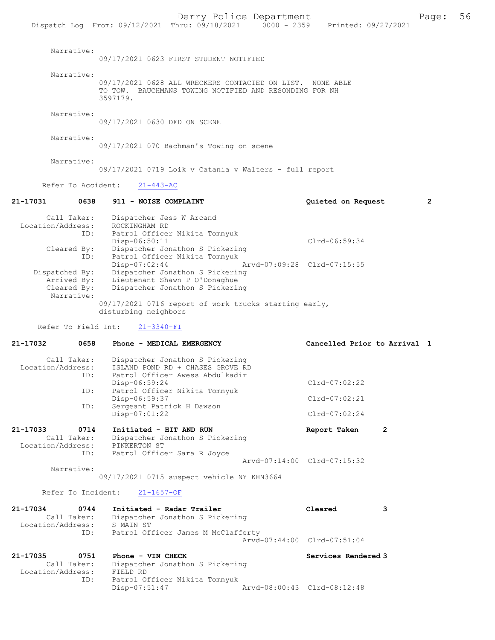|                                                             | Dispatch Log From: 09/12/2021 Thru: 09/18/2021<br>$0000 - 2359$                                                                                          | Printed: 09/27/2021                                |                |
|-------------------------------------------------------------|----------------------------------------------------------------------------------------------------------------------------------------------------------|----------------------------------------------------|----------------|
| Narrative:                                                  | 09/17/2021 0623 FIRST STUDENT NOTIFIED                                                                                                                   |                                                    |                |
| Narrative:                                                  | 09/17/2021 0628 ALL WRECKERS CONTACTED ON LIST. NONE ABLE<br>TO TOW. BAUCHMANS TOWING NOTIFIED AND RESONDING FOR NH<br>3597179.                          |                                                    |                |
| Narrative:                                                  | 09/17/2021 0630 DFD ON SCENE                                                                                                                             |                                                    |                |
| Narrative:                                                  | 09/17/2021 070 Bachman's Towing on scene                                                                                                                 |                                                    |                |
| Narrative:                                                  | 09/17/2021 0719 Loik v Catania v Walters - full report                                                                                                   |                                                    |                |
| Refer To Accident:                                          | $21 - 443 - AC$                                                                                                                                          |                                                    |                |
| 21-17031<br>0638                                            | 911 - NOISE COMPLAINT                                                                                                                                    | Quieted on Request                                 | $\overline{2}$ |
| Call Taker:<br>Location/Address:<br>ID:                     | Dispatcher Jess W Arcand<br>ROCKINGHAM RD<br>Patrol Officer Nikita Tomnyuk<br>$Disp-06:50:11$                                                            | Clrd-06:59:34                                      |                |
| Cleared By:<br>ID:<br>Dispatched By:<br>Arrived By:         | Dispatcher Jonathon S Pickering<br>Patrol Officer Nikita Tomnyuk<br>$Disp-07:02:44$<br>Dispatcher Jonathon S Pickering<br>Lieutenant Shawn P O'Donaghue  | Arvd-07:09:28 Clrd-07:15:55                        |                |
| Cleared By:<br>Narrative:                                   | Dispatcher Jonathon S Pickering<br>09/17/2021 0716 report of work trucks starting early,<br>disturbing neighbors                                         |                                                    |                |
| Refer To Field Int:                                         | $21 - 3340 - FI$                                                                                                                                         |                                                    |                |
| 21-17032<br>0658                                            | Phone - MEDICAL EMERGENCY                                                                                                                                | Cancelled Prior to Arrival 1                       |                |
| Call Taker:<br>Location/Address:<br>ID:<br>ID:              | Dispatcher Jonathon S Pickering<br>ISLAND POND RD + CHASES GROVE RD<br>Patrol Officer Awess Abdulkadir<br>Disp-06:59:24<br>Patrol Officer Nikita Tomnyuk | Clrd-07:02:22                                      |                |
| ID:                                                         | Disp-06:59:37<br>Sergeant Patrick H Dawson                                                                                                               | $Clrd-07:02:21$                                    |                |
|                                                             | Disp-07:01:22                                                                                                                                            | $Clrd-07:02:24$                                    |                |
| 21-17033<br>0714<br>Call Taker:<br>Location/Address:        | Initiated - HIT AND RUN<br>Dispatcher Jonathon S Pickering<br>PINKERTON ST                                                                               | $\overline{2}$<br>Report Taken                     |                |
| ID:<br>Narrative:                                           | Patrol Officer Sara R Joyce                                                                                                                              | Arvd-07:14:00 Clrd-07:15:32                        |                |
|                                                             | 09/17/2021 0715 suspect vehicle NY KHN3664                                                                                                               |                                                    |                |
| Refer To Incident:                                          | $21 - 1657 - OF$                                                                                                                                         |                                                    |                |
| 21-17034<br>0744<br>Call Taker:<br>Location/Address:<br>ID: | Initiated - Radar Trailer<br>Dispatcher Jonathon S Pickering<br>S MAIN ST<br>Patrol Officer James M McClafferty                                          | Cleared<br>3                                       |                |
| 21-17035<br>0751<br>Call Taker:                             | Phone - VIN CHECK<br>Dispatcher Jonathon S Pickering                                                                                                     | Arvd-07:44:00 Clrd-07:51:04<br>Services Rendered 3 |                |
| Location/Address:<br>ID:                                    | FIELD RD<br>Patrol Officer Nikita Tomnyuk<br>$Disp-07:51:47$                                                                                             | Arvd-08:00:43 Clrd-08:12:48                        |                |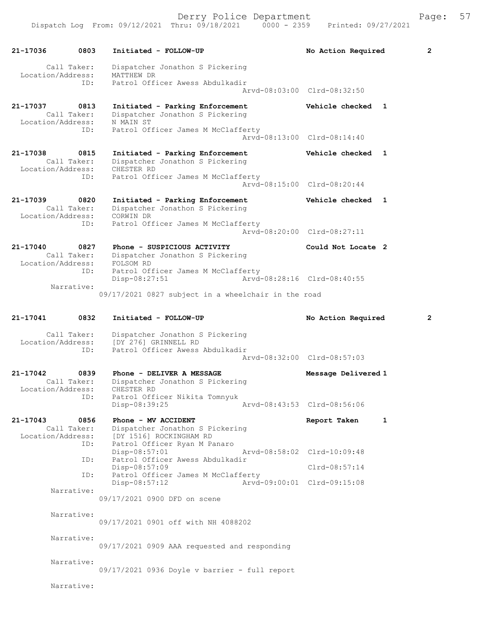Derry Police Department Fage: 57

| 21-17036                      | 0803                | Initiated - FOLLOW-UP                                                              | No Action Required           | 2 |
|-------------------------------|---------------------|------------------------------------------------------------------------------------|------------------------------|---|
| Location/Address:             | Call Taker:         | Dispatcher Jonathon S Pickering<br>MATTHEW DR                                      |                              |   |
|                               | ID:                 | Patrol Officer Awess Abdulkadir                                                    | Arvd-08:03:00 Clrd-08:32:50  |   |
| 21-17037                      | 0813<br>Call Taker: | Initiated - Parking Enforcement<br>Dispatcher Jonathon S Pickering                 | Vehicle checked 1            |   |
| Location/Address:             | ID:                 | N MAIN ST<br>Patrol Officer James M McClafferty                                    |                              |   |
|                               |                     |                                                                                    | Arvd-08:13:00 Clrd-08:14:40  |   |
| 21-17038<br>Location/Address: | 0815<br>Call Taker: | Initiated - Parking Enforcement<br>Dispatcher Jonathon S Pickering<br>CHESTER RD   | Vehicle checked<br>1         |   |
|                               | ID:                 | Patrol Officer James M McClafferty                                                 | Arvd-08:15:00 Clrd-08:20:44  |   |
| 21-17039                      | 0820<br>Call Taker: | Initiated - Parking Enforcement<br>Dispatcher Jonathon S Pickering                 | Vehicle checked<br>1         |   |
| Location/Address:             | ID:                 | CORWIN DR<br>Patrol Officer James M McClafferty                                    | Arvd-08:20:00 Clrd-08:27:11  |   |
| 21-17040                      | 0827                | Phone - SUSPICIOUS ACTIVITY                                                        | Could Not Locate 2           |   |
| Location/Address:             | Call Taker:         | Dispatcher Jonathon S Pickering<br>FOLSOM RD                                       |                              |   |
|                               | ID:<br>Narrative:   | Patrol Officer James M McClafferty<br>$Disp-08:27:51$                              | Arvd-08:28:16 Clrd-08:40:55  |   |
|                               |                     | 09/17/2021 0827 subject in a wheelchair in the road                                |                              |   |
| 21-17041                      | 0832                | Initiated - FOLLOW-UP                                                              | No Action Required           | 2 |
| Location/Address:             | Call Taker:         | Dispatcher Jonathon S Pickering<br>[DY 276] GRINNELL RD                            |                              |   |
|                               | ID:                 | Patrol Officer Awess Abdulkadir                                                    | Arvd-08:32:00 Clrd-08:57:03  |   |
| 21-17042<br>Location/Address: | 0839<br>Call Taker: | Phone - DELIVER A MESSAGE<br>Dispatcher Jonathon S Pickering<br>CHESTER RD         | Message Delivered 1          |   |
|                               | ID:                 | Patrol Officer Nikita Tomnyuk<br>Disp-08:39:25                                     | Arvd-08:43:53 Clrd-08:56:06  |   |
| 21-17043<br>Location/Address: | 0856<br>Call Taker: | Phone - MV ACCIDENT<br>Dispatcher Jonathon S Pickering<br>[DY 1516] ROCKINGHAM RD  | Report Taken<br>$\mathbf{1}$ |   |
|                               | ID:<br>ID:          | Patrol Officer Ryan M Panaro<br>$Disp-08:57:01$<br>Patrol Officer Awess Abdulkadir | Arvd-08:58:02 Clrd-10:09:48  |   |
|                               |                     | Disp-08:57:09                                                                      | Clrd-08:57:14                |   |
|                               | ID:                 | Patrol Officer James M McClafferty<br>Disp-08:57:12                                | Aryd-09:00:01 Clrd-09:15:08  |   |
|                               | Narrative:          | 09/17/2021 0900 DFD on scene                                                       |                              |   |
|                               | Narrative:          | 09/17/2021 0901 off with NH 4088202                                                |                              |   |
|                               | Narrative:          | 09/17/2021 0909 AAA requested and responding                                       |                              |   |
|                               | Narrative:          |                                                                                    |                              |   |
|                               |                     | 09/17/2021 0936 Doyle v barrier - full report                                      |                              |   |
|                               | Narrative:          |                                                                                    |                              |   |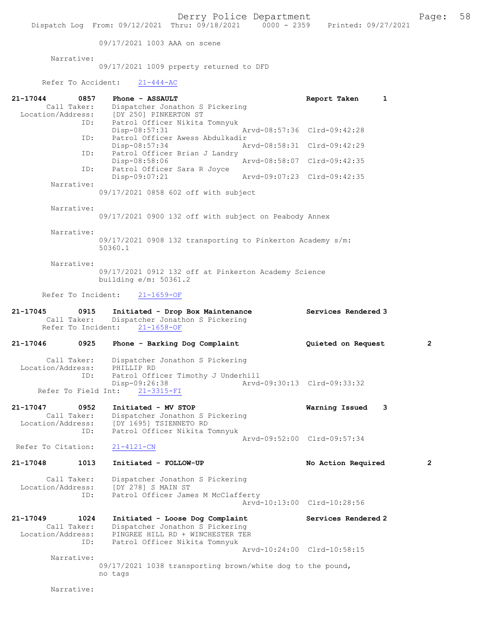09/17/2021 1003 AAA on scene

Narrative:

09/17/2021 1009 prperty returned to DFD

## Refer To Accident:  $21-444-AC$

| 21-17044<br>0857<br>Call Taker:                      | Phone - ASSAULT<br>Dispatcher Jonathon S Pickering<br>Location/Address: [DY 250] PINKERTON ST<br>Patrol Officer Nikita Tomnyuk<br>ID:          | Report Taken<br>1           |                |
|------------------------------------------------------|------------------------------------------------------------------------------------------------------------------------------------------------|-----------------------------|----------------|
|                                                      | Disp-08:57:31<br>Patrol Officer Awess Abdulkadir<br>ID:                                                                                        | Arvd-08:57:36 Clrd-09:42:28 |                |
|                                                      | Disp-08:57:34                                                                                                                                  | Arvd-08:58:31 Clrd-09:42:29 |                |
|                                                      | Patrol Officer Brian J Landry<br>ID:<br>Disp-08:58:06                                                                                          | Arvd-08:58:07 Clrd-09:42:35 |                |
|                                                      | Patrol Officer Sara R Joyce<br>ID:<br>Disp-09:07:21                                                                                            | Arvd-09:07:23 Clrd-09:42:35 |                |
| Narrative:                                           | 09/17/2021 0858 602 off with subject                                                                                                           |                             |                |
| Narrative:                                           | 09/17/2021 0900 132 off with subject on Peabody Annex                                                                                          |                             |                |
| Narrative:                                           | 09/17/2021 0908 132 transporting to Pinkerton Academy s/m:<br>50360.1                                                                          |                             |                |
| Narrative:                                           | 09/17/2021 0912 132 off at Pinkerton Academy Science<br>building $e/m: 50361.2$                                                                |                             |                |
| Refer To Incident:                                   | $21 - 1659 - OF$                                                                                                                               |                             |                |
| 21-17045<br>Call Taker:                              | 0915<br>Initiated - Drop Box Maintenance<br>Dispatcher Jonathon S Pickering<br>Refer To Incident:<br>$21 - 1658 - OF$                          | Services Rendered 3         |                |
| 21-17046                                             | 0925<br>Phone - Barking Dog Complaint                                                                                                          | Quieted on Request          | $\overline{2}$ |
| Call Taker:<br>Location/Address:                     | Dispatcher Jonathon S Pickering<br>PHILLIP RD<br>Patrol Officer Timothy J Underhill<br>ID:<br>Disp-09:26:38                                    | Arvd-09:30:13 Clrd-09:33:32 |                |
| Refer To Field Int:                                  | $21 - 3315 - FI$                                                                                                                               |                             |                |
| 21-17047<br>Call Taker:<br>Location/Address:         | 0952<br>Initiated - MV STOP<br>Dispatcher Jonathon S Pickering<br>[DY 1695] TSIENNETO RD<br>Patrol Officer Nikita Tomnyuk<br>ID:               | Warning Issued<br>3         |                |
| Refer To Citation:                                   | $21 - 4121 - CN$                                                                                                                               | Arvd-09:52:00 Clrd-09:57:34 |                |
| 21-17048<br>1013                                     | Initiated - FOLLOW-UP                                                                                                                          | No Action Required          | 2              |
| Call Taker:<br>Location/Address:                     | Dispatcher Jonathon S Pickering<br>[DY 278] S MAIN ST<br>Patrol Officer James M McClafferty<br>ID:                                             |                             |                |
|                                                      |                                                                                                                                                | Arvd-10:13:00 Clrd-10:28:56 |                |
| 21-17049<br>1024<br>Call Taker:<br>Location/Address: | Initiated - Loose Dog Complaint<br>Dispatcher Jonathon S Pickering<br>PINGREE HILL RD + WINCHESTER TER<br>Patrol Officer Nikita Tomnyuk<br>ID: | Services Rendered 2         |                |
| Narrative:                                           | 09/17/2021 1038 transporting brown/white dog to the pound,                                                                                     | Arvd-10:24:00 Clrd-10:58:15 |                |
|                                                      | no tags                                                                                                                                        |                             |                |
| Narrative:                                           |                                                                                                                                                |                             |                |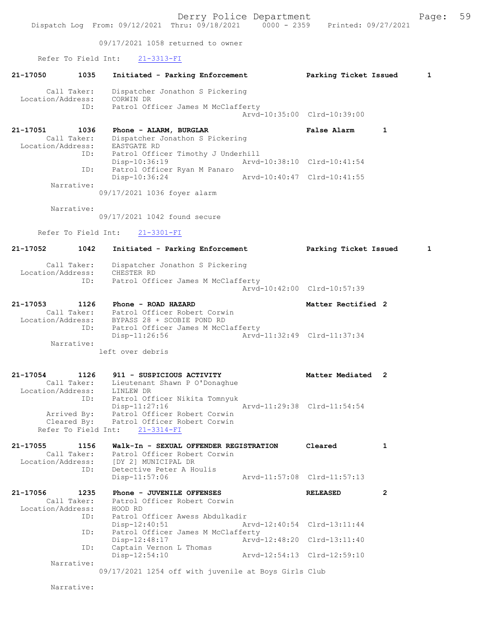09/17/2021 1058 returned to owner

## Refer To Field Int: 21-3313-FI 21-17050 1035 Initiated - Parking Enforcement Parking Ticket Issued 1 Call Taker: Dispatcher Jonathon S Pickering Location/Address: CORWIN DR ID: Patrol Officer James M McClafferty Arvd-10:35:00 Clrd-10:39:00 21-17051 1036 Phone - ALARM, BURGLAR 1 12 False Alarm 1 Call Taker: Dispatcher Jonathon S Pickering Location/Address: EASTGATE RD ID: Patrol Officer Timothy J Underhill Disp-10:36:19 Arvd-10:38:10 Clrd-10:41:54 ID: Patrol Officer Ryan M Panaro<br>Disp-10:36:24 Disp-10:36:24 Arvd-10:40:47 Clrd-10:41:55 Narrative: 09/17/2021 1036 foyer alarm Narrative: 09/17/2021 1042 found secure Refer To Field Int: 21-3301-FI 21-17052 1042 Initiated - Parking Enforcement Parking Ticket Issued 1 Call Taker: Dispatcher Jonathon S Pickering Location/Address: CHESTER RD ID: Patrol Officer James M McClafferty Arvd-10:42:00 Clrd-10:57:39 21-17053 1126 Phone - ROAD HAZARD Matter Rectified 2 Call Taker: Patrol Officer Robert Corwin Location/Address: BYPASS 28 + SCOBIE POND RD ID: Patrol Officer James M McClafferty Disp-11:26:56 Arvd-11:32:49 Clrd-11:37:34 Narrative: left over debris 21-17054 1126 911 - SUSPICIOUS ACTIVITY Noting Matter Mediated 2 Call Taker: Lieutenant Shawn P O'Donaghue Location/Address: LINLEW DR ID: Patrol Officer Nikita Tomnyuk Disp-11:27:16 Arvd-11:29:38 Clrd-11:54:54 Arrived By: Patrol Officer Robert Corwin Cleared By: Patrol Officer Robert Corwin Refer To Field Int: 21-3314-FI 21-17055 1156 Walk-In - SEXUAL OFFENDER REGISTRATION Cleared 1 Call Taker: Patrol Officer Robert Corwin Location/Address: [DY 2] MUNICIPAL DR ID: Detective Peter A Houlis<br>Disp-11:57:06 Disp-11:57:06 Arvd-11:57:08 Clrd-11:57:13 21-17056 1235 Phone - JUVENILE OFFENSES RELEASED 2 Call Taker: Patrol Officer Robert Corwin Location/Address: HOOD RD ID: Patrol Officer Awess Abdulkadir Disp-12:40:51 Arvd-12:40:54 Clrd-13:11:44 ID: Patrol Officer James M McClafferty Disp-12:48:17 Arvd-12:48:20 Clrd-13:11:40 ID: Captain Vernon L Thomas<br>Disp-12:54:10 Disp-12:54:10 Arvd-12:54:13 Clrd-12:59:10 Narrative: 09/17/2021 1254 off with juvenile at Boys Girls Club Narrative: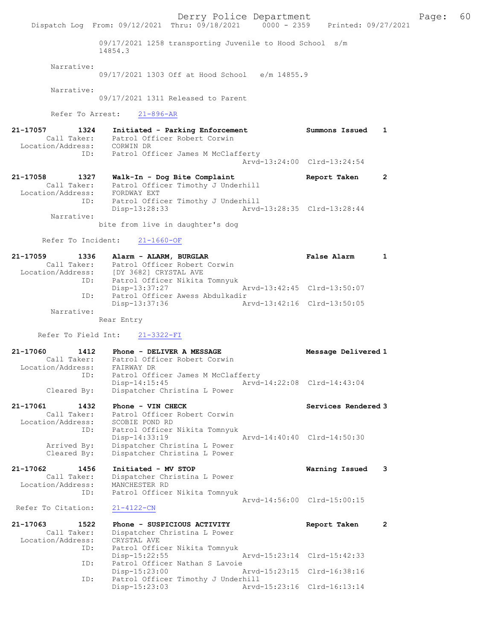Derry Police Department Fage: 60 Dispatch Log From: 09/12/2021 Thru: 09/18/2021 0000 - 2359 Printed: 09/27/2021 09/17/2021 1258 transporting Juvenile to Hood School s/m 14854.3 Narrative: 09/17/2021 1303 Off at Hood School e/m 14855.9 Narrative: 09/17/2021 1311 Released to Parent Refer To Arrest: 21-896-AR 21-17057 1324 Initiated - Parking Enforcement Summons Issued 1 Call Taker: Patrol Officer Robert Corwin Location/Address: CORWIN DR ID: Patrol Officer James M McClafferty Arvd-13:24:00 Clrd-13:24:54 21-17058 1327 Walk-In - Dog Bite Complaint Report Taken 2 Call Taker: Patrol Officer Timothy J Underhill Location/Address: FORDWAY EXT ID: Patrol Officer Timothy J Underhill Disp-13:28:33 Arvd-13:28:35 Clrd-13:28:44 Narrative: bite from live in daughter's dog Refer To Incident: 21-1660-OF 21-17059 1336 Alarm - ALARM, BURGLAR False Alarm 1 Call Taker: Patrol Officer Robert Corwin Location/Address: [DY 3682] CRYSTAL AVE ID: Patrol Officer Nikita Tomnyuk Disp-13:37:27 Arvd-13:42:45 Clrd-13:50:07 ID: Patrol Officer Awess Abdulkadir Disp-13:37:36 Arvd-13:42:16 Clrd-13:50:05 Narrative: Rear Entry Refer To Field Int: 21-3322-FI 21-17060 1412 Phone - DELIVER A MESSAGE Message Delivered 1 Call Taker: Patrol Officer Robert Corwin Location/Address: FAIRWAY DR ID: Patrol Officer James M McClafferty Disp-14:15:45 Arvd-14:22:08 Clrd-14:43:04 Cleared By: Dispatcher Christina L Power 21-17061 1432 Phone - VIN CHECK Services Rendered 3 Call Taker: Patrol Officer Robert Corwin Location/Address: SCOBIE POND RD ID: Patrol Officer Nikita Tomnyuk Disp-14:33:19 Arvd-14:40:40 Clrd-14:50:30 Arrived By: Dispatcher Christina L Power Cleared By: Dispatcher Christina L Power 21-17062 1456 Initiated - MV STOP Warning Issued 3 Call Taker: Dispatcher Christina L Power Location/Address: MANCHESTER RD ID: Patrol Officer Nikita Tomnyuk Arvd-14:56:00 Clrd-15:00:15 Refer To Citation: 21-4122-CN 21-17063 1522 Phone - SUSPICIOUS ACTIVITY Report Taken 2 Call Taker: Dispatcher Christina L Power Location/Address: CRYSTAL AVE ID: Patrol Officer Nikita Tomnyuk<br>Disp-15:22:55 Mrvd-15:23:14 Clrd-15:42:33 Disp-15:22:55<br>ID: Patrol Officer Nathan S Lave Patrol Officer Nathan S Lavoie<br>Disp-15:23:00 A Disp-15:23:00 Arvd-15:23:15 Clrd-16:38:16 ID: Patrol Officer Timothy J Underhill<br>Disp-15:23:03 Arvd-Disp-15:23:03 Arvd-15:23:16 Clrd-16:13:14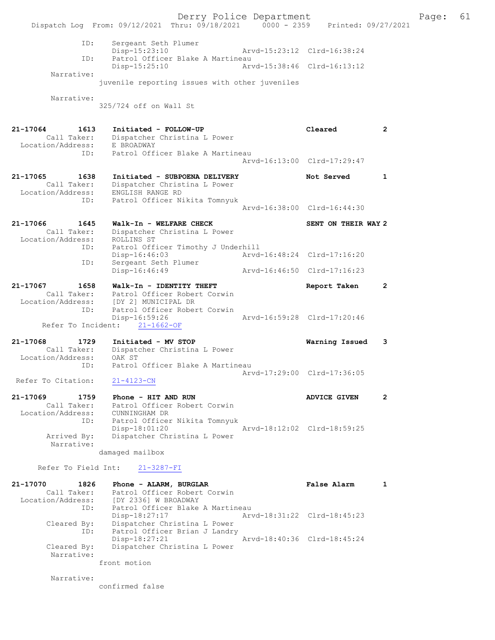Derry Police Department Fage: 61 Dispatch Log From: 09/12/2021 Thru: 09/18/2021 0000 - 2359 Printed: 09/27/2021 ID: Sergeant Seth Plumer Disp-15:23:10 Arvd-15:23:12 Clrd-16:38:24<br>TD: Patrol Officer Blake A Martineau ID: Patrol Officer Blake A Martineau Disp-15:25:10 Narrative: juvenile reporting issues with other juveniles Narrative: 325/724 off on Wall St 21-17064 1613 Initiated - FOLLOW-UP Cleared 2 Call Taker: Dispatcher Christina L Power Location/Address: E BROADWAY ID: Patrol Officer Blake A Martineau Arvd-16:13:00 Clrd-17:29:47 21-17065 1638 Initiated - SUBPOENA DELIVERY Not Served 1 Call Taker: Dispatcher Christina L Power Location/Address: ENGLISH RANGE RD ID: Patrol Officer Nikita Tomnyuk Arvd-16:38:00 Clrd-16:44:30 21-17066 1645 Walk-In - WELFARE CHECK SENT ON THEIR WAY 2 Call Taker: Dispatcher Christina L Power Location/Address: ROLLINS ST ID: Patrol Officer Timothy J Underhill Disp-16:46:03 Arvd-16:48:24 Clrd-17:16:20 ID: Sergeant Seth Plumer Disp-16:46:49 Arvd-16:46:50 Clrd-17:16:23 21-17067 1658 Walk-In - IDENTITY THEFT Report Taken 2 Call Taker: Patrol Officer Robert Corwin Location/Address: [DY 2] MUNICIPAL DR ID: Patrol Officer Robert Corwin Disp-16:59:26 Arvd-16:59:28 Clrd-17:20:46 Refer To Incident: 21-1662-OF 21-17068 1729 Initiated - MV STOP Warning Issued 3 Call Taker: Dispatcher Christina L Power Location/Address: OAK ST ID: Patrol Officer Blake A Martineau Arvd-17:29:00 Clrd-17:36:05 Refer To Citation: 21-4123-CN 21-17069 1759 Phone - HIT AND RUN AND ANN ADVICE GIVEN 2 Call Taker: Patrol Officer Robert Corwin Location/Address: CUNNINGHAM DR ID: Patrol Officer Nikita Tomnyuk Disp-18:01:20 Arvd-18:12:02 Clrd-18:59:25<br>Arrived By: Dispatcher Christina L Power Dispatcher Christina L Power Narrative: damaged mailbox Refer To Field Int: 21-3287-FI 21-17070 1826 Phone - ALARM, BURGLAR False Alarm 1 Call Taker: Patrol Officer Robert Corwin Location/Address: [DY 2336] W BROADWAY ID: Patrol Officer Blake A Martineau Disp-18:27:17 Arvd-18:31:22 Clrd-18:45:23 Cleared By: Dispatcher Christina L Power ID: Patrol Officer Brian J Landry Disp-18:27:21 Arvd-18:40:36 Clrd-18:45:24 Cleared By: Dispatcher Christina L Power Narrative: front motion Narrative: confirmed false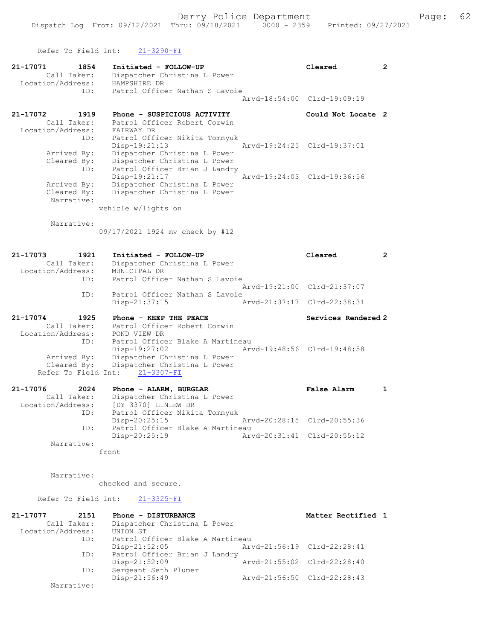Refer To Field Int: 21-3290-FI 21-17071 1854 Initiated - FOLLOW-UP Cleared 2 Call Taker: Dispatcher Christina L Power Location/Address: HAMPSHIRE DR ID: Patrol Officer Nathan S Lavoie Arvd-18:54:00 Clrd-19:09:19 21-17072 1919 Phone - SUSPICIOUS ACTIVITY Could Not Locate 2 Call Taker: Patrol Officer Robert Corwin Location/Address: FAIRWAY DR ID: Patrol Officer Nikita Tomnyuk Disp-19:21:13 Arvd-19:24:25 Clrd-19:37:01 Arrived By: Dispatcher Christina L Power Cleared By: Dispatcher Christina L Power ID: Patrol Officer Brian J Landry Disp-19:21:17 Arvd-19:24:03 Clrd-19:36:56 Arrived By: Dispatcher Christina L Power Cleared By: Dispatcher Christina L Power Narrative: vehicle w/lights on Narrative: 09/17/2021 1924 mv check by #12 21-17073 1921 Initiated - FOLLOW-UP Cleared 2 Call Taker: Dispatcher Christina L Power Location/Address: MUNICIPAL DR ID: Patrol Officer Nathan S Lavoie Arvd-19:21:00 Clrd-21:37:07 ID: Patrol Officer Nathan S Lavoie<br>Disp-21:37:15 A Disp-21:37:15 Arvd-21:37:17 Clrd-22:38:31 21-17074 1925 Phone - KEEP THE PEACE Services Rendered 2 Call Taker: Patrol Officer Robert Corwin Location/Address: POND VIEW DR ID: Patrol Officer Blake A Martineau Disp-19:27:02 Arvd-19:48:56 Clrd-19:48:58 Arrived By: Dispatcher Christina L Power Cleared By: Dispatcher Christina L Power Refer To Field Int: 21-3307-FI 21-17076 2024 Phone - ALARM, BURGLAR False Alarm 1 Call Taker: Dispatcher Christina L Power Location/Address: [DY 3370] LINLEW DR ID: Patrol Officer Nikita Tomnyuk

 Disp-20:25:15 Arvd-20:28:15 Clrd-20:55:36 ID: Patrol Officer Blake A Martineau<br>Disp-20:25:19 Mrvd-20:31:41 Clrd-20:55:12 Disp-20:25:19 Narrative: front

Narrative:

checked and secure.

Refer To Field Int: 21-3325-FI

| 21-17077          | 2151        | Phone - DISTURBANCE              |                             | Matter Rectified 1 |  |
|-------------------|-------------|----------------------------------|-----------------------------|--------------------|--|
|                   | Call Taker: | Dispatcher Christina L Power     |                             |                    |  |
| Location/Address: |             | UNION ST                         |                             |                    |  |
|                   | ID:         | Patrol Officer Blake A Martineau |                             |                    |  |
|                   |             | Disp-21:52:05                    | Arvd-21:56:19 Clrd-22:28:41 |                    |  |
|                   | ID:         | Patrol Officer Brian J Landry    |                             |                    |  |
|                   |             | $Disp-21:52:09$                  | Arvd-21:55:02 Clrd-22:28:40 |                    |  |
|                   | ID:         | Sergeant Seth Plumer             |                             |                    |  |
|                   |             | Disp-21:56:49                    | Arvd-21:56:50 Clrd-22:28:43 |                    |  |
|                   | Narrative:  |                                  |                             |                    |  |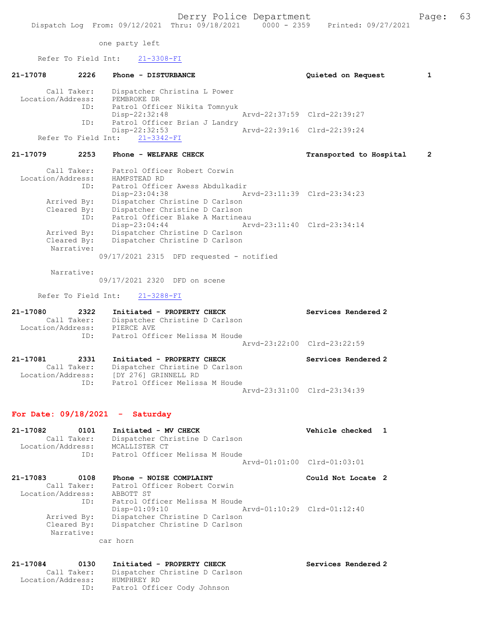one party left

Refer To Field Int: 21-3308-FI

| 21-17078          | 2226 | Phone - DISTURBANCE            | Quieted on Request          |  |
|-------------------|------|--------------------------------|-----------------------------|--|
| Call Taker:       |      | Dispatcher Christina L Power   |                             |  |
| Location/Address: |      | PEMBROKE DR                    |                             |  |
|                   | ID:  | Patrol Officer Nikita Tomnyuk  |                             |  |
|                   |      | Disp-22:32:48                  | Arvd-22:37:59 Clrd-22:39:27 |  |
|                   | ID:  | Patrol Officer Brian J Landry  |                             |  |
|                   |      | $Disp-22:32:53$                | Arvd-22:39:16 Clrd-22:39:24 |  |
|                   |      | Refer To Field Int: 21-3342-FI |                             |  |

## 21-17079 2253 Phone - WELFARE CHECK Transported to Hospital 2

| Call Taker:       | Patrol Officer Robert Corwin                   |
|-------------------|------------------------------------------------|
| Location/Address: | HAMPSTEAD RD                                   |
| ID:               | Patrol Officer Awess Abdulkadir                |
|                   | Arvd-23:11:39 Clrd-23:34:23<br>$Disp-23:04:38$ |
| Arrived By:       | Dispatcher Christine D Carlson                 |
| Cleared By:       | Dispatcher Christine D Carlson                 |
| ID:               | Patrol Officer Blake A Martineau               |
|                   | Arvd-23:11:40 Clrd-23:34:14<br>Disp-23:04:44   |
| Arrived By:       | Dispatcher Christine D Carlson                 |
| Cleared By:       | Dispatcher Christine D Carlson                 |
| Narrative:        |                                                |
|                   | $09/17/2021$ 2315 DFD requested - notified     |

Narrative:

09/17/2021 2320 DFD on scene

Refer To Field Int: 21-3288-FI

Location/Address: [DY 276] GRINNELL RD

ID: Patrol Officer Melissa M Houde

| 21-17080          | 2322                | Initiated - PROPERTY CHECK                                   | Services Rendered 2 |
|-------------------|---------------------|--------------------------------------------------------------|---------------------|
|                   | Call Taker:         | Dispatcher Christine D Carlson                               |                     |
| Location/Address: |                     | PIERCE AVE                                                   |                     |
|                   | TD:                 | Patrol Officer Melissa M Houde                               |                     |
|                   |                     | Arvd-23:22:00 Clrd-23:22:59                                  |                     |
| 21-17081          | 2331<br>Call Taker: | Initiated - PROPERTY CHECK<br>Dispatcher Christine D Carlson | Services Rendered 2 |
|                   |                     |                                                              |                     |

Arvd-23:31:00 Clrd-23:34:39

## For Date: 09/18/2021 - Saturday

| 21-17082          | 0101        | Initiated - MV CHECK           | Vehicle checked 1           |  |
|-------------------|-------------|--------------------------------|-----------------------------|--|
|                   | Call Taker: | Dispatcher Christine D Carlson |                             |  |
| Location/Address: |             | MCALLISTER CT                  |                             |  |
|                   | TD:         | Patrol Officer Melissa M Houde |                             |  |
|                   |             |                                | Aryd-01:01:00 Clrd-01:03:01 |  |

| Phone - NOISE COMPLAINT        | Could Not Locate 2          |
|--------------------------------|-----------------------------|
| Patrol Officer Robert Corwin   |                             |
| ABBOTT ST                      |                             |
| Patrol Officer Melissa M Houde |                             |
| $Disp-01:09:10$                | Arvd-01:10:29 Clrd-01:12:40 |
| Dispatcher Christine D Carlson |                             |
| Dispatcher Christine D Carlson |                             |
|                                |                             |

car horn

#### 21-17084 0130 Initiated - PROPERTY CHECK Services Rendered 2 Call Taker: Dispatcher Christine D Carlson Location/Address: HUMPHREY RD ID: Patrol Officer Cody Johnson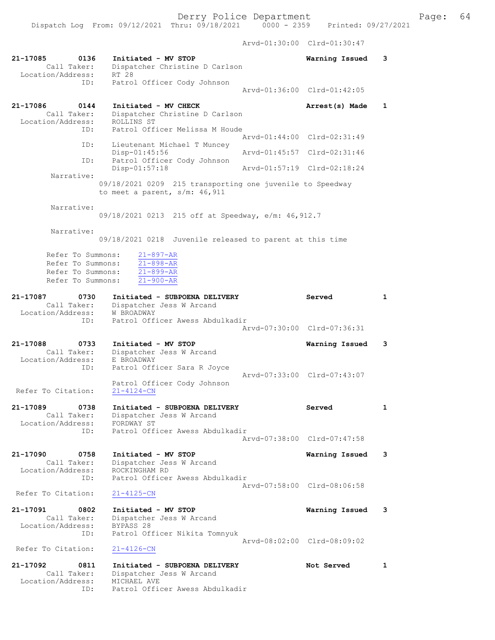Arvd-01:30:00 Clrd-01:30:47

| 21-17085<br>0136<br>Call Taker:<br>Location/Address:                             | Initiated - MV STOP<br>Dispatcher Christine D Carlson<br>RT 28                                              | Warning Issued              | 3            |
|----------------------------------------------------------------------------------|-------------------------------------------------------------------------------------------------------------|-----------------------------|--------------|
| ID:                                                                              | Patrol Officer Cody Johnson                                                                                 |                             |              |
|                                                                                  |                                                                                                             | Arvd-01:36:00 Clrd-01:42:05 |              |
| 21-17086<br>0144<br>Call Taker:<br>Location/Address:                             | Initiated - MV CHECK<br>Dispatcher Christine D Carlson<br>ROLLINS ST                                        | Arrest(s) Made              | 1            |
| ID:                                                                              | Patrol Officer Melissa M Houde                                                                              | Arvd-01:44:00 Clrd-02:31:49 |              |
| ID:                                                                              | Lieutenant Michael T Muncey<br>Disp-01:45:56                                                                | Arvd-01:45:57 Clrd-02:31:46 |              |
| ID:                                                                              | Patrol Officer Cody Johnson<br>$Disp-01:57:18$                                                              | Arvd-01:57:19 Clrd-02:18:24 |              |
| Narrative:                                                                       | 09/18/2021 0209 215 transporting one juvenile to Speedway<br>to meet a parent, $s/m$ : 46, 911              |                             |              |
| Narrative:                                                                       | 09/18/2021 0213 215 off at Speedway, e/m: 46, 912.7                                                         |                             |              |
| Narrative:                                                                       | 09/18/2021 0218 Juvenile released to parent at this time                                                    |                             |              |
| Refer To Summons:<br>Refer To Summons:<br>Refer To Summons:<br>Refer To Summons: | $21 - 897 - AR$<br>$21 - 898 - AR$<br>$21 - 899 - AR$<br>$21 - 900 - AR$                                    |                             |              |
| 21-17087<br>0730<br>Call Taker:                                                  | Initiated - SUBPOENA DELIVERY<br>Dispatcher Jess W Arcand                                                   | Served                      | $\mathbf{1}$ |
| Location/Address:<br>ID:                                                         | W BROADWAY<br>Patrol Officer Awess Abdulkadir                                                               |                             |              |
|                                                                                  |                                                                                                             | Arvd-07:30:00 Clrd-07:36:31 |              |
| 21-17088<br>0733<br>Call Taker:<br>Location/Address:<br>ID:                      | Initiated - MV STOP<br>Dispatcher Jess W Arcand<br>E BROADWAY<br>Patrol Officer Sara R Joyce                | Warning Issued              | 3            |
| Refer To Citation:                                                               | Patrol Officer Cody Johnson<br>$21 - 4124 - CN$                                                             | Arvd-07:33:00 Clrd-07:43:07 |              |
| 0738<br>21-17089<br>Call Taker:<br>Location/Address:                             | Initiated - SUBPOENA DELIVERY<br>Dispatcher Jess W Arcand<br>FORDWAY ST                                     | Served                      | 1            |
| ID:                                                                              | Patrol Officer Awess Abdulkadir                                                                             | Arvd-07:38:00 Clrd-07:47:58 |              |
| 21-17090<br>0758<br>Call Taker:<br>Location/Address:                             | Initiated - MV STOP<br>Dispatcher Jess W Arcand<br>ROCKINGHAM RD                                            | Warning Issued              | 3            |
| ID:                                                                              | Patrol Officer Awess Abdulkadir                                                                             | Arvd-07:58:00 Clrd-08:06:58 |              |
| Refer To Citation:                                                               | $21 - 4125 - CN$                                                                                            |                             |              |
| 21-17091<br>0802<br>Call Taker:<br>Location/Address:                             | Initiated - MV STOP<br>Dispatcher Jess W Arcand<br>BYPASS 28                                                | Warning Issued              | 3            |
| ID:<br>Refer To Citation:                                                        | Patrol Officer Nikita Tomnyuk                                                                               | Arvd-08:02:00 Clrd-08:09:02 |              |
|                                                                                  | $21 - 4126 - CN$                                                                                            |                             |              |
| 21-17092<br>0811<br>Call Taker:<br>Location/Address:<br>ID:                      | Initiated - SUBPOENA DELIVERY<br>Dispatcher Jess W Arcand<br>MICHAEL AVE<br>Patrol Officer Awess Abdulkadir | Not Served                  | 1            |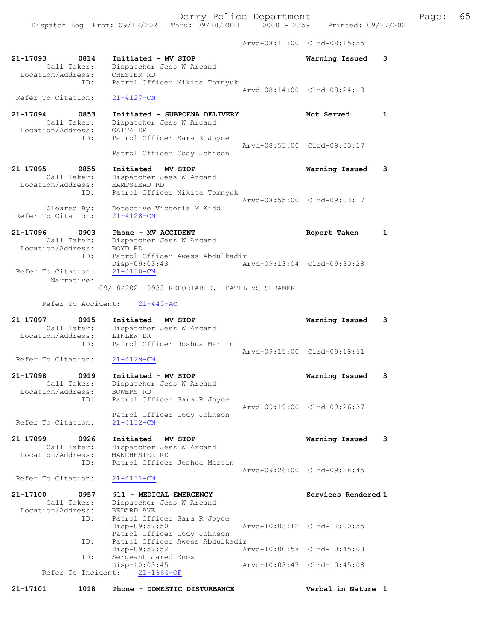Dispatch Log From: 09/12/2021 Thru: 09/18/2021 0000 - 2359 Printed: 09/27/2021

Arvd-08:11:00 Clrd-08:15:55

| 21-17093<br>0814<br>Call Taker:<br>Location/Address: | Initiated - MV STOP<br>Dispatcher Jess W Arcand<br>CHESTER RD                  | Warning Issued              | 3            |
|------------------------------------------------------|--------------------------------------------------------------------------------|-----------------------------|--------------|
| ID:<br>Refer To Citation:                            | Patrol Officer Nikita Tomnyuk<br>$21 - 4127 - CN$                              | Arvd-08:14:00 Clrd-08:24:13 |              |
| 21-17094<br>0853<br>Call Taker:<br>Location/Address: | Initiated - SUBPOENA DELIVERY<br>Dispatcher Jess W Arcand<br>GAITA DR          | Not Served                  | 1            |
| ID:                                                  | Patrol Officer Sara R Joyce<br>Patrol Officer Cody Johnson                     | Arvd-08:53:00 Clrd-09:03:17 |              |
| 21-17095<br>0855<br>Call Taker:<br>Location/Address: | Initiated - MV STOP<br>Dispatcher Jess W Arcand<br>HAMPSTEAD RD                | Warning Issued              | 3            |
| ID:<br>Cleared By:                                   | Patrol Officer Nikita Tomnyuk<br>Detective Victoria M Kidd                     | Arvd-08:55:00 Clrd-09:03:17 |              |
| Refer To Citation:                                   | $21 - 4128 - CN$                                                               |                             |              |
| 21-17096<br>0903<br>Call Taker:<br>Location/Address: | Phone - MV ACCIDENT<br>Dispatcher Jess W Arcand<br>BOYD RD                     | Report Taken                | $\mathbf{1}$ |
| ID:<br>Refer To Citation:                            | Patrol Officer Awess Abdulkadir<br>Disp-09:03:43<br>$21 - 4130 - CN$           | Arvd-09:13:04 Clrd-09:30:28 |              |
| Narrative:                                           | 09/18/2021 0933 REPORTABLE. PATEL VS SHRAMEK                                   |                             |              |
| Refer To Accident:                                   | $21 - 445 - AC$                                                                |                             |              |
| 21-17097<br>0915<br>Call Taker:<br>Location/Address: | Initiated - MV STOP<br>Dispatcher Jess W Arcand<br>LINLEW DR                   | Warning Issued              | 3            |
| ID:                                                  | Patrol Officer Joshua Martin                                                   | Arvd-09:15:00 Clrd-09:18:51 |              |
| Refer To Citation:                                   | $21 - 4129 - CN$                                                               |                             |              |
| 21-17098<br>0919<br>Call Taker:<br>Location/Address: | Initiated - MV STOP<br>Dispatcher Jess W Arcand<br><b>BOWERS RD</b>            | Warning Issued              | 3            |
| ID:<br>Refer To Citation:                            | Patrol Officer Sara R Joyce<br>Patrol Officer Cody Johnson<br>$21 - 4132 - CN$ | Aryd-09:19:00 Clrd-09:26:37 |              |
| 21-17099<br>0926<br>Call Taker:                      | Initiated - MV STOP<br>Dispatcher Jess W Arcand                                | Warning Issued              | 3            |
| Location/Address:<br>ID:                             | MANCHESTER RD<br>Patrol Officer Joshua Martin                                  | Arvd-09:26:00 Clrd-09:28:45 |              |
| Refer To Citation:                                   | 21-4131-CN                                                                     |                             |              |
| 21-17100<br>0957<br>Call Taker:<br>Location/Address: | 911 - MEDICAL EMERGENCY<br>Dispatcher Jess W Arcand<br>BEDARD AVE              | Services Rendered 1         |              |
| ID:                                                  | Patrol Officer Sara R Joyce<br>Disp-09:57:50<br>Patrol Officer Cody Johnson    | Arvd-10:03:12 Clrd-11:00:55 |              |
| ID:                                                  | Patrol Officer Awess Abdulkadir<br>Disp-09:57:52                               | Arvd-10:00:58 Clrd-10:45:03 |              |
| ID:<br>Refer To Incident:                            | Sergeant Jared Knox<br>Disp-10:03:45<br>$21 - 1664 - OF$                       | Arvd-10:03:47 Clrd-10:45:08 |              |
| 1018<br>21-17101                                     | Phone - DOMESTIC DISTURBANCE                                                   | Verbal in Nature 1          |              |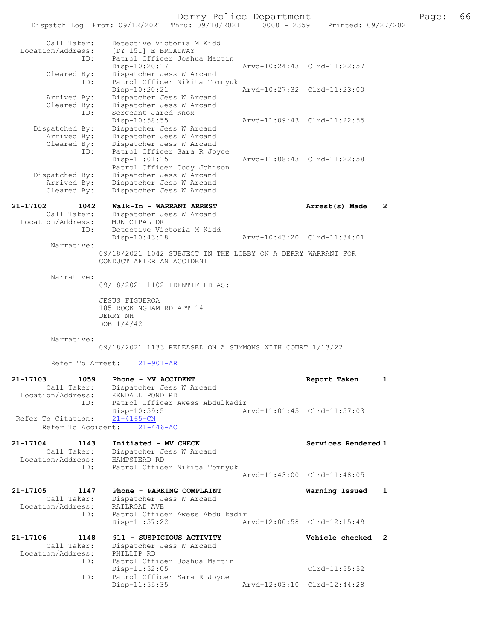# Derry Police Department Page: 66

|                                                             | Dispatch Log From: 09/12/2021 Thru: 09/18/2021                                                                                     | $0000 - 2359$               | Printed: 09/27/2021 |              |
|-------------------------------------------------------------|------------------------------------------------------------------------------------------------------------------------------------|-----------------------------|---------------------|--------------|
| Call Taker:<br>Location/Address:<br>ID:<br>Cleared By:      | Detective Victoria M Kidd<br>[DY 151] E BROADWAY<br>Patrol Officer Joshua Martin<br>Disp-10:20:17<br>Dispatcher Jess W Arcand      | Arvd-10:24:43 Clrd-11:22:57 |                     |              |
| ID:                                                         | Patrol Officer Nikita Tomnyuk<br>Disp-10:20:21                                                                                     | Arvd-10:27:32 Clrd-11:23:00 |                     |              |
| Arrived By:<br>Cleared By:<br>ID:                           | Dispatcher Jess W Arcand<br>Dispatcher Jess W Arcand<br>Sergeant Jared Knox                                                        |                             |                     |              |
| Dispatched By:<br>Arrived By:<br>Cleared By:<br>ID:         | Disp-10:58:55<br>Dispatcher Jess W Arcand<br>Dispatcher Jess W Arcand<br>Dispatcher Jess W Arcand<br>Patrol Officer Sara R Joyce   | Arvd-11:09:43 Clrd-11:22:55 |                     |              |
| Dispatched By:<br>Arrived By:<br>Cleared By:                | $Disp-11:01:15$<br>Patrol Officer Cody Johnson<br>Dispatcher Jess W Arcand<br>Dispatcher Jess W Arcand<br>Dispatcher Jess W Arcand | Arvd-11:08:43 Clrd-11:22:58 |                     |              |
| 21-17102<br>1042                                            | Walk-In - WARRANT ARREST                                                                                                           |                             | Arrest(s) Made      | $\mathbf{2}$ |
| Call Taker:<br>Location/Address:<br>ID:                     | Dispatcher Jess W Arcand<br>MUNICIPAL DR<br>Detective Victoria M Kidd                                                              |                             |                     |              |
| Narrative:                                                  | Disp-10:43:18                                                                                                                      | Arvd-10:43:20 Clrd-11:34:01 |                     |              |
|                                                             | 09/18/2021 1042 SUBJECT IN THE LOBBY ON A DERRY WARRANT FOR<br>CONDUCT AFTER AN ACCIDENT                                           |                             |                     |              |
| Narrative:                                                  | 09/18/2021 1102 IDENTIFIED AS:                                                                                                     |                             |                     |              |
|                                                             | <b>JESUS FIGUEROA</b><br>185 ROCKINGHAM RD APT 14<br>DERRY NH<br>DOB 1/4/42                                                        |                             |                     |              |
| Narrative:                                                  | 09/18/2021 1133 RELEASED ON A SUMMONS WITH COURT 1/13/22                                                                           |                             |                     |              |
| Refer To Arrest:                                            | $21 - 901 - AR$                                                                                                                    |                             |                     |              |
| 21-17103<br>1059<br>Call Taker:<br>Location/Address:<br>ID: | Phone - MV ACCIDENT<br>Dispatcher Jess W Arcand<br>KENDALL POND RD<br>Patrol Officer Awess Abdulkadir                              |                             | Report Taken        | 1            |
| Refer To Citation:<br>Refer To Accident:                    | Disp-10:59:51<br>$21 - 4165 - CN$<br>$21 - 446 - AC$                                                                               | Arvd-11:01:45 Clrd-11:57:03 |                     |              |
| 21-17104<br>1143<br>Call Taker:                             | Initiated - MV CHECK<br>Dispatcher Jess W Arcand                                                                                   |                             | Services Rendered 1 |              |
| Location/Address:<br>ID:                                    | HAMPSTEAD RD<br>Patrol Officer Nikita Tomnyuk                                                                                      | Arvd-11:43:00 Clrd-11:48:05 |                     |              |
|                                                             |                                                                                                                                    |                             |                     |              |
| 21-17105<br>1147<br>Call Taker:<br>Location/Address:        | Phone - PARKING COMPLAINT<br>Dispatcher Jess W Arcand<br>RAILROAD AVE                                                              |                             | Warning Issued      | 1            |
| ID:                                                         | Patrol Officer Awess Abdulkadir<br>$Disp-11:57:22$                                                                                 | Arvd-12:00:58 Clrd-12:15:49 |                     |              |
| 21-17106<br>1148<br>Call Taker:<br>Location/Address:        | 911 - SUSPICIOUS ACTIVITY<br>Dispatcher Jess W Arcand<br>PHILLIP RD                                                                |                             | Vehicle checked 2   |              |
| ID:                                                         | Patrol Officer Joshua Martin<br>$Disp-11:52:05$                                                                                    |                             | $Clrd-11:55:52$     |              |
| ID:                                                         | Patrol Officer Sara R Joyce<br>Disp-11:55:35                                                                                       | Arvd-12:03:10 Clrd-12:44:28 |                     |              |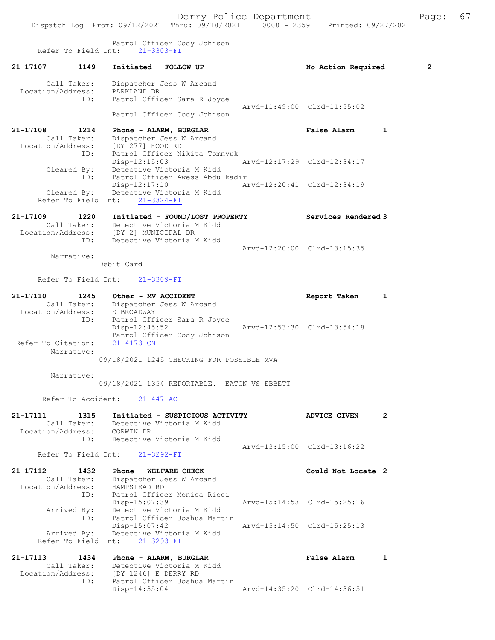21-17107 1149 Initiated - FOLLOW-UP No Action Required 2 Call Taker: Dispatcher Jess W Arcand Location/Address: PARKLAND DR ID: Patrol Officer Sara R Joyce Arvd-11:49:00 Clrd-11:55:02 Patrol Officer Cody Johnson 21-17108 1214 Phone - ALARM, BURGLAR False Alarm 1 Call Taker: Dispatcher Jess W Arcand Location/Address: [DY 277] HOOD RD ID: Patrol Officer Nikita Tomnyuk Disp-12:15:03 Arvd-12:17:29 Clrd-12:34:17 Cleared By: Detective Victoria M Kidd ID: Patrol Officer Awess Abdulkadir Disp-12:17:10 Arvd-12:20:41 Clrd-12:34:19 Cleared By: Detective Victoria M Kidd Refer To Field Int: 21-3324-FI 21-17109 1220 Initiated - FOUND/LOST PROPERTY Services Rendered 3 Call Taker: Detective Victoria M Kidd Location/Address: [DY 2] MUNICIPAL DR ID: Detective Victoria M Kidd Arvd-12:20:00 Clrd-13:15:35 Narrative: Debit Card Refer To Field Int: 21-3309-FI 21-17110 1245 Other - MV ACCIDENT 1 21 Report Taken 1 Call Taker: Dispatcher Jess W Arcand Location/Address: E BROADWAY ID: Patrol Officer Sara R Joyce Disp-12:45:52 Arvd-12:53:30 Clrd-13:54:18 Patrol Officer Cody Johnson Refer To Citation: 21-4173-CN Narrative: 09/18/2021 1245 CHECKING FOR POSSIBLE MVA Narrative: 09/18/2021 1354 REPORTABLE. EATON VS EBBETT Refer To Accident: 21-447-AC 21-17111 1315 Initiated - SUSPICIOUS ACTIVITY ADVICE GIVEN 2 Call Taker: Detective Victoria M Kidd Location/Address: CORWIN DR ID: Detective Victoria M Kidd Arvd-13:15:00 Clrd-13:16:22 Refer To Field Int: 21-3292-FI 21-17112 1432 Phone - WELFARE CHECK Could Not Locate 2 Call Taker: Dispatcher Jess W Arcand Location/Address: HAMPSTEAD RD<br>ID: Patrol Office Patrol Officer Monica Ricci<br>Disp-15:07:39 Arvd-15:14:53 Clrd-15:25:16 Arrived By: Detective Victoria M Kidd ID: Patrol Officer Joshua Martin<br>Disp-15:07:42 Arvd-15:14:50 Clrd-15:25:13 Disp-15:07:42 Arvd-15:14:50 Clrd-15:25:13 Arrived By: Detective Victoria M Kidd Refer To Field Int: 21-3293-FI 21-17113 1434 Phone - ALARM, BURGLAR False Alarm 1 Call Taker: Detective Victoria M Kidd Location/Address: [DY 1246] E DERRY RD ID: Patrol Officer Joshua Martin

Disp-14:35:04 Arvd-14:35:20 Clrd-14:36:51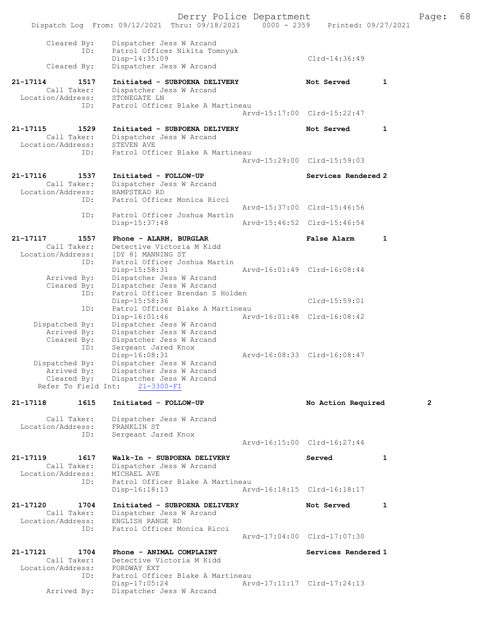|                                              |                     | Dispatch Log From: 09/12/2021 Thru: 09/18/2021                                                           | Derry Police Department<br>$0000 - 2359$ |                             |              | Page:        | 68 |
|----------------------------------------------|---------------------|----------------------------------------------------------------------------------------------------------|------------------------------------------|-----------------------------|--------------|--------------|----|
|                                              |                     |                                                                                                          |                                          | Printed: 09/27/2021         |              |              |    |
| Cleared By:<br>Cleared By:                   | ID:                 | Dispatcher Jess W Arcand<br>Patrol Officer Nikita Tomnyuk<br>$Disp-14:35:09$<br>Dispatcher Jess W Arcand |                                          | Clrd-14:36:49               |              |              |    |
| $21 - 17114$                                 | 1517                | Initiated - SUBPOENA DELIVERY                                                                            |                                          | Not Served                  | $\mathbf{1}$ |              |    |
| Call Taker:                                  |                     | Dispatcher Jess W Arcand                                                                                 |                                          |                             |              |              |    |
| Location/Address:                            | ID:                 | STONEGATE LN<br>Patrol Officer Blake A Martineau                                                         |                                          |                             |              |              |    |
|                                              |                     |                                                                                                          |                                          | Aryd-15:17:00 Clrd-15:22:47 |              |              |    |
| 21-17115<br>Call Taker:<br>Location/Address: | 1529                | Initiated - SUBPOENA DELIVERY<br>Dispatcher Jess W Arcand<br>STEVEN AVE                                  |                                          | Not Served                  | 1            |              |    |
|                                              | ID:                 | Patrol Officer Blake A Martineau                                                                         |                                          | Arvd-15:29:00 Clrd-15:59:03 |              |              |    |
| 21-17116                                     | 1537                | Initiated - FOLLOW-UP                                                                                    |                                          | Services Rendered 2         |              |              |    |
| Call Taker:<br>Location/Address:             | ID:                 | Dispatcher Jess W Arcand<br>HAMPSTEAD RD<br>Patrol Officer Monica Ricci                                  |                                          |                             |              |              |    |
|                                              |                     |                                                                                                          |                                          | Arvd-15:37:00 Clrd-15:46:56 |              |              |    |
|                                              | ID:                 | Patrol Officer Joshua Martin<br>Disp-15:37:48                                                            |                                          | Arvd-15:46:52 Clrd-15:46:54 |              |              |    |
| 21-17117                                     | 1557                | Phone - ALARM, BURGLAR                                                                                   |                                          | <b>False Alarm</b>          | $\mathbf{1}$ |              |    |
| Call Taker:                                  |                     | Detective Victoria M Kidd                                                                                |                                          |                             |              |              |    |
| Location/Address:                            | ID:                 | [DY 8] MANNING ST<br>Patrol Officer Joshua Martin                                                        |                                          |                             |              |              |    |
| Arrived By:                                  |                     | $Disp-15:58:31$<br>Dispatcher Jess W Arcand                                                              |                                          | Arvd-16:01:49 Clrd-16:08:44 |              |              |    |
| Cleared By:                                  |                     | Dispatcher Jess W Arcand                                                                                 |                                          |                             |              |              |    |
|                                              | ID:                 | Patrol Officer Brendan S Holden<br>Disp-15:58:36                                                         |                                          | Clrd-15:59:01               |              |              |    |
|                                              | ID:                 | Patrol Officer Blake A Martineau<br>Disp-16:01:46                                                        |                                          | Arvd-16:01:48 Clrd-16:08:42 |              |              |    |
| Dispatched By:                               |                     | Dispatcher Jess W Arcand                                                                                 |                                          |                             |              |              |    |
| Arrived By:<br>Cleared By:                   |                     | Dispatcher Jess W Arcand<br>Dispatcher Jess W Arcand                                                     |                                          |                             |              |              |    |
|                                              | ID:                 | Sergeant Jared Knox<br>Disp-16:08:31                                                                     |                                          | Arvd-16:08:33 Clrd-16:08:47 |              |              |    |
| Dispatched By:                               |                     | Dispatcher Jess W Arcand                                                                                 |                                          |                             |              |              |    |
| Arrived By:                                  |                     | Dispatcher Jess W Arcand<br>Cleared By: Dispatcher Jess W Arcand                                         |                                          |                             |              |              |    |
| Refer To Field Int:                          |                     | $21 - 3300 - FI$                                                                                         |                                          |                             |              |              |    |
| 21-17118                                     | 1615                | Initiated - FOLLOW-UP                                                                                    |                                          | No Action Required          |              | $\mathbf{2}$ |    |
| Call Taker:                                  |                     | Dispatcher Jess W Arcand                                                                                 |                                          |                             |              |              |    |
| Location/Address:                            | ID:                 | FRANKLIN ST<br>Sergeant Jared Knox                                                                       |                                          |                             |              |              |    |
|                                              |                     |                                                                                                          |                                          | Arvd-16:15:00 Clrd-16:27:44 |              |              |    |
| 21-17119                                     | 1617                | Walk-In - SUBPOENA DELIVERY                                                                              |                                          | Served                      | $\mathbf{1}$ |              |    |
| Call Taker:<br>Location/Address:             |                     | Dispatcher Jess W Arcand<br>MICHAEL AVE                                                                  |                                          |                             |              |              |    |
|                                              | ID:                 | Patrol Officer Blake A Martineau<br>$Disp-16:18:13$                                                      |                                          | Arvd-16:18:15 Clrd-16:18:17 |              |              |    |
|                                              |                     |                                                                                                          |                                          |                             |              |              |    |
| 21-17120                                     | 1704<br>Call Taker: | Initiated - SUBPOENA DELIVERY<br>Dispatcher Jess W Arcand                                                |                                          | Not Served                  | 1            |              |    |
| Location/Address:                            | ID:                 | ENGLISH RANGE RD<br>Patrol Officer Monica Ricci                                                          |                                          |                             |              |              |    |
|                                              |                     |                                                                                                          |                                          | Arvd-17:04:00 Clrd-17:07:30 |              |              |    |
| 21-17121                                     | 1704                | Phone - ANIMAL COMPLAINT                                                                                 |                                          | Services Rendered 1         |              |              |    |
| Call Taker:<br>Location/Address:             |                     | Detective Victoria M Kidd                                                                                |                                          |                             |              |              |    |
|                                              | ID:                 | FORDWAY EXT<br>Patrol Officer Blake A Martineau                                                          |                                          |                             |              |              |    |
| Arrived By:                                  |                     | $Disp-17:05:24$<br>Dispatcher Jess W Arcand                                                              |                                          | Arvd-17:11:17 Clrd-17:24:13 |              |              |    |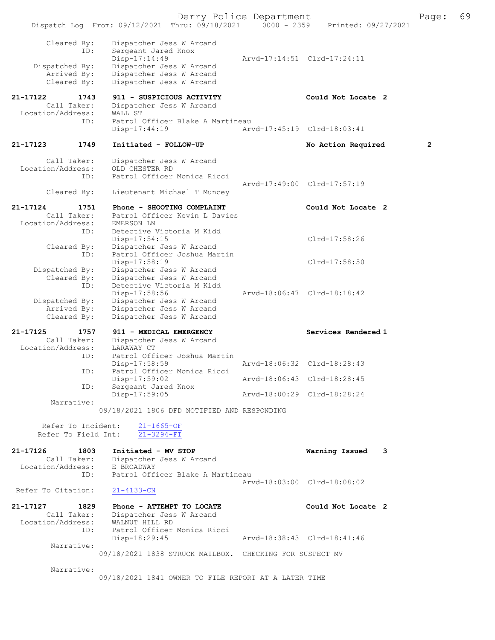Derry Police Department The Page: 69 Dispatch Log From: 09/12/2021 Thru: 09/18/2021 0000 - 2359 Printed: 09/27/2021 Cleared By: Dispatcher Jess W Arcand ID: Sergeant Jared Knox<br>Disp-17:14:49 Disp-17:14:49<br>Dispatched By: Dispatcher Jess W Arcand<br>Dispatched By: Dispatcher Jess W Arcand patched By: Dispatcher Jess W Arcand<br>Arrived By: Dispatcher Jess W Arcand Arrived By: Dispatcher Jess W Arcand<br>Cleared By: Dispatcher Jess W Arcand Dispatcher Jess W Arcand 21-17122 1743 911 - SUSPICIOUS ACTIVITY Could Not Locate 2<br>Call Taker: Dispatcher Jess W Arcand Dispatcher Jess W Arcand<br>WALL ST Location/Address: ID: Patrol Officer Blake A Martineau<br>Disp-17:44:19 Ary Disp-17:44:19 Arvd-17:45:19 Clrd-18:03:41 21-17123 1749 Initiated - FOLLOW-UP No Action Required 2 Call Taker: Dispatcher Jess W Arcand Location/Address: OLD CHESTER RD<br>ID: Patrol Officer Patrol Officer Monica Ricci Arvd-17:49:00 Clrd-17:57:19 Cleared By: Lieutenant Michael T Muncey 21-17124 1751 Phone - SHOOTING COMPLAINT<br>
Call Taker: Patrol Officer Kevin L Davies Patrol Officer Kevin L Davies Location/Address: EMERSON LN<br>ID: Detective Detective Victoria M Kidd Disp-17:54:15 Clrd-17:58:26 Cleared By: Dispatcher Jess W Arcand ID: Patrol Officer Joshua Martin Disp-17:58:19 Disp-17:58:19 Dispatched By: Dispatcher Jess W Arcand Dispatcher Jess W Arcand Cleared By: Dispatcher Jess W Arcand ID: Detective Victoria M Kidd Disp-17:58:56 Arvd-18:06:47 Clrd-18:18:42 Dispatched By: Dispatcher Jess W Arcand Arrived By: Dispatcher Jess W Arcand Cleared By: Dispatcher Jess W Arcand 21-17125 1757 911 - MEDICAL EMERGENCY Services Rendered 1 Call Taker: Dispatcher Jess W Arcand Location/Address: LARAWAY CT<br>ID: Patrol Off: Patrol Officer Joshua Martin<br>Disp-17:58:59 Disp-17:58:59 Arvd-18:06:32 Clrd-18:28:43<br>ID: Patrol Officer Monica Ricci Patrol Officer Monica Ricci Disp-17:59:02 **Arvd-18:06:43** Clrd-18:28:45<br>TD: Sergeant Jared Knox Sergeant Jared Knox<br>Disp-17:59:05 Arvd-18:00:29 Clrd-18:28:24 Narrative: 09/18/2021 1806 DFD NOTIFIED AND RESPONDING Refer To Incident: 21-1665-OF Refer To Field Int: 21-3294-FI 21-17126 1803 Initiated - MV STOP Warning Issued 3 Call Taker: Dispatcher Jess W Arcand<br>ion/Address: E BROADWAY Location/Address:<br>TD: Patrol Officer Blake A Martineau Arvd-18:03:00 Clrd-18:08:02<br>21-4133-CN Refer To Citation: 21-17127 1829 Phone - ATTEMPT TO LOCATE Could Not Locate 2<br>Call Taker: Dispatcher Jess W Arcand Dispatcher Jess W Arcand<br>WALNUT HILL RD Location/Address: ID: Patrol Officer Monica Ricci Disp-18:29:45 Arvd-18:38:43 Clrd-18:41:46 Narrative: 09/18/2021 1838 STRUCK MAILBOX. CHECKING FOR SUSPECT MV Narrative: 09/18/2021 1841 OWNER TO FILE REPORT AT A LATER TIME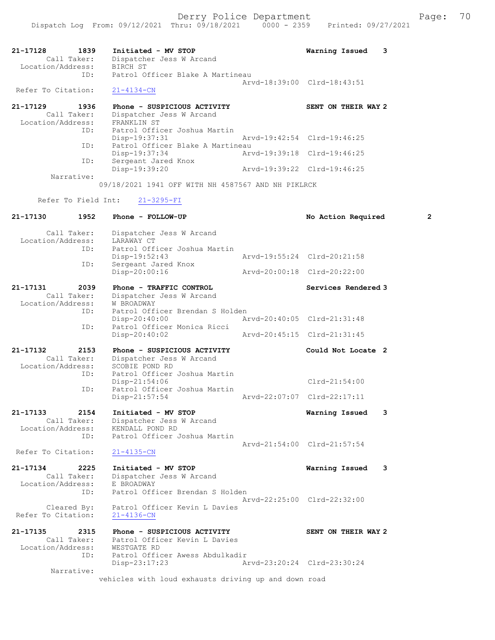| 1839<br>21-17128<br>Call Taker:<br>Location/Address: | Initiated - MV STOP<br>Dispatcher Jess W Arcand<br>BIRCH ST                          | Warning Issued<br>3         |
|------------------------------------------------------|--------------------------------------------------------------------------------------|-----------------------------|
| ID:                                                  | Patrol Officer Blake A Martineau                                                     | Arvd-18:39:00 Clrd-18:43:51 |
| Refer To Citation:                                   | $21 - 4134 - CN$                                                                     |                             |
| 1936<br>21-17129<br>Call Taker:<br>Location/Address: | Phone - SUSPICIOUS ACTIVITY<br>Dispatcher Jess W Arcand<br>FRANKLIN ST               | SENT ON THEIR WAY 2         |
| ID:                                                  | Patrol Officer Joshua Martin<br>Disp-19:37:31                                        | Arvd-19:42:54 Clrd-19:46:25 |
| ID:<br>ID:                                           | Patrol Officer Blake A Martineau<br>Disp-19:37:34                                    | Arvd-19:39:18 Clrd-19:46:25 |
|                                                      | Sergeant Jared Knox<br>Disp-19:39:20                                                 | Arvd-19:39:22 Clrd-19:46:25 |
| Narrative:                                           | 09/18/2021 1941 OFF WITH NH 4587567 AND NH PIKLRCK                                   |                             |
| Refer To Field Int:                                  | $21 - 3295 - FI$                                                                     |                             |
| 21-17130<br>1952                                     | Phone - FOLLOW-UP                                                                    | 2                           |
|                                                      |                                                                                      | No Action Required          |
| Call Taker:<br>Location/Address:                     | Dispatcher Jess W Arcand<br>LARAWAY CT                                               |                             |
| ID:                                                  | Patrol Officer Joshua Martin<br>Disp-19:52:43                                        | Arvd-19:55:24 Clrd-20:21:58 |
| ID:                                                  | Sergeant Jared Knox<br>Disp-20:00:16                                                 | Arvd-20:00:18 Clrd-20:22:00 |
| 21-17131<br>2039                                     | Phone - TRAFFIC CONTROL                                                              | Services Rendered 3         |
| Call Taker:<br>Location/Address:<br>ID:              | Dispatcher Jess W Arcand<br>W BROADWAY<br>Patrol Officer Brendan S Holden            |                             |
| ID:                                                  | $Disp-20:40:00$<br>Patrol Officer Monica Ricci                                       | Arvd-20:40:05 Clrd-21:31:48 |
|                                                      | $Disp-20:40:02$                                                                      | Arvd-20:45:15 Clrd-21:31:45 |
| 21-17132<br>2153                                     | Phone - SUSPICIOUS ACTIVITY                                                          | Could Not Locate 2          |
| Call Taker:<br>Location/Address:<br>ID:              | Dispatcher Jess W Arcand<br>SCOBIE POND RD<br>Patrol Officer Joshua Martin           |                             |
| ID:                                                  | Disp-21:54:06<br>Patrol Officer Joshua Martin                                        | $Clrd-21:54:00$             |
|                                                      | $Disp-21:57:54$                                                                      | Arvd-22:07:07 Clrd-22:17:11 |
| 21-17133<br>2154<br>Call Taker:<br>Location/Address: | Initiated - MV STOP<br>Dispatcher Jess W Arcand<br>KENDALL POND RD                   | Warning Issued<br>3         |
| ID:                                                  | Patrol Officer Joshua Martin                                                         | Arvd-21:54:00 Clrd-21:57:54 |
| Refer To Citation:                                   | $21 - 4135 - CN$                                                                     |                             |
| 21-17134<br>2225<br>Call Taker:<br>Location/Address: | Initiated - MV STOP<br>Dispatcher Jess W Arcand<br>E BROADWAY                        | Warning Issued<br>3         |
| ID:<br>Cleared By:<br>Refer To Citation:             | Patrol Officer Brendan S Holden<br>Patrol Officer Kevin L Davies<br>$21 - 4136 - CN$ | Arvd-22:25:00 Clrd-22:32:00 |
| 21-17135<br>2315<br>Call Taker:<br>Location/Address: | Phone - SUSPICIOUS ACTIVITY<br>Patrol Officer Kevin L Davies<br>WESTGATE RD          | SENT ON THEIR WAY 2         |
| ID:                                                  | Patrol Officer Awess Abdulkadir<br>Disp-23:17:23                                     | Arvd-23:20:24 Clrd-23:30:24 |
| Narrative:                                           | vehicles with loud exhausts driving up and down road                                 |                             |